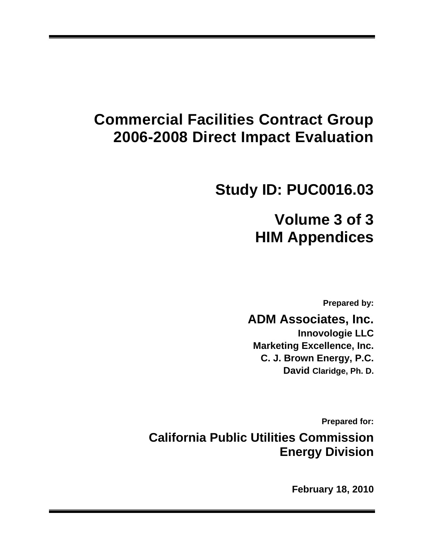# **Commercial Facilities Contract Group 2006-2008 Direct Impact Evaluation**

# **Study ID: PUC0016.03**

# **Volume 3 of 3 HIM Appendices**

**Prepared by:** 

# **ADM Associates, Inc.**

**Innovologie LLC Marketing Excellence, Inc. C. J. Brown Energy, P.C. David Claridge, Ph. D.** 

**Prepared for:** 

**California Public Utilities Commission Energy Division** 

**February 18, 2010**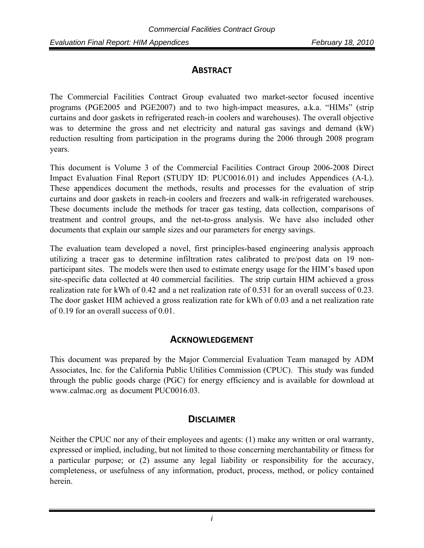## **ABSTRACT**

The Commercial Facilities Contract Group evaluated two market-sector focused incentive programs (PGE2005 and PGE2007) and to two high-impact measures, a.k.a. "HIMs" (strip curtains and door gaskets in refrigerated reach-in coolers and warehouses). The overall objective was to determine the gross and net electricity and natural gas savings and demand (kW) reduction resulting from participation in the programs during the 2006 through 2008 program years.

This document is Volume 3 of the Commercial Facilities Contract Group 2006-2008 Direct Impact Evaluation Final Report (STUDY ID: PUC0016.01) and includes Appendices (A-L). These appendices document the methods, results and processes for the evaluation of strip curtains and door gaskets in reach-in coolers and freezers and walk-in refrigerated warehouses. These documents include the methods for tracer gas testing, data collection, comparisons of treatment and control groups, and the net-to-gross analysis. We have also included other documents that explain our sample sizes and our parameters for energy savings.

The evaluation team developed a novel, first principles-based engineering analysis approach utilizing a tracer gas to determine infiltration rates calibrated to pre/post data on 19 nonparticipant sites. The models were then used to estimate energy usage for the HIM's based upon site-specific data collected at 40 commercial facilities. The strip curtain HIM achieved a gross realization rate for kWh of 0.42 and a net realization rate of 0.531 for an overall success of 0.23. The door gasket HIM achieved a gross realization rate for kWh of 0.03 and a net realization rate of 0.19 for an overall success of 0.01.

# **ACKNOWLEDGEMENT**

This document was prepared by the Major Commercial Evaluation Team managed by ADM Associates, Inc. for the California Public Utilities Commission (CPUC). This study was funded through the public goods charge (PGC) for energy efficiency and is available for download at www.calmac.org as document PUC0016.03.

# **DISCLAIMER**

Neither the CPUC nor any of their employees and agents: (1) make any written or oral warranty, expressed or implied, including, but not limited to those concerning merchantability or fitness for a particular purpose; or (2) assume any legal liability or responsibility for the accuracy, completeness, or usefulness of any information, product, process, method, or policy contained herein.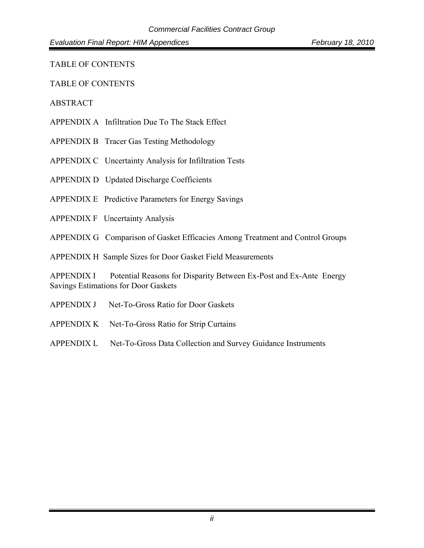TABLE OF CONTENTS

TABLE OF CONTENTS

#### ABSTRACT

- APPENDIX A Infiltration Due To The Stack Effect
- APPENDIX B Tracer Gas Testing Methodology
- APPENDIX C Uncertainty Analysis for Infiltration Tests
- APPENDIX D Updated Discharge Coefficients
- APPENDIX E Predictive Parameters for Energy Savings
- APPENDIX F Uncertainty Analysis
- APPENDIX G Comparison of Gasket Efficacies Among Treatment and Control Groups

APPENDIX H Sample Sizes for Door Gasket Field Measurements

APPENDIX I Potential Reasons for Disparity Between Ex-Post and Ex-Ante Energy Savings Estimations for Door Gaskets

- APPENDIX J Net-To-Gross Ratio for Door Gaskets
- APPENDIX K Net-To-Gross Ratio for Strip Curtains
- APPENDIX L Net-To-Gross Data Collection and Survey Guidance Instruments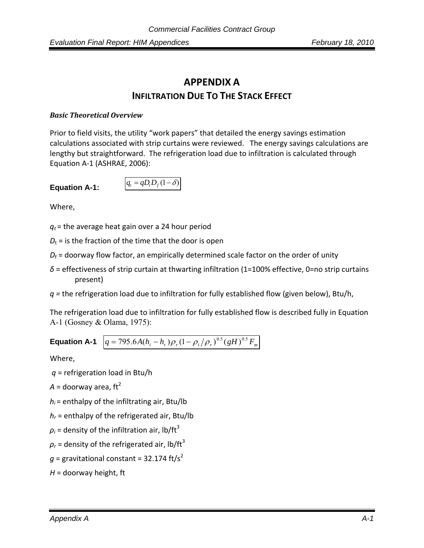# **APPENDIX A INFILTRATION DUE TO THE STACK EFFECT**

#### *Basic Theoretical Overview*

Prior to field visits, the utility "work papers" that detailed the energy savings estimation calculations associated with strip curtains were reviewed. The energy savings calculations are lengthy but straightforward. The refrigeration load due to infiltration is calculated through Equation A‐1 (ASHRAE, 2006):

#### Equation A-1:

$$
q_t = qD_t D_f (1 - \delta)
$$

Where,

 $q_t$  = the average heat gain over a 24 hour period

 $D_t$  = is the fraction of the time that the door is open

- $D_f$  = doorway flow factor, an empirically determined scale factor on the order of unity
- *δ* = effectiveness of strip curtain at thwarting infiltration (1=100% effective, 0=no strip curtains present)
- *q =* the refrigeration load due to infiltration for fully established flow (given below), Btu/h,

The refrigeration load due to infiltration for fully established flow is described fully in Equation A-1 (Gosney & Olama, 1975):

# **Equation A-1**  $q = 795.6 A (h_i - h_r) \rho_r (1 - \rho_i / \rho_r)^{0.5} (gH)^{0.5} F_m$

Where,

*q* = refrigeration load in Btu/h

 $A =$  doorway area, ft<sup>2</sup>

 $h_i$  = enthalpy of the infiltrating air, Btu/lb

*hr* = enthalpy of the refrigerated air, Btu/lb

 $\rho_i$  = density of the infiltration air, lb/ft<sup>3</sup>

 $\rho_r$  = density of the refrigerated air, lb/ft<sup>3</sup>

 $q =$  gravitational constant = 32.174 ft/s<sup>2</sup>

*H* = doorway height, ft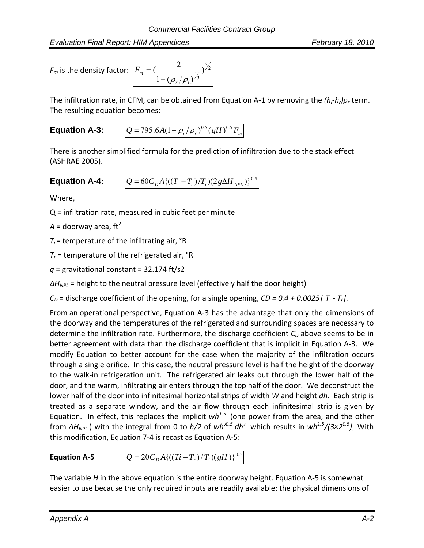*Evaluation Final Report: HIM Appendices February 18, 2010*

 $F_m$  is the density factor:

$$
F_m = \left(\frac{2}{1 + (\rho_r/\rho_i)^{\frac{1}{3}}}\right)^{\frac{3}{2}}
$$

The infiltration rate, in CFM, can be obtained from Equation A‐1 by removing the *(hi‐hr)ρ<sup>r</sup>* term. The resulting equation becomes:

**Equation A-3:** 
$$
Q = 795.6A(1 - \rho_i/\rho_r)^{0.5} (gH)^{0.5} F_m
$$

There is another simplified formula for the prediction of infiltration due to the stack effect (ASHRAE 2005).

## **Equation A-4:**  $Q = 60 C_p A \{((T_i - T_r)/T_i)(2g\Delta H_{NPL})\}^{0.5}$

Where,

Q = infiltration rate, measured in cubic feet per minute

 $A =$  doorway area, ft<sup>2</sup>

 $T_i$  = temperature of the infiltrating air,  $\textdegree$ R

 $T_r$  = temperature of the refrigerated air,  $\textdegree$ R

*g* = gravitational constant = 32.174 ft/s2

*ΔH<sub>NPL</sub>* = height to the neutral pressure level (effectively half the door height)

 $C<sub>D</sub>$  = discharge coefficient of the opening, for a single opening,  $CD = 0.4 + 0.0025$  |  $T<sub>i</sub>$  -  $T<sub>r</sub>$  |.

From an operational perspective, Equation A‐3 has the advantage that only the dimensions of the doorway and the temperatures of the refrigerated and surrounding spaces are necessary to determine the infiltration rate. Furthermore, the discharge coefficient  $C<sub>D</sub>$  above seems to be in better agreement with data than the discharge coefficient that is implicit in Equation A‐3. We modify Equation to better account for the case when the majority of the infiltration occurs through a single orifice. In this case, the neutral pressure level is half the height of the doorway to the walk‐in refrigeration unit. The refrigerated air leaks out through the lower half of the door, and the warm, infiltrating air enters through the top half of the door. We deconstruct the lower half of the door into infinitesimal horizontal strips of width *W* and height *dh*. Each strip is treated as a separate window, and the air flow through each infinitesimal strip is given by Equation. In effect, this replaces the implicit *wh1.5* (one power from the area, and the other from *ΔHNPL* ) with the integral from 0 to *h/2* of *wh'0.5 dh'* which results in *wh1.5/(3×20.5).* With this modification, Equation 7‐4 is recast as Equation A‐5:

**Equation A-5**  $Q = 20C_p A \{((Ti - T_r)/T_i)(gH)\}^{0.5}$ 

The variable *H* in the above equation is the entire doorway height. Equation A‐5 is somewhat easier to use because the only required inputs are readily available: the physical dimensions of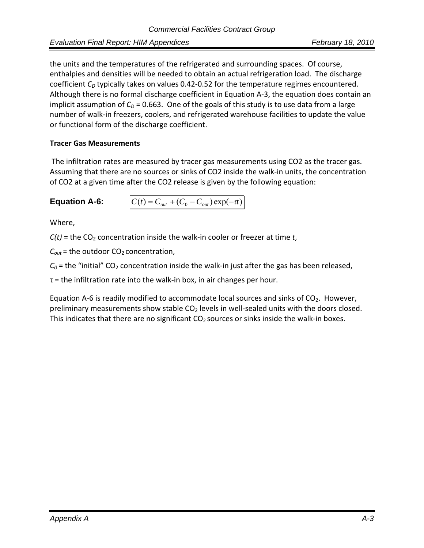the units and the temperatures of the refrigerated and surrounding spaces. Of course, enthalpies and densities will be needed to obtain an actual refrigeration load. The discharge coefficient C<sub>D</sub> typically takes on values 0.42-0.52 for the temperature regimes encountered. Although there is no formal discharge coefficient in Equation A‐3, the equation does contain an implicit assumption of  $C_D$  = 0.663. One of the goals of this study is to use data from a large number of walk‐in freezers, coolers, and refrigerated warehouse facilities to update the value or functional form of the discharge coefficient.

#### **Tracer Gas Measurements**

The infiltration rates are measured by tracer gas measurements using CO2 as the tracer gas. Assuming that there are no sources or sinks of CO2 inside the walk‐in units, the concentration of CO2 at a given time after the CO2 release is given by the following equation:

**Equation A-6:**  $C(t) = C_{out} + (C_0 - C_{out}) \exp(-\pi)$ 

Where,

 $C(t)$  = the CO<sub>2</sub> concentration inside the walk-in cooler or freezer at time *t*,

 $C_{out}$  = the outdoor  $CO<sub>2</sub>$  concentration,

 $C_0$  = the "initial"  $CO_2$  concentration inside the walk-in just after the gas has been released,

 $\tau$  = the infiltration rate into the walk-in box, in air changes per hour.

Equation A-6 is readily modified to accommodate local sources and sinks of  $CO<sub>2</sub>$ . However, preliminary measurements show stable  $CO<sub>2</sub>$  levels in well-sealed units with the doors closed. This indicates that there are no significant  $CO<sub>2</sub>$  sources or sinks inside the walk-in boxes.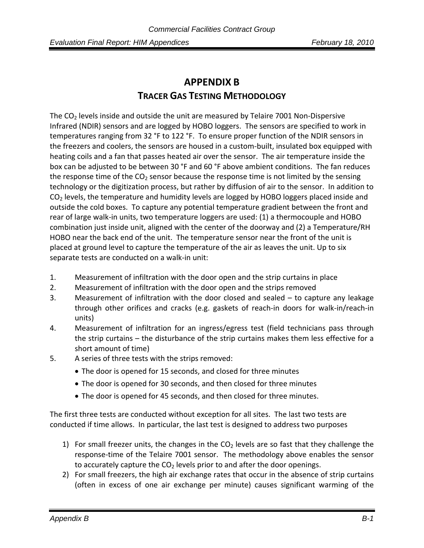# **APPENDIX B TRACER GAS TESTING METHODOLOGY**

The  $CO<sub>2</sub>$  levels inside and outside the unit are measured by Telaire 7001 Non-Dispersive Infrared (NDIR) sensors and are logged by HOBO loggers. The sensors are specified to work in temperatures ranging from 32 °F to 122 °F. To ensure proper function of the NDIR sensors in the freezers and coolers, the sensors are housed in a custom‐built, insulated box equipped with heating coils and a fan that passes heated air over the sensor. The air temperature inside the box can be adjusted to be between 30 °F and 60 °F above ambient conditions. The fan reduces the response time of the  $CO<sub>2</sub>$  sensor because the response time is not limited by the sensing technology or the digitization process, but rather by diffusion of air to the sensor. In addition to  $CO<sub>2</sub>$  levels, the temperature and humidity levels are logged by HOBO loggers placed inside and outside the cold boxes. To capture any potential temperature gradient between the front and rear of large walk‐in units, two temperature loggers are used: (1) a thermocouple and HOBO combination just inside unit, aligned with the center of the doorway and (2) a Temperature/RH HOBO near the back end of the unit. The temperature sensor near the front of the unit is placed at ground level to capture the temperature of the air as leaves the unit. Up to six separate tests are conducted on a walk‐in unit:

- 1. Measurement of infiltration with the door open and the strip curtains in place
- 2. Measurement of infiltration with the door open and the strips removed
- 3. Measurement of infiltration with the door closed and sealed to capture any leakage through other orifices and cracks (e.g. gaskets of reach‐in doors for walk‐in/reach‐in units)
- 4. Measurement of infiltration for an ingress/egress test (field technicians pass through the strip curtains – the disturbance of the strip curtains makes them less effective for a short amount of time)
- 5. A series of three tests with the strips removed:
	- The door is opened for 15 seconds, and closed for three minutes
	- The door is opened for 30 seconds, and then closed for three minutes
	- The door is opened for 45 seconds, and then closed for three minutes.

The first three tests are conducted without exception for all sites. The last two tests are conducted if time allows. In particular, the last test is designed to address two purposes

- 1) For small freezer units, the changes in the  $CO<sub>2</sub>$  levels are so fast that they challenge the response‐time of the Telaire 7001 sensor. The methodology above enables the sensor to accurately capture the  $CO<sub>2</sub>$  levels prior to and after the door openings.
- 2) For small freezers, the high air exchange rates that occur in the absence of strip curtains (often in excess of one air exchange per minute) causes significant warming of the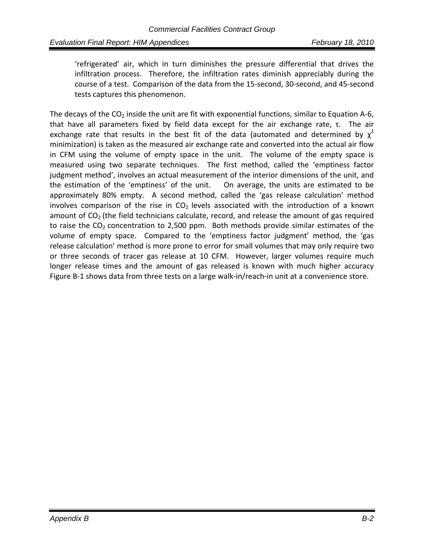'refrigerated' air, which in turn diminishes the pressure differential that drives the infiltration process. Therefore, the infiltration rates diminish appreciably during the course of a test. Comparison of the data from the 15‐second, 30‐second, and 45‐second tests captures this phenomenon.

The decays of the  $CO<sub>2</sub>$  inside the unit are fit with exponential functions, similar to Equation A-6, that have all parameters fixed by field data except for the air exchange rate,  $τ$ . The air exchange rate that results in the best fit of the data (automated and determined by  $\chi^2$ minimization) is taken as the measured air exchange rate and converted into the actual air flow in CFM using the volume of empty space in the unit. The volume of the empty space is measured using two separate techniques. The first method, called the 'emptiness factor judgment method', involves an actual measurement of the interior dimensions of the unit, and the estimation of the 'emptiness' of the unit. On average, the units are estimated to be approximately 80% empty. A second method, called the 'gas release calculation' method involves comparison of the rise in  $CO<sub>2</sub>$  levels associated with the introduction of a known amount of  $CO<sub>2</sub>$  (the field technicians calculate, record, and release the amount of gas required to raise the  $CO<sub>2</sub>$  concentration to 2,500 ppm. Both methods provide similar estimates of the volume of empty space. Compared to the 'emptiness factor judgment' method, the 'gas release calculation' method is more prone to error for small volumes that may only require two or three seconds of tracer gas release at 10 CFM. However, larger volumes require much longer release times and the amount of gas released is known with much higher accuracy Figure B‐1 shows data from three tests on a large walk‐in/reach‐in unit at a convenience store.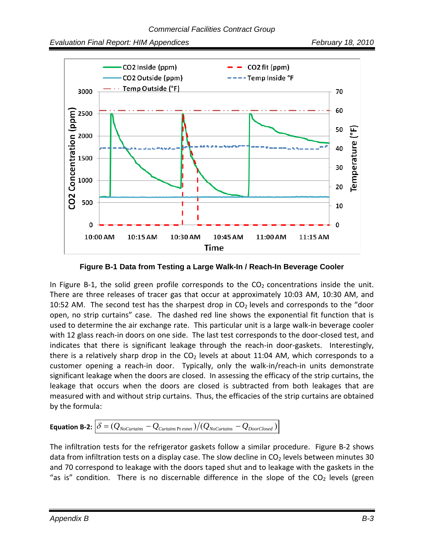

**Figure B-1 Data from Testing a Large Walk-In / Reach-In Beverage Cooler**

In Figure B-1, the solid green profile corresponds to the  $CO<sub>2</sub>$  concentrations inside the unit. There are three releases of tracer gas that occur at approximately 10:03 AM, 10:30 AM, and 10:52 AM. The second test has the sharpest drop in  $CO<sub>2</sub>$  levels and corresponds to the "door open, no strip curtains" case. The dashed red line shows the exponential fit function that is used to determine the air exchange rate. This particular unit is a large walk‐in beverage cooler with 12 glass reach-in doors on one side. The last test corresponds to the door-closed test, and indicates that there is significant leakage through the reach-in door-gaskets. Interestingly, there is a relatively sharp drop in the  $CO<sub>2</sub>$  levels at about 11:04 AM, which corresponds to a customer opening a reach-in door. Typically, only the walk-in/reach-in units demonstrate significant leakage when the doors are closed. In assessing the efficacy of the strip curtains, the leakage that occurs when the doors are closed is subtracted from both leakages that are measured with and without strip curtains. Thus, the efficacies of the strip curtains are obtained by the formula:

**Equation B-2:** 
$$
\delta = (Q_{No\text{Curtains}} - Q_{\text{Curtains Present}})/(Q_{No\text{Curtains}} - Q_{\text{DoorClosed}})
$$

The infiltration tests for the refrigerator gaskets follow a similar procedure. Figure B‐2 shows data from infiltration tests on a display case. The slow decline in  $CO<sub>2</sub>$  levels between minutes 30 and 70 correspond to leakage with the doors taped shut and to leakage with the gaskets in the "as is" condition. There is no discernable difference in the slope of the  $CO<sub>2</sub>$  levels (green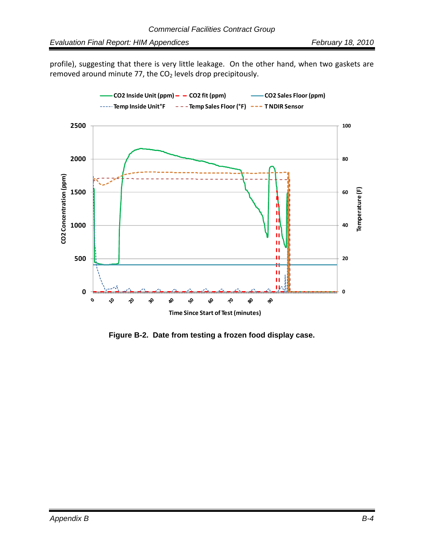profile), suggesting that there is very little leakage. On the other hand, when two gaskets are removed around minute 77, the  $CO<sub>2</sub>$  levels drop precipitously.



**Figure B-2. Date from testing a frozen food display case.**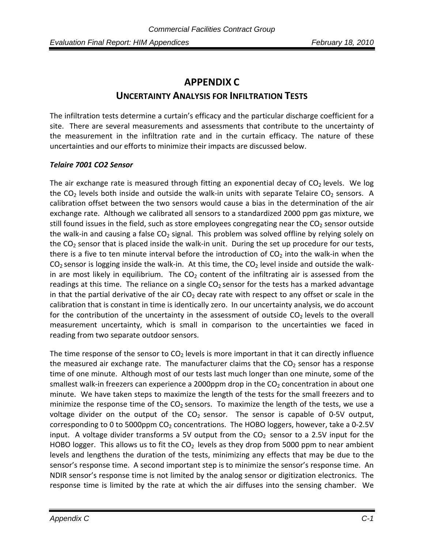# **APPENDIX C UNCERTAINTY ANALYSIS FOR INFILTRATION TESTS**

The infiltration tests determine a curtain's efficacy and the particular discharge coefficient for a site. There are several measurements and assessments that contribute to the uncertainty of the measurement in the infiltration rate and in the curtain efficacy. The nature of these uncertainties and our efforts to minimize their impacts are discussed below.

#### *Telaire 7001 CO2 Sensor*

The air exchange rate is measured through fitting an exponential decay of  $CO<sub>2</sub>$  levels. We log the  $CO<sub>2</sub>$  levels both inside and outside the walk-in units with separate Telaire  $CO<sub>2</sub>$  sensors. A calibration offset between the two sensors would cause a bias in the determination of the air exchange rate. Although we calibrated all sensors to a standardized 2000 ppm gas mixture, we still found issues in the field, such as store employees congregating near the  $CO<sub>2</sub>$  sensor outside the walk-in and causing a false CO<sub>2</sub> signal. This problem was solved offline by relying solely on the  $CO<sub>2</sub>$  sensor that is placed inside the walk-in unit. During the set up procedure for our tests, there is a five to ten minute interval before the introduction of  $CO<sub>2</sub>$  into the walk-in when the  $CO<sub>2</sub>$  sensor is logging inside the walk-in. At this time, the  $CO<sub>2</sub>$  level inside and outside the walkin are most likely in equilibrium. The  $CO<sub>2</sub>$  content of the infiltrating air is assessed from the readings at this time. The reliance on a single  $CO<sub>2</sub>$  sensor for the tests has a marked advantage in that the partial derivative of the air  $CO<sub>2</sub>$  decay rate with respect to any offset or scale in the calibration that is constant in time is identically zero. In our uncertainty analysis, we do account for the contribution of the uncertainty in the assessment of outside  $CO<sub>2</sub>$  levels to the overall measurement uncertainty, which is small in comparison to the uncertainties we faced in reading from two separate outdoor sensors.

The time response of the sensor to  $CO<sub>2</sub>$  levels is more important in that it can directly influence the measured air exchange rate. The manufacturer claims that the  $CO<sub>2</sub>$  sensor has a response time of one minute. Although most of our tests last much longer than one minute, some of the smallest walk-in freezers can experience a 2000ppm drop in the  $CO<sub>2</sub>$  concentration in about one minute. We have taken steps to maximize the length of the tests for the small freezers and to minimize the response time of the  $CO<sub>2</sub>$  sensors. To maximize the length of the tests, we use a voltage divider on the output of the  $CO<sub>2</sub>$  sensor. The sensor is capable of 0-5V output, corresponding to 0 to 5000ppm  $CO<sub>2</sub>$  concentrations. The HOBO loggers, however, take a 0-2.5V input. A voltage divider transforms a 5V output from the  $CO<sub>2</sub>$  sensor to a 2.5V input for the HOBO logger. This allows us to fit the  $CO<sub>2</sub>$  levels as they drop from 5000 ppm to near ambient levels and lengthens the duration of the tests, minimizing any effects that may be due to the sensor's response time. A second important step is to minimize the sensor's response time. An NDIR sensor's response time is not limited by the analog sensor or digitization electronics. The response time is limited by the rate at which the air diffuses into the sensing chamber. We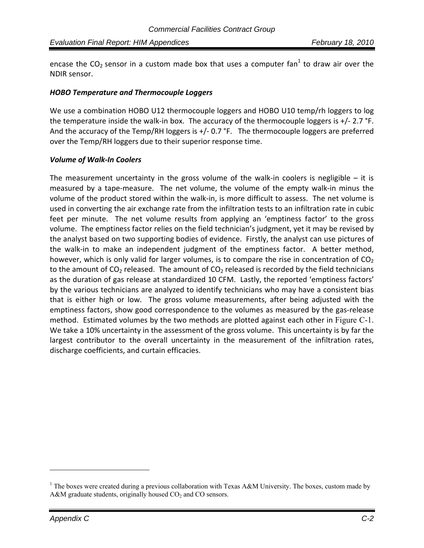encase the CO<sub>2</sub> sensor in a custom made box that uses a computer fan<sup>1</sup> to draw air over the NDIR sensor.

#### *HOBO Temperature and Thermocouple Loggers*

We use a combination HOBO U12 thermocouple loggers and HOBO U10 temp/rh loggers to log the temperature inside the walk-in box. The accuracy of the thermocouple loggers is  $+/- 2.7$  °F. And the accuracy of the Temp/RH loggers is +/- 0.7 °F. The thermocouple loggers are preferred over the Temp/RH loggers due to their superior response time.

#### *Volume of Walk‐In Coolers*

The measurement uncertainty in the gross volume of the walk-in coolers is negligible  $-$  it is measured by a tape-measure. The net volume, the volume of the empty walk-in minus the volume of the product stored within the walk‐in, is more difficult to assess. The net volume is used in converting the air exchange rate from the infiltration tests to an infiltration rate in cubic feet per minute. The net volume results from applying an 'emptiness factor' to the gross volume. The emptiness factor relies on the field technician's judgment, yet it may be revised by the analyst based on two supporting bodies of evidence. Firstly, the analyst can use pictures of the walk-in to make an independent judgment of the emptiness factor. A better method, however, which is only valid for larger volumes, is to compare the rise in concentration of  $CO<sub>2</sub>$ to the amount of  $CO<sub>2</sub>$  released. The amount of  $CO<sub>2</sub>$  released is recorded by the field technicians as the duration of gas release at standardized 10 CFM. Lastly, the reported 'emptiness factors' by the various technicians are analyzed to identify technicians who may have a consistent bias that is either high or low. The gross volume measurements, after being adjusted with the emptiness factors, show good correspondence to the volumes as measured by the gas-release method. Estimated volumes by the two methods are plotted against each other in Figure C-1. We take a 10% uncertainty in the assessment of the gross volume. This uncertainty is by far the largest contributor to the overall uncertainty in the measurement of the infiltration rates, discharge coefficients, and curtain efficacies.

1

<sup>&</sup>lt;sup>1</sup> The boxes were created during a previous collaboration with Texas A&M University. The boxes, custom made by A&M graduate students, originally housed  $CO<sub>2</sub>$  and CO sensors.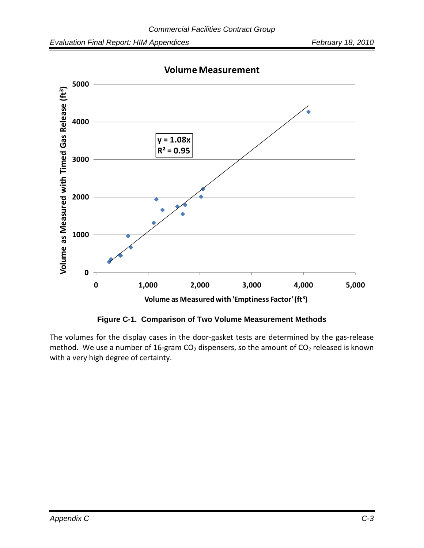

**Volume Measurement**

**Figure C-1. Comparison of Two Volume Measurement Methods** 

The volumes for the display cases in the door-gasket tests are determined by the gas-release method. We use a number of 16-gram  $CO<sub>2</sub>$  dispensers, so the amount of  $CO<sub>2</sub>$  released is known with a very high degree of certainty.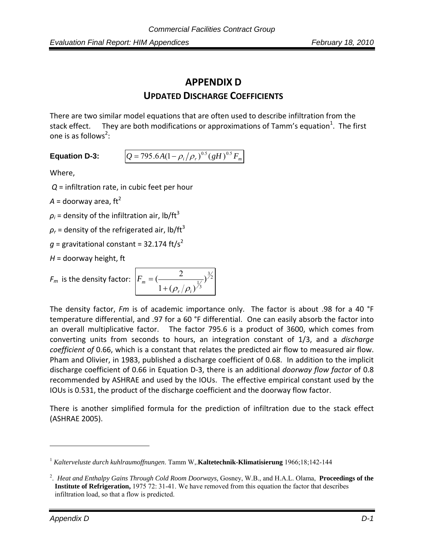# **APPENDIX D UPDATED DISCHARGE COEFFICIENTS**

There are two similar model equations that are often used to describe infiltration from the stack effect. They are both modifications or approximations of Tamm's equation<sup>1</sup>. The first one is as follows<sup>2</sup>:

**Equation D-3:**  $Q = 795.6 A (1 - \rho_i / \rho_r)^{0.5} (gH)^{0.5} F_m$ 

Where,

*Q* = infiltration rate, in cubic feet per hour

 $A =$  doorway area, ft<sup>2</sup>

 $\rho_i$  = density of the infiltration air, lb/ft<sup>3</sup>

 $\rho_r$  = density of the refrigerated air, lb/ft<sup>3</sup>

 $g =$  gravitational constant = 32.174 ft/s<sup>2</sup>

*H* = doorway height, ft

 $F_m$  is the density factor:

$$
F_m = \left(\frac{2}{1 + (\rho_r/\rho_i)^{\frac{1}{3}}}\right)^{\frac{3}{2}}
$$

The density factor, *Fm* is of academic importance only. The factor is about .98 for a 40 °F temperature differential, and .97 for a 60 °F differential. One can easily absorb the factor into an overall multiplicative factor. The factor 795.6 is a product of 3600, which comes from converting units from seconds to hours, an integration constant of 1/3, and a *discharge coefficient of* 0.66, which is a constant that relates the predicted air flow to measured air flow. Pham and Olivier, in 1983, published a discharge coefficient of 0.68. In addition to the implicit discharge coefficient of 0.66 in Equation D‐3, there is an additional *doorway flow factor* of 0.8 recommended by ASHRAE and used by the IOUs. The effective empirical constant used by the IOUs is 0.531, the product of the discharge coefficient and the doorway flow factor.

There is another simplified formula for the prediction of infiltration due to the stack effect (ASHRAE 2005).

 $\overline{a}$ 

<sup>1</sup> *Kalterveluste durch kuhlraumoffnungen*. Tamm W,.**Kaltetechnik-Klimatisierung** 1966;18;142-144

<sup>2</sup> . *Heat and Enthalpy Gains Through Cold Room Doorways,* Gosney, W.B., and H.A.L. Olama, **Proceedings of the Institute of Refrigeration,** 1975 72: 31-41. We have removed from this equation the factor that describes infiltration load, so that a flow is predicted.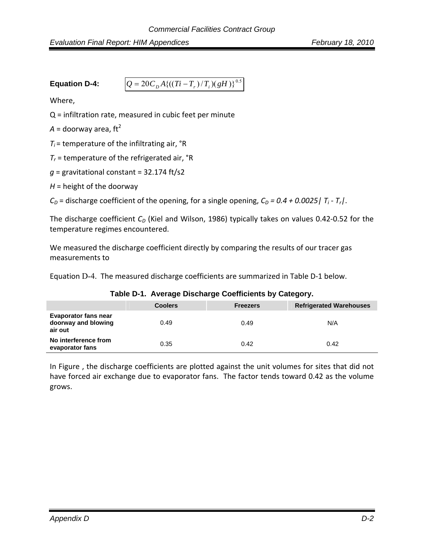*Evaluation Final Report: HIM Appendices* February 18, 2010

**Equation D-4:**  $Q = 20C_pA\{((Ti - T_r)/T_i)(gH)\}^{0.5}$ 

Where,

Q = infiltration rate, measured in cubic feet per minute

 $A =$  doorway area, ft<sup>2</sup>

 $T_i$  = temperature of the infiltrating air,  $\textdegree$ R

 $T_r$  = temperature of the refrigerated air,  $\textdegree$ R

 $q =$  gravitational constant = 32.174 ft/s2

 $H =$  height of the doorway

 $C_D$  = discharge coefficient of the opening, for a single opening,  $C_D$  = 0.4 + 0.0025 |  $T_i$  -  $T_r$  |.

The discharge coefficient  $C_D$  (Kiel and Wilson, 1986) typically takes on values 0.42-0.52 for the temperature regimes encountered.

We measured the discharge coefficient directly by comparing the results of our tracer gas measurements to

Equation D-4. The measured discharge coefficients are summarized in Table D‐1 below.

|                                                               | <b>Coolers</b> | <b>Freezers</b> | <b>Refrigerated Warehouses</b> |
|---------------------------------------------------------------|----------------|-----------------|--------------------------------|
| <b>Evaporator fans near</b><br>doorway and blowing<br>air out | 0.49           | 0.49            | N/A                            |
| No interference from<br>evaporator fans                       | 0.35           | 0.42            | 0.42                           |

**Table D-1. Average Discharge Coefficients by Category.** 

In Figure , the discharge coefficients are plotted against the unit volumes for sites that did not have forced air exchange due to evaporator fans. The factor tends toward 0.42 as the volume grows.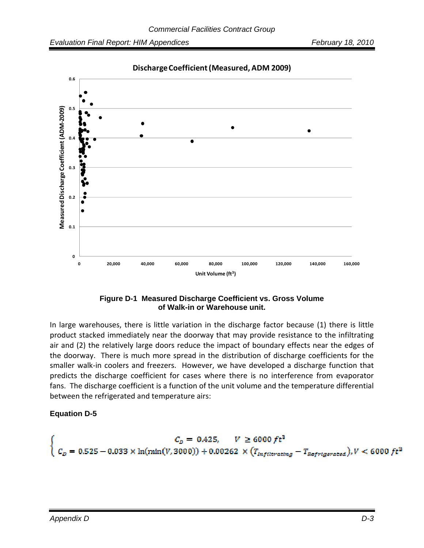

**DischargeCoefficient(Measured, ADM 2009)**

#### **Figure D-1 Measured Discharge Coefficient vs. Gross Volume of Walk-in or Warehouse unit.**

In large warehouses, there is little variation in the discharge factor because (1) there is little product stacked immediately near the doorway that may provide resistance to the infiltrating air and (2) the relatively large doors reduce the impact of boundary effects near the edges of the doorway. There is much more spread in the distribution of discharge coefficients for the smaller walk-in coolers and freezers. However, we have developed a discharge function that predicts the discharge coefficient for cases where there is no interference from evaporator fans. The discharge coefficient is a function of the unit volume and the temperature differential between the refrigerated and temperature airs:

#### **Equation D-5**

$$
\begin{cases}\nC_D = 0.425, & V \ge 6000 \, ft^3 \\
C_D = 0.525 - 0.033 \times \ln(\min(V, 3000)) + 0.00262 \times (T_{Infilterating} - T_{Refrigerated}), & V < 6000 \, ft^3\n\end{cases}
$$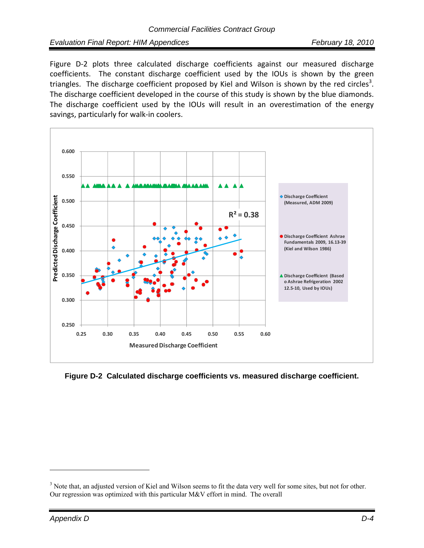*Evaluation Final Report: HIM Appendices February 18, 2010*

Figure D-2 plots three calculated discharge coefficients against our measured discharge coefficients. The constant discharge coefficient used by the IOUs is shown by the green triangles. The discharge coefficient proposed by Kiel and Wilson is shown by the red circles<sup>3</sup>. The discharge coefficient developed in the course of this study is shown by the blue diamonds. The discharge coefficient used by the IOUs will result in an overestimation of the energy savings, particularly for walk‐in coolers.



**Figure D-2 Calculated discharge coefficients vs. measured discharge coefficient.** 

 $\overline{a}$ 

 $3$  Note that, an adjusted version of Kiel and Wilson seems to fit the data very well for some sites, but not for other. Our regression was optimized with this particular M&V effort in mind. The overall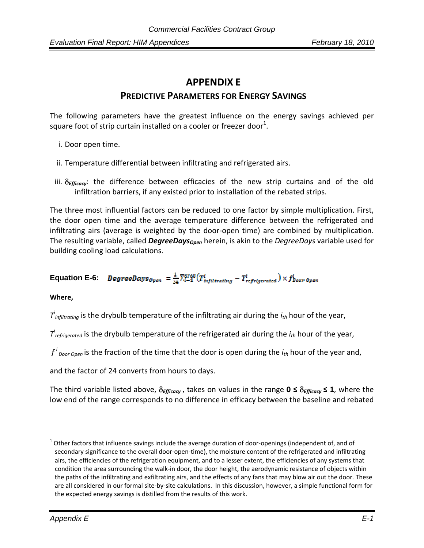# **APPENDIX E**

## **PREDICTIVE PARAMETERS FOR ENERGY SAVINGS**

The following parameters have the greatest influence on the energy savings achieved per square foot of strip curtain installed on a cooler or freezer door $^1$ .

- i. Door open time.
- ii. Temperature differential between infiltrating and refrigerated airs.
- iii. δ*Efficacy*: the difference between efficacies of the new strip curtains and of the old infiltration barriers, if any existed prior to installation of the rebated strips.

The three most influential factors can be reduced to one factor by simple multiplication. First, the door open time and the average temperature difference between the refrigerated and infiltrating airs (average is weighted by the door‐open time) are combined by multiplication. The resulting variable, called *DegreeDays<sub>Open</sub>* herein, is akin to the *DegreeDays* variable used for building cooling load calculations.

# **Equation E-6:** DegreeDays<sub>Open</sub> =  $\frac{1}{24} \sum_{i=1}^{8760} (T_{inflitrating}^i - T_{refrigerated}^i) \times f_{Door\,Open}^i$

#### **Where,**

<u>.</u>

*Ti infiltrating* is the drybulb temperature of the infiltrating air during the *ith* hour of the year,

*Ti refrigerated* is the drybulb temperature of the refrigerated air during the *ith* hour of the year,

*f i Door Open* is the fraction of the time that the door is open during the *ith* hour of the year and,

and the factor of 24 converts from hours to days.

The third variable listed above, δ*Efficacy* , takes on values in the range **0 ≤** δ*Efficacy* **≤ 1**, where the low end of the range corresponds to no difference in efficacy between the baseline and rebated

 $1$  Other factors that influence savings include the average duration of door-openings (independent of, and of secondary significance to the overall door-open-time), the moisture content of the refrigerated and infiltrating airs, the efficiencies of the refrigeration equipment, and to a lesser extent, the efficiencies of any systems that condition the area surrounding the walk‐in door, the door height, the aerodynamic resistance of objects within the paths of the infiltrating and exfiltrating airs, and the effects of any fans that may blow air out the door. These are all considered in our formal site-by-site calculations. In this discussion, however, a simple functional form for the expected energy savings is distilled from the results of this work.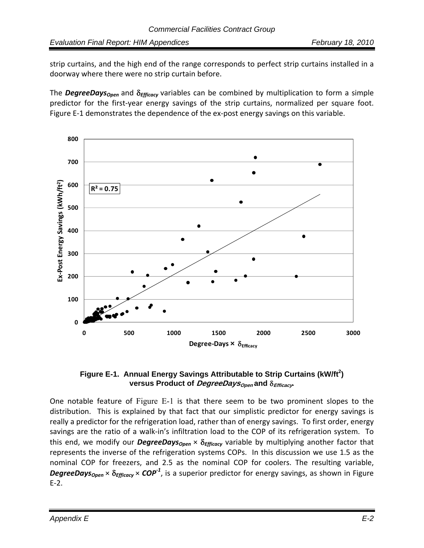*Evaluation Final Report: HIM Appendices February 18, 2010*

strip curtains, and the high end of the range corresponds to perfect strip curtains installed in a doorway where there were no strip curtain before.

The **DegreeDays<sub>Open</sub>** and δ<sub>*Efficacy* variables can be combined by multiplication to form a simple</sub> predictor for the first‐year energy savings of the strip curtains, normalized per square foot. Figure E-1 demonstrates the dependence of the ex-post energy savings on this variable.



#### Figure E-1. Annual Energy Savings Attributable to Strip Curtains (kW/ft<sup>2</sup>) **versus Product of** *DegreeDays***<sub>Open</sub> and δ***Efficacy***.**

One notable feature of Figure E-1 is that there seem to be two prominent slopes to the distribution. This is explained by that fact that our simplistic predictor for energy savings is really a predictor for the refrigeration load, rather than of energy savings. To first order, energy savings are the ratio of a walk-in's infiltration load to the COP of its refrigeration system. To this end, we modify our *DegreeDays<sub>Open</sub>* × δ<sub>*Efficacy* variable by multiplying another factor that</sub> represents the inverse of the refrigeration systems COPs. In this discussion we use 1.5 as the nominal COP for freezers, and 2.5 as the nominal COP for coolers. The resulting variable, *DegreeDaysOpen* × δ*Efficacy* × *COP‐<sup>1</sup>* , is a superior predictor for energy savings, as shown in Figure E‐2.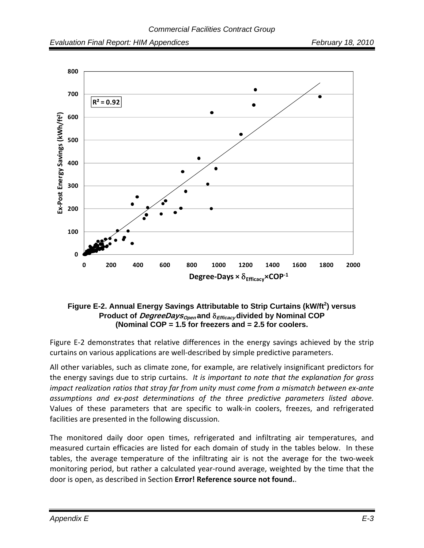

#### Figure E-2. Annual Energy Savings Attributable to Strip Curtains (kW/ft<sup>2</sup>) versus **Product of DegreeDaysOpen and** δ**Efficacy divided by Nominal COP (Nominal COP = 1.5 for freezers and = 2.5 for coolers.**

Figure E-2 demonstrates that relative differences in the energy savings achieved by the strip curtains on various applications are well‐described by simple predictive parameters.

All other variables, such as climate zone, for example, are relatively insignificant predictors for the energy savings due to strip curtains. *It is important to note that the explanation for gross impact realization ratios that stray far from unity must come from a mismatch between ex‐ante assumptions and ex‐post determinations of the three predictive parameters listed above.* Values of these parameters that are specific to walk‐in coolers, freezes, and refrigerated facilities are presented in the following discussion.

The monitored daily door open times, refrigerated and infiltrating air temperatures, and measured curtain efficacies are listed for each domain of study in the tables below. In these tables, the average temperature of the infiltrating air is not the average for the two-week monitoring period, but rather a calculated year‐round average, weighted by the time that the door is open, as described in Section **Error! Reference source not found.**.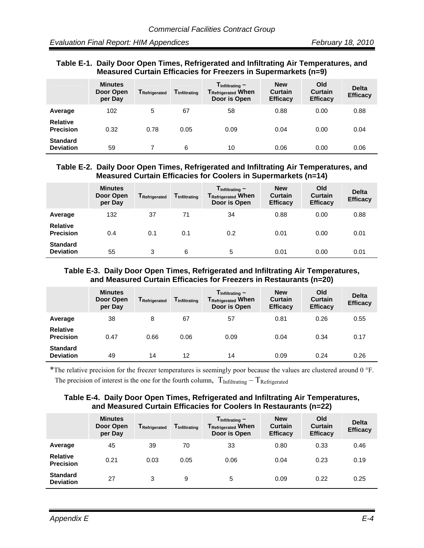#### **Table E-1. Daily Door Open Times, Refrigerated and Infiltrating Air Temperatures, and Measured Curtain Efficacies for Freezers in Supermarkets (n=9)**

|                                     | <b>Minutes</b><br>Door Open<br>per Day | T <sub>Refrigerated</sub> | <b>T</b> Infiltrating | $T_{\text{Infiltrating}} -$<br><b>TRefrigerated When</b><br>Door is Open | <b>New</b><br>Curtain<br><b>Efficacy</b> | Old<br><b>Curtain</b><br><b>Efficacy</b> | <b>Delta</b><br><b>Efficacy</b> |
|-------------------------------------|----------------------------------------|---------------------------|-----------------------|--------------------------------------------------------------------------|------------------------------------------|------------------------------------------|---------------------------------|
| Average                             | 102                                    | 5                         | 67                    | 58                                                                       | 0.88                                     | 0.00                                     | 0.88                            |
| <b>Relative</b><br><b>Precision</b> | 0.32                                   | 0.78                      | 0.05                  | 0.09                                                                     | 0.04                                     | 0.00                                     | 0.04                            |
| <b>Standard</b><br><b>Deviation</b> | 59                                     |                           | 6                     | 10                                                                       | 0.06                                     | 0.00                                     | 0.06                            |

#### **Table E-2. Daily Door Open Times, Refrigerated and Infiltrating Air Temperatures, and Measured Curtain Efficacies for Coolers in Supermarkets (n=14)**

|                                     | <b>Minutes</b><br>Door Open<br>per Day | TRefrigerated | <b>T</b> Infiltrating | $T_{\text{Infiltrating}} -$<br><b>TRefrigerated When</b><br>Door is Open | <b>New</b><br>Curtain<br><b>Efficacy</b> | Old<br><b>Curtain</b><br><b>Efficacy</b> | <b>Delta</b><br><b>Efficacy</b> |
|-------------------------------------|----------------------------------------|---------------|-----------------------|--------------------------------------------------------------------------|------------------------------------------|------------------------------------------|---------------------------------|
| Average                             | 132                                    | 37            | 71                    | 34                                                                       | 0.88                                     | 0.00                                     | 0.88                            |
| <b>Relative</b><br><b>Precision</b> | 0.4                                    | 0.1           | 0.1                   | 0.2                                                                      | 0.01                                     | 0.00                                     | 0.01                            |
| <b>Standard</b><br><b>Deviation</b> | 55                                     | 3             | 6                     | 5                                                                        | 0.01                                     | 0.00                                     | 0.01                            |

#### **Table E-3. Daily Door Open Times, Refrigerated and Infiltrating Air Temperatures, and Measured Curtain Efficacies for Freezers in Restaurants (n=20)**

|                                     | <b>Minutes</b><br>Door Open<br>per Day | TRefrigerated | <b>T</b> Infiltrating | $T_{\text{Infiltrating}} -$<br><b>TRefrigerated When</b><br>Door is Open | <b>New</b><br>Curtain<br><b>Efficacy</b> | Old<br><b>Curtain</b><br><b>Efficacy</b> | <b>Delta</b><br><b>Efficacy</b> |
|-------------------------------------|----------------------------------------|---------------|-----------------------|--------------------------------------------------------------------------|------------------------------------------|------------------------------------------|---------------------------------|
| Average                             | 38                                     | 8             | 67                    | 57                                                                       | 0.81                                     | 0.26                                     | 0.55                            |
| <b>Relative</b><br><b>Precision</b> | 0.47                                   | 0.66          | 0.06                  | 0.09                                                                     | 0.04                                     | 0.34                                     | 0.17                            |
| <b>Standard</b><br><b>Deviation</b> | 49                                     | 14            | 12                    | 14                                                                       | 0.09                                     | 0.24                                     | 0.26                            |

\*The relative precision for the freezer temperatures is seemingly poor because the values are clustered around 0 °F.

The precision of interest is the one for the fourth column,  $T_{\text{Infillating}} - T_{\text{Refrigerated}}$ 

#### **Table E-4. Daily Door Open Times, Refrigerated and Infiltrating Air Temperatures, and Measured Curtain Efficacies for Coolers In Restaurants (n=22)**

|                                     | <b>Minutes</b><br>Door Open<br>per Day | <b>T</b> Refrigerated | <b>T</b> Infiltrating | $T_{\text{Infiltrating}} -$<br><b>TRefrigerated When</b><br>Door is Open | <b>New</b><br>Curtain<br><b>Efficacy</b> | Old<br><b>Curtain</b><br><b>Efficacy</b> | <b>Delta</b><br><b>Efficacy</b> |
|-------------------------------------|----------------------------------------|-----------------------|-----------------------|--------------------------------------------------------------------------|------------------------------------------|------------------------------------------|---------------------------------|
| Average                             | 45                                     | 39                    | 70                    | 33                                                                       | 0.80                                     | 0.33                                     | 0.46                            |
| <b>Relative</b><br><b>Precision</b> | 0.21                                   | 0.03                  | 0.05                  | 0.06                                                                     | 0.04                                     | 0.23                                     | 0.19                            |
| <b>Standard</b><br><b>Deviation</b> | 27                                     | 3                     | 9                     | 5                                                                        | 0.09                                     | 0.22                                     | 0.25                            |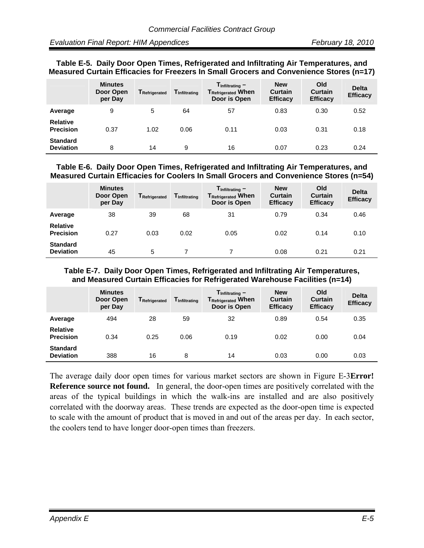#### **Table E-5. Daily Door Open Times, Refrigerated and Infiltrating Air Temperatures, and Measured Curtain Efficacies for Freezers In Small Grocers and Convenience Stores (n=17)**

|                                     | <b>Minutes</b><br>Door Open<br>per Day | TRefrigerated | <b>T</b> Infiltrating | $T_{\text{Infiltrating}} -$<br><b>TRefrigerated When</b><br>Door is Open | <b>New</b><br>Curtain<br><b>Efficacy</b> | Old<br><b>Curtain</b><br><b>Efficacy</b> | <b>Delta</b><br><b>Efficacy</b> |
|-------------------------------------|----------------------------------------|---------------|-----------------------|--------------------------------------------------------------------------|------------------------------------------|------------------------------------------|---------------------------------|
| Average                             | 9                                      | 5             | 64                    | 57                                                                       | 0.83                                     | 0.30                                     | 0.52                            |
| <b>Relative</b><br><b>Precision</b> | 0.37                                   | 1.02          | 0.06                  | 0.11                                                                     | 0.03                                     | 0.31                                     | 0.18                            |
| <b>Standard</b><br><b>Deviation</b> | 8                                      | 14            | 9                     | 16                                                                       | 0.07                                     | 0.23                                     | 0.24                            |

#### **Table E-6. Daily Door Open Times, Refrigerated and Infiltrating Air Temperatures, and Measured Curtain Efficacies for Coolers In Small Grocers and Convenience Stores (n=54)**

|                                     | <b>Minutes</b><br>Door Open<br>per Day | <b>TRefrigerated</b> | <b>T</b> Infiltrating | $T_{\text{Infiltrating}} -$<br><b>TRefrigerated When</b><br>Door is Open | <b>New</b><br>Curtain<br><b>Efficacy</b> | Old<br><b>Curtain</b><br><b>Efficacy</b> | <b>Delta</b><br><b>Efficacy</b> |
|-------------------------------------|----------------------------------------|----------------------|-----------------------|--------------------------------------------------------------------------|------------------------------------------|------------------------------------------|---------------------------------|
| Average                             | 38                                     | 39                   | 68                    | 31                                                                       | 0.79                                     | 0.34                                     | 0.46                            |
| <b>Relative</b><br><b>Precision</b> | 0.27                                   | 0.03                 | 0.02                  | 0.05                                                                     | 0.02                                     | 0.14                                     | 0.10                            |
| <b>Standard</b><br><b>Deviation</b> | 45                                     | 5                    |                       |                                                                          | 0.08                                     | 0.21                                     | 0.21                            |

#### **Table E-7. Daily Door Open Times, Refrigerated and Infiltrating Air Temperatures, and Measured Curtain Efficacies for Refrigerated Warehouse Facilities (n=14)**

|                                     | <b>Minutes</b><br>Door Open<br>per Day | TRefrigerated | <b>T</b> Infiltrating | $T_{\text{Infiltrating}} -$<br><b>TRefrigerated When</b><br>Door is Open | <b>New</b><br>Curtain<br><b>Efficacy</b> | Old<br><b>Curtain</b><br><b>Efficacy</b> | <b>Delta</b><br><b>Efficacy</b> |
|-------------------------------------|----------------------------------------|---------------|-----------------------|--------------------------------------------------------------------------|------------------------------------------|------------------------------------------|---------------------------------|
| Average                             | 494                                    | 28            | 59                    | 32                                                                       | 0.89                                     | 0.54                                     | 0.35                            |
| <b>Relative</b><br><b>Precision</b> | 0.34                                   | 0.25          | 0.06                  | 0.19                                                                     | 0.02                                     | 0.00                                     | 0.04                            |
| <b>Standard</b><br><b>Deviation</b> | 388                                    | 16            | 8                     | 14                                                                       | 0.03                                     | 0.00                                     | 0.03                            |

The average daily door open times for various market sectors are shown in Figure E-3**Error! Reference source not found.** In general, the door-open times are positively correlated with the areas of the typical buildings in which the walk-ins are installed and are also positively correlated with the doorway areas. These trends are expected as the door-open time is expected to scale with the amount of product that is moved in and out of the areas per day. In each sector, the coolers tend to have longer door-open times than freezers.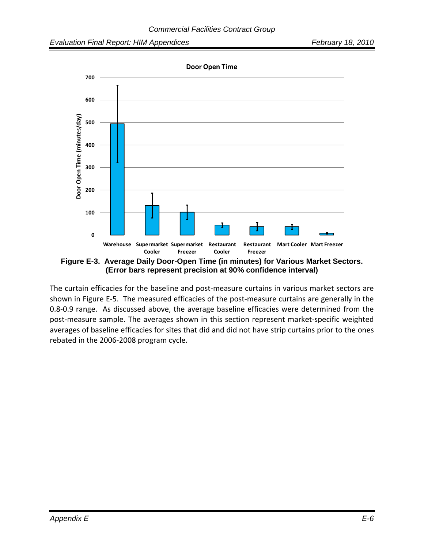

The curtain efficacies for the baseline and post-measure curtains in various market sectors are shown in Figure E-5. The measured efficacies of the post-measure curtains are generally in the 0.8‐0.9 range. As discussed above, the average baseline efficacies were determined from the post-measure sample. The averages shown in this section represent market-specific weighted averages of baseline efficacies for sites that did and did not have strip curtains prior to the ones rebated in the 2006‐2008 program cycle.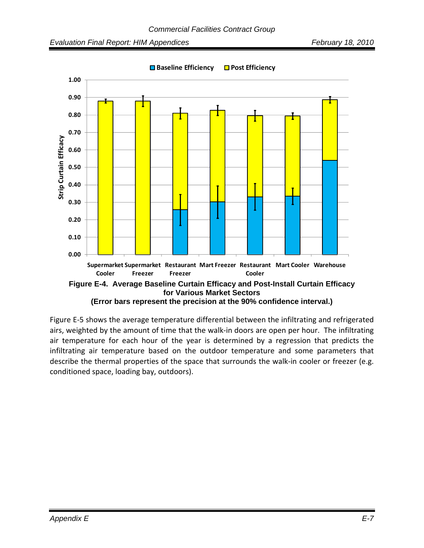

Figure E‐5 shows the average temperature differential between the infiltrating and refrigerated airs, weighted by the amount of time that the walk‐in doors are open per hour. The infiltrating air temperature for each hour of the year is determined by a regression that predicts the infiltrating air temperature based on the outdoor temperature and some parameters that describe the thermal properties of the space that surrounds the walk-in cooler or freezer (e.g. conditioned space, loading bay, outdoors).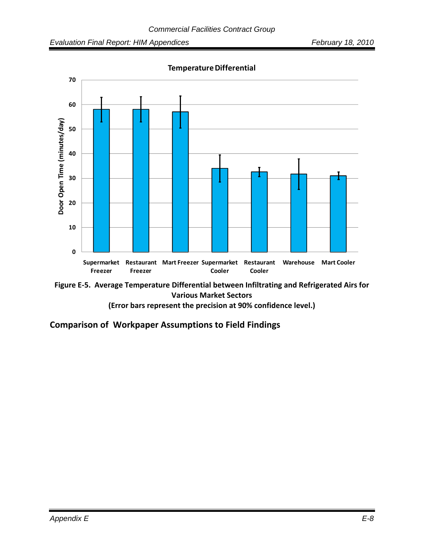



**(Error bars represent the precision at 90% confidence level.)**

**Comparison of Workpaper Assumptions to Field Findings**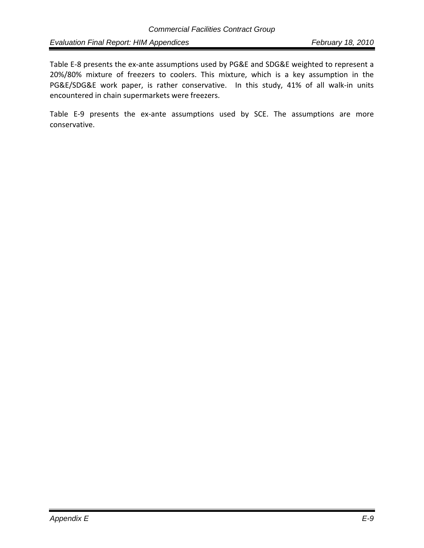*Evaluation Final Report: HIM Appendices* February 18, 2010

Table E-8 presents the ex-ante assumptions used by PG&E and SDG&E weighted to represent a 20%/80% mixture of freezers to coolers. This mixture, which is a key assumption in the PG&E/SDG&E work paper, is rather conservative. In this study, 41% of all walk‐in units encountered in chain supermarkets were freezers.

Table E-9 presents the ex-ante assumptions used by SCE. The assumptions are more conservative.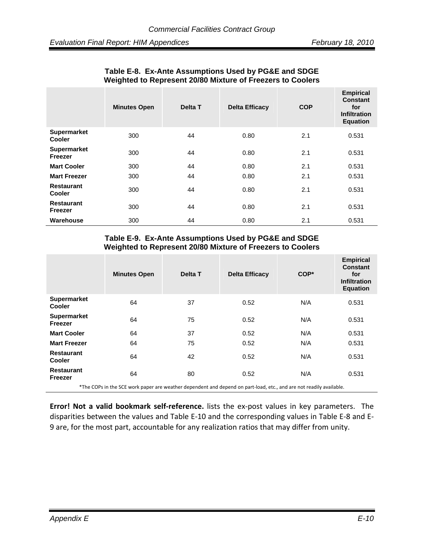|                                     | <b>Minutes Open</b> | Delta T | <b>Delta Efficacy</b> | <b>COP</b> | <b>Empirical</b><br><b>Constant</b><br>for<br><b>Infiltration</b><br><b>Equation</b> |
|-------------------------------------|---------------------|---------|-----------------------|------------|--------------------------------------------------------------------------------------|
| <b>Supermarket</b><br><b>Cooler</b> | 300                 | 44      | 0.80                  | 2.1        | 0.531                                                                                |
| Supermarket<br>Freezer              | 300                 | 44      | 0.80                  | 2.1        | 0.531                                                                                |
| <b>Mart Cooler</b>                  | 300                 | 44      | 0.80                  | 2.1        | 0.531                                                                                |
| <b>Mart Freezer</b>                 | 300                 | 44      | 0.80                  | 2.1        | 0.531                                                                                |
| <b>Restaurant</b><br><b>Cooler</b>  | 300                 | 44      | 0.80                  | 2.1        | 0.531                                                                                |
| <b>Restaurant</b><br>Freezer        | 300                 | 44      | 0.80                  | 2.1        | 0.531                                                                                |
| Warehouse                           | 300                 | 44      | 0.80                  | 2.1        | 0.531                                                                                |

#### **Table E-8. Ex-Ante Assumptions Used by PG&E and SDGE Weighted to Represent 20/80 Mixture of Freezers to Coolers**

#### **Table E-9. Ex-Ante Assumptions Used by PG&E and SDGE Weighted to Represent 20/80 Mixture of Freezers to Coolers**

|                                     | <b>Minutes Open</b>                                                                                                 | Delta T | <b>Delta Efficacy</b> | COP* | <b>Empirical</b><br><b>Constant</b><br>for<br><b>Infiltration</b><br><b>Equation</b> |
|-------------------------------------|---------------------------------------------------------------------------------------------------------------------|---------|-----------------------|------|--------------------------------------------------------------------------------------|
| <b>Supermarket</b><br><b>Cooler</b> | 64                                                                                                                  | 37      | 0.52                  | N/A  | 0.531                                                                                |
| <b>Supermarket</b><br>Freezer       | 64                                                                                                                  | 75      | 0.52                  | N/A  | 0.531                                                                                |
| <b>Mart Cooler</b>                  | 64                                                                                                                  | 37      | 0.52                  | N/A  | 0.531                                                                                |
| <b>Mart Freezer</b>                 | 64                                                                                                                  | 75      | 0.52                  | N/A  | 0.531                                                                                |
| <b>Restaurant</b><br><b>Cooler</b>  | 64                                                                                                                  | 42      | 0.52                  | N/A  | 0.531                                                                                |
| <b>Restaurant</b><br>Freezer        | 64                                                                                                                  | 80      | 0.52                  | N/A  | 0.531                                                                                |
|                                     | of the CODs in the SCE werk paper are weather dependent and depend on part lead, etc. and are not readily available |         |                       |      |                                                                                      |

The COPs in the SCE work paper are weather dependent and depend on part-load, etc., and are not readily available.

**Error! Not a valid bookmark self‐reference.** lists the ex‐post values in key parameters. The disparities between the values and Table E‐10 and the corresponding values in Table E‐8 and E‐ 9 are, for the most part, accountable for any realization ratios that may differ from unity.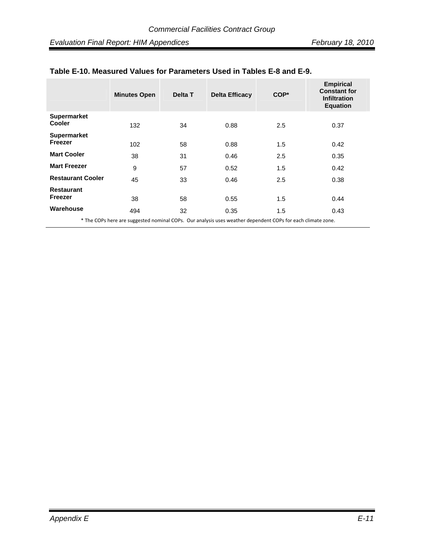|                                     | <b>Minutes Open</b>                                                                                         | Delta T | <b>Delta Efficacy</b> | $COP*$ | <b>Empirical</b><br><b>Constant for</b><br><b>Infiltration</b><br><b>Equation</b> |
|-------------------------------------|-------------------------------------------------------------------------------------------------------------|---------|-----------------------|--------|-----------------------------------------------------------------------------------|
| <b>Supermarket</b><br><b>Cooler</b> | 132                                                                                                         | 34      | 0.88                  | 2.5    | 0.37                                                                              |
| <b>Supermarket</b><br>Freezer       | 102                                                                                                         | 58      | 0.88                  | 1.5    | 0.42                                                                              |
| <b>Mart Cooler</b>                  | 38                                                                                                          | 31      | 0.46                  | 2.5    | 0.35                                                                              |
| <b>Mart Freezer</b>                 | 9                                                                                                           | 57      | 0.52                  | 1.5    | 0.42                                                                              |
| <b>Restaurant Cooler</b>            | 45                                                                                                          | 33      | 0.46                  | 2.5    | 0.38                                                                              |
| <b>Restaurant</b><br>Freezer        | 38                                                                                                          | 58      | 0.55                  | 1.5    | 0.44                                                                              |
| Warehouse                           | 494                                                                                                         | 32      | 0.35                  | 1.5    | 0.43                                                                              |
|                                     | * The COPs here are suggested nominal COPs. Our analysis uses weather dependent COPs for each climate zone. |         |                       |        |                                                                                   |

#### **Table E-10. Measured Values for Parameters Used in Tables E-8 and E-9.**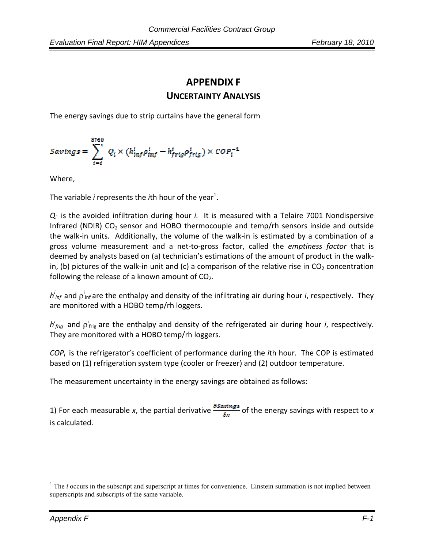# **APPENDIX F**

### **UNCERTAINTY ANALYSIS**

The energy savings due to strip curtains have the general form

$$
Savings = \sum_{i=i}^{8760} Q_i \times (h_{inf}^i \rho_{inf}^i - h_{frig}^i \rho_{frig}^i) \times COP_i^{-1}
$$

Where,

The variable *i* represents the *i*th hour of the year<sup>1</sup>.

*Q<sub>i</sub>* is the avoided infiltration during hour *i*. It is measured with a Telaire 7001 Nondispersive Infrared (NDIR)  $CO<sub>2</sub>$  sensor and HOBO thermocouple and temp/rh sensors inside and outside the walk‐in units. Additionally, the volume of the walk‐in is estimated by a combination of a gross volume measurement and a net‐to‐gross factor, called the *emptiness factor* that is deemed by analysts based on (a) technician's estimations of the amount of product in the walk‐ in, (b) pictures of the walk-in unit and (c) a comparison of the relative rise in  $CO<sub>2</sub>$  concentration following the release of a known amount of  $CO<sub>2</sub>$ .

*h*<sup>i</sup><sub>inf</sub> and ρ<sup>i</sup><sub>inf</sub> are the enthalpy and density of the infiltrating air during hour *i*, respectively. They are monitored with a HOBO temp/rh loggers.

 $h_{frig}^i$  and  $\rho_{frig}^i$  are the enthalpy and density of the refrigerated air during hour *i*, respectively. They are monitored with a HOBO temp/rh loggers.

*COPi* is the refrigerator's coefficient of performance during the *i*th hour. The COP is estimated based on (1) refrigeration system type (cooler or freezer) and (2) outdoor temperature.

The measurement uncertainty in the energy savings are obtained as follows:

1) For each measurable *x*, the partial derivative  $\frac{\partial S_{\alpha} \text{sum}}{\partial x}$  of the energy savings with respect to *x* is calculated.

 $\overline{a}$ 

 $<sup>1</sup>$  The *i* occurs in the subscript and superscript at times for convenience. Einstein summation is not implied between</sup> superscripts and subscripts of the same variable.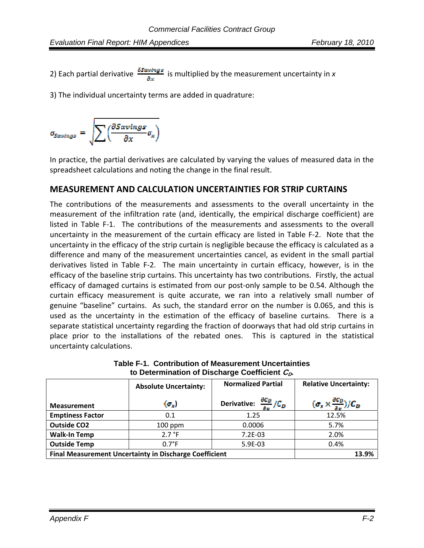2) Each partial derivative  $\frac{65 \text{avings}}{8 \text{ m}}$  is multiplied by the measurement uncertainty in x

3) The individual uncertainty terms are added in quadrature:

$$
a_{Savings} = \sqrt{\sum \left(\frac{\partial Savings}{\partial x} \sigma_x\right)}
$$

In practice, the partial derivatives are calculated by varying the values of measured data in the spreadsheet calculations and noting the change in the final result.

#### **MEASUREMENT AND CALCULATION UNCERTAINTIES FOR STRIP CURTAINS**

The contributions of the measurements and assessments to the overall uncertainty in the measurement of the infiltration rate (and, identically, the empirical discharge coefficient) are listed in Table F-1. The contributions of the measurements and assessments to the overall uncertainty in the measurement of the curtain efficacy are listed in Table F‐2. Note that the uncertainty in the efficacy of the strip curtain is negligible because the efficacy is calculated as a difference and many of the measurement uncertainties cancel, as evident in the small partial derivatives listed in Table F‐2. The main uncertainty in curtain efficacy, however, is in the efficacy of the baseline strip curtains. This uncertainty has two contributions. Firstly, the actual efficacy of damaged curtains is estimated from our post‐only sample to be 0.54. Although the curtain efficacy measurement is quite accurate, we ran into a relatively small number of genuine "baseline" curtains. As such, the standard error on the number is 0.065, and this is used as the uncertainty in the estimation of the efficacy of baseline curtains. There is a separate statistical uncertainty regarding the fraction of doorways that had old strip curtains in place prior to the installations of the rebated ones. This is captured in the statistical uncertainty calculations.

|                         | <b>Absolute Uncertainty:</b>                                  | <b>Relative Uncertainty:</b>                      |                                                         |  |  |  |
|-------------------------|---------------------------------------------------------------|---------------------------------------------------|---------------------------------------------------------|--|--|--|
| <b>Measurement</b>      | $(\sigma_x)$                                                  | Derivative: $\frac{\partial C_D}{\partial r}/C_D$ | $(\sigma_x \times \frac{\partial C_D}{\partial x})/C_D$ |  |  |  |
| <b>Emptiness Factor</b> | 0.1                                                           | 1.25                                              | 12.5%                                                   |  |  |  |
| <b>Outside CO2</b>      | $100$ ppm                                                     | 0.0006                                            | 5.7%                                                    |  |  |  |
| <b>Walk-In Temp</b>     | 2.7 °F                                                        | $7.2E-03$                                         | 2.0%                                                    |  |  |  |
| <b>Outside Temp</b>     | $0.7^{\circ}$ F                                               | 5.9E-03                                           | 0.4%                                                    |  |  |  |
|                         | <b>Final Measurement Uncertainty in Discharge Coefficient</b> |                                                   |                                                         |  |  |  |

**Table F-1. Contribution of Measurement Uncertainties to Determination of Discharge Coefficient**  $C_{\Omega}$ **.**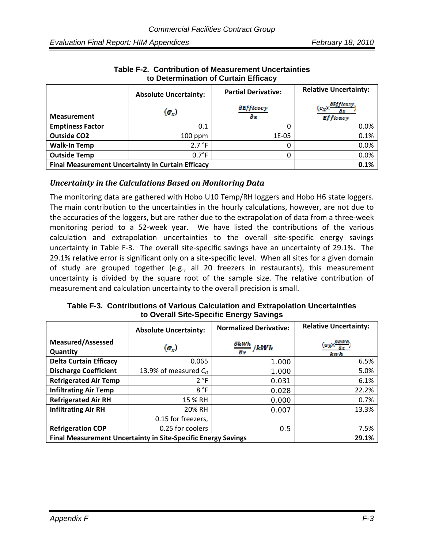|                                                          | <b>Absolute Uncertainty:</b> | <b>Partial Derivative:</b>     | <b>Relative Uncertainty:</b>                                                          |
|----------------------------------------------------------|------------------------------|--------------------------------|---------------------------------------------------------------------------------------|
| <b>Measurement</b>                                       | $(\sigma_x)$                 | <i><b>AEfficacy</b></i><br>ax. | <b><i><u>OFfficacy</u></i></b><br>$[\sigma_2]$ X $\bar{ }$<br>an a<br><b>Efficacy</b> |
| <b>Emptiness Factor</b>                                  | 0.1                          |                                | 0.0%                                                                                  |
| <b>Outside CO2</b>                                       | $100$ ppm                    | 1E-05                          | 0.1%                                                                                  |
| <b>Walk-In Temp</b>                                      | 2.7 °F                       |                                | 0.0%                                                                                  |
| <b>Outside Temp</b>                                      | $0.7^{\circ}F$               |                                | 0.0%                                                                                  |
| <b>Final Measurement Uncertainty in Curtain Efficacy</b> | 0.1%                         |                                |                                                                                       |

**Table F-2. Contribution of Measurement Uncertainties to Determination of Curtain Efficacy** 

#### *Uncertainty in the Calculations Based on Monitoring Data*

The monitoring data are gathered with Hobo U10 Temp/RH loggers and Hobo H6 state loggers. The main contribution to the uncertainties in the hourly calculations, however, are not due to the accuracies of the loggers, but are rather due to the extrapolation of data from a three‐week monitoring period to a 52‐week year. We have listed the contributions of the various calculation and extrapolation uncertainties to the overall site‐specific energy savings uncertainty in Table F-3. The overall site-specific savings have an uncertainty of 29.1%. The 29.1% relative error is significant only on a site-specific level. When all sites for a given domain of study are grouped together (e.g., all 20 freezers in restaurants), this measurement uncertainty is divided by the square root of the sample size. The relative contribution of measurement and calculation uncertainty to the overall precision is small.

**Table F-3. Contributions of Various Calculation and Extrapolation Uncertainties to Overall Site-Specific Energy Savings** 

|                                                                      | <b>Absolute Uncertainty:</b> | <b>Normalized Derivative:</b>         | <b>Relative Uncertainty:</b>                                                   |
|----------------------------------------------------------------------|------------------------------|---------------------------------------|--------------------------------------------------------------------------------|
| <b>Measured/Assessed</b><br>Quantity                                 | $(\sigma_x)$                 | $\frac{\partial kWh}{\partial x}/kWh$ | $(\sigma_{\rm X} \!\times\! \frac{\sigma_{RWD_{\rm t}}}{\sigma}$<br><b>RWA</b> |
| <b>Delta Curtain Efficacy</b>                                        | 0.065                        | 1.000                                 | 6.5%                                                                           |
| <b>Discharge Coefficient</b>                                         | 13.9% of measured $C0$       | 1.000                                 | 5.0%                                                                           |
| <b>Refrigerated Air Temp</b>                                         | 2 °F                         | 0.031                                 | 6.1%                                                                           |
| <b>Infiltrating Air Temp</b>                                         | 8 °F                         | 0.028                                 | 22.2%                                                                          |
| <b>Refrigerated Air RH</b>                                           | 15 % RH                      | 0.000                                 | 0.7%                                                                           |
| <b>Infiltrating Air RH</b>                                           | 20% RH                       | 0.007                                 | 13.3%                                                                          |
|                                                                      | 0.15 for freezers,           |                                       |                                                                                |
| <b>Refrigeration COP</b>                                             | 0.25 for coolers             | 0.5                                   | 7.5%                                                                           |
| <b>Final Measurement Uncertainty in Site-Specific Energy Savings</b> | 29.1%                        |                                       |                                                                                |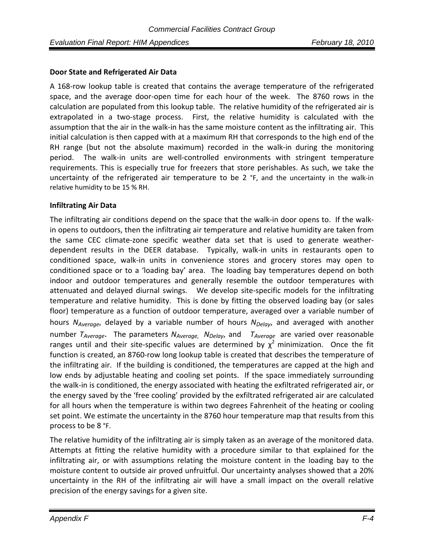#### **Door State and Refrigerated Air Data**

A 168‐row lookup table is created that contains the average temperature of the refrigerated space, and the average door-open time for each hour of the week. The 8760 rows in the calculation are populated from this lookup table. The relative humidity of the refrigerated air is extrapolated in a two-stage process. First, the relative humidity is calculated with the assumption that the air in the walk‐in has the same moisture content as the infiltrating air. This initial calculation is then capped with at a maximum RH that corresponds to the high end of the RH range (but not the absolute maximum) recorded in the walk-in during the monitoring period. The walk-in units are well-controlled environments with stringent temperature requirements. This is especially true for freezers that store perishables. As such, we take the uncertainty of the refrigerated air temperature to be 2 °F, and the uncertainty in the walk-in relative humidity to be 15 % RH.

#### **Infiltrating Air Data**

The infiltrating air conditions depend on the space that the walk-in door opens to. If the walkin opens to outdoors, then the infiltrating air temperature and relative humidity are taken from the same CEC climate‐zone specific weather data set that is used to generate weather‐ dependent results in the DEER database. Typically, walk‐in units in restaurants open to conditioned space, walk‐in units in convenience stores and grocery stores may open to conditioned space or to a 'loading bay' area. The loading bay temperatures depend on both indoor and outdoor temperatures and generally resemble the outdoor temperatures with attenuated and delayed diurnal swings. We develop site‐specific models for the infiltrating temperature and relative humidity. This is done by fitting the observed loading bay (or sales floor) temperature as a function of outdoor temperature, averaged over a variable number of hours *N<sub>Average*, delayed by a variable number of hours *N<sub>Delav*</sub>, and averaged with another</sub> number  $T_{Average}$ . The parameters  $N_{Average}$ ,  $N_{Delay}$  and  $T_{Average}$  are varied over reasonable ranges until and their site-specific values are determined by  $\chi^2$  minimization. Once the fit function is created, an 8760-row long lookup table is created that describes the temperature of the infiltrating air. If the building is conditioned, the temperatures are capped at the high and low ends by adjustable heating and cooling set points. If the space immediately surrounding the walk‐in is conditioned, the energy associated with heating the exfiltrated refrigerated air, or the energy saved by the 'free cooling' provided by the exfiltrated refrigerated air are calculated for all hours when the temperature is within two degrees Fahrenheit of the heating or cooling set point. We estimate the uncertainty in the 8760 hour temperature map that results from this process to be 8 °F.

The relative humidity of the infiltrating air is simply taken as an average of the monitored data. Attempts at fitting the relative humidity with a procedure similar to that explained for the infiltrating air, or with assumptions relating the moisture content in the loading bay to the moisture content to outside air proved unfruitful. Our uncertainty analyses showed that a 20% uncertainty in the RH of the infiltrating air will have a small impact on the overall relative precision of the energy savings for a given site.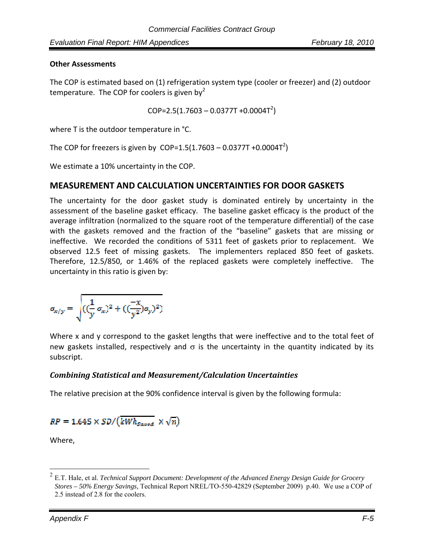#### **Other Assessments**

The COP is estimated based on (1) refrigeration system type (cooler or freezer) and (2) outdoor temperature. The COP for coolers is given by  $2^2$ 

 $COP = 2.5(1.7603 - 0.0377T + 0.0004T^2)$ 

where T is the outdoor temperature in °C.

The COP for freezers is given by  $\text{COP=1.5}(1.7603 - 0.0377T + 0.0004T^2)$ 

We estimate a 10% uncertainty in the COP.

#### **MEASUREMENT AND CALCULATION UNCERTAINTIES FOR DOOR GASKETS**

The uncertainty for the door gasket study is dominated entirely by uncertainty in the assessment of the baseline gasket efficacy. The baseline gasket efficacy is the product of the average infiltration (normalized to the square root of the temperature differential) of the case with the gaskets removed and the fraction of the "baseline" gaskets that are missing or ineffective. We recorded the conditions of 5311 feet of gaskets prior to replacement. We observed 12.5 feet of missing gaskets. The implementers replaced 850 feet of gaskets. Therefore, 12.5/850, or 1.46% of the replaced gaskets were completely ineffective. The uncertainty in this ratio is given by:

$$
a_{x/y} = \sqrt{((\frac{1}{y} \sigma_x)^2 + ((\frac{-x}{y^2}) \sigma_y)^2)}
$$

Where x and y correspond to the gasket lengths that were ineffective and to the total feet of new gaskets installed, respectively and  $\sigma$  is the uncertainty in the quantity indicated by its subscript.

#### *Combining Statistical and Measurement/Calculation Uncertainties*

The relative precision at the 90% confidence interval is given by the following formula:

$$
RP = 1.645 \times SD/(\overline{kWh_{gaved}} \times \sqrt{n})
$$

Where,

 $\overline{a}$ 

<sup>2</sup> E.T. Hale, et al. *Technical Support Document: Development of the Advanced Energy Design Guide for Grocery Stores – 50% Energy Savings,* Technical Report NREL/TO-550-42829 (September 2009) p.40. We use a COP of 2.5 instead of 2.8 for the coolers.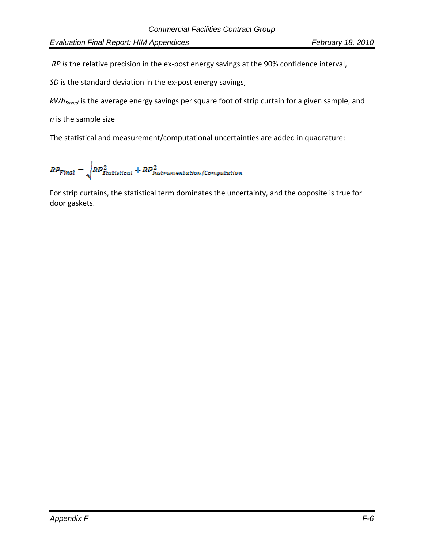*RP is* the relative precision in the ex‐post energy savings at the 90% confidence interval,

*SD* is the standard deviation in the ex-post energy savings,

*kWhSaved* is the average energy savings per square foot of strip curtain for a given sample, and

*n* is the sample size

The statistical and measurement/computational uncertainties are added in quadrature:

$$
RP_{Final} = \sqrt{RP_{Statistical}^2+RP_{Instrumentation/Computation}^2}
$$

For strip curtains, the statistical term dominates the uncertainty, and the opposite is true for door gaskets.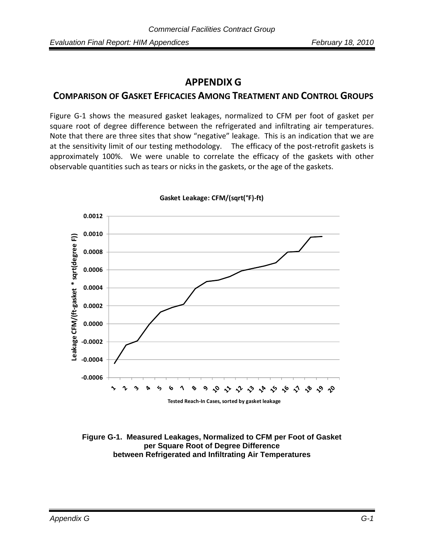# **APPENDIX G**

### **COMPARISON OF GASKET EFFICACIES AMONG TREATMENT AND CONTROL GROUPS**

Figure G‐1 shows the measured gasket leakages, normalized to CFM per foot of gasket per square root of degree difference between the refrigerated and infiltrating air temperatures. Note that there are three sites that show "negative" leakage. This is an indication that we are at the sensitivity limit of our testing methodology. The efficacy of the post-retrofit gaskets is approximately 100%. We were unable to correlate the efficacy of the gaskets with other observable quantities such as tears or nicks in the gaskets, or the age of the gaskets.



**Gasket Leakage: CFM/(sqrt(°F)‐ft)**

**Figure G-1. Measured Leakages, Normalized to CFM per Foot of Gasket per Square Root of Degree Difference between Refrigerated and Infiltrating Air Temperatures**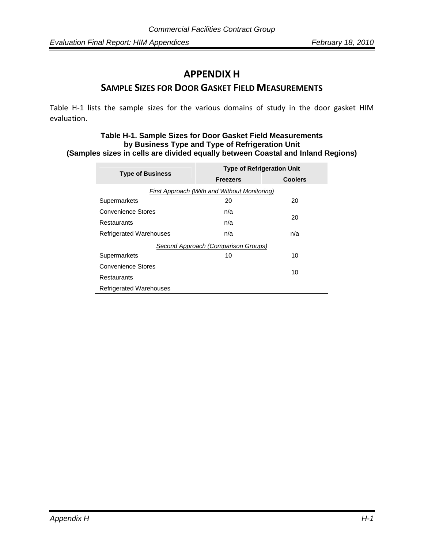# **APPENDIX H**

### **SAMPLE SIZES FOR DOOR GASKET FIELD MEASUREMENTS**

Table H-1 lists the sample sizes for the various domains of study in the door gasket HIM evaluation.

#### **Table H-1. Sample Sizes for Door Gasket Field Measurements by Business Type and Type of Refrigeration Unit (Samples sizes in cells are divided equally between Coastal and Inland Regions)**

| <b>Type of Business</b>                      | <b>Type of Refrigeration Unit</b> |                |  |  |  |
|----------------------------------------------|-----------------------------------|----------------|--|--|--|
|                                              | <b>Freezers</b>                   | <b>Coolers</b> |  |  |  |
| First Approach (With and Without Monitoring) |                                   |                |  |  |  |
| Supermarkets                                 | 20                                | 20             |  |  |  |
| Convenience Stores                           | n/a                               | 20             |  |  |  |
| <b>Restaurants</b>                           | n/a                               |                |  |  |  |
| <b>Refrigerated Warehouses</b>               | n/a                               | n/a            |  |  |  |
| Second Approach (Comparison Groups)          |                                   |                |  |  |  |
| Supermarkets                                 | 10                                | 10             |  |  |  |
| Convenience Stores                           |                                   | 10             |  |  |  |
| Restaurants                                  |                                   |                |  |  |  |
| <b>Refrigerated Warehouses</b>               |                                   |                |  |  |  |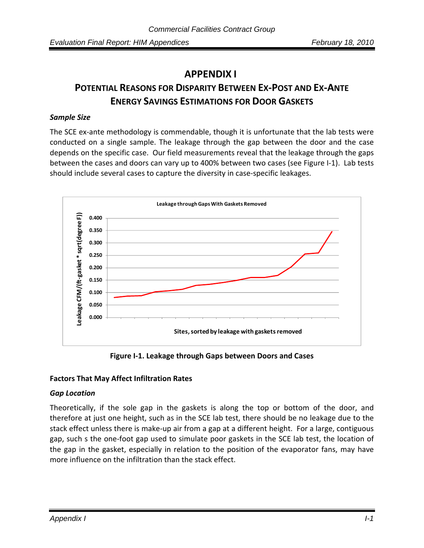# **APPENDIX I POTENTIAL REASONS FOR DISPARITY BETWEEN EX‐POST AND EX‐ANTE ENERGY SAVINGS ESTIMATIONS FOR DOOR GASKETS**

### *Sample Size*

The SCE ex-ante methodology is commendable, though it is unfortunate that the lab tests were conducted on a single sample. The leakage through the gap between the door and the case depends on the specific case. Our field measurements reveal that the leakage through the gaps between the cases and doors can vary up to 400% between two cases (see Figure I-1). Lab tests should include several cases to capture the diversity in case‐specific leakages.



**Figure I‐1. Leakage through Gaps between Doors and Cases**

### **Factors That May Affect Infiltration Rates**

### *Gap Location*

Theoretically, if the sole gap in the gaskets is along the top or bottom of the door, and therefore at just one height, such as in the SCE lab test, there should be no leakage due to the stack effect unless there is make‐up air from a gap at a different height. For a large, contiguous gap, such s the one‐foot gap used to simulate poor gaskets in the SCE lab test, the location of the gap in the gasket, especially in relation to the position of the evaporator fans, may have more influence on the infiltration than the stack effect.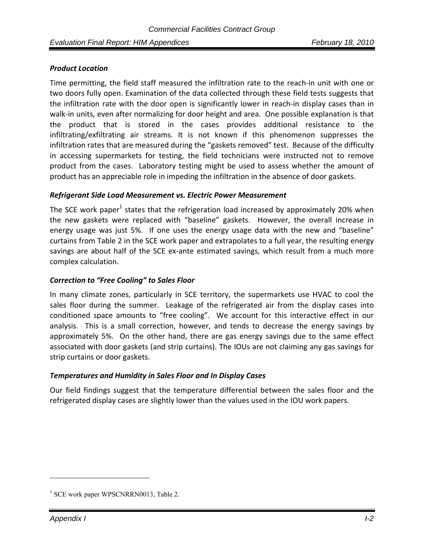## *Product Location*

Time permitting, the field staff measured the infiltration rate to the reach‐in unit with one or two doors fully open. Examination of the data collected through these field tests suggests that the infiltration rate with the door open is significantly lower in reach-in display cases than in walk-in units, even after normalizing for door height and area. One possible explanation is that the product that is stored in the cases provides additional resistance to the infiltrating/exfiltrating air streams. It is not known if this phenomenon suppresses the infiltration rates that are measured during the "gaskets removed" test. Because of the difficulty in accessing supermarkets for testing, the field technicians were instructed not to remove product from the cases. Laboratory testing might be used to assess whether the amount of product has an appreciable role in impeding the infiltration in the absence of door gaskets.

### *Refrigerant Side Load Measurement vs. Electric Power Measurement*

The SCE work paper<sup>1</sup> states that the refrigeration load increased by approximately 20% when the new gaskets were replaced with "baseline" gaskets. However, the overall increase in energy usage was just 5%. If one uses the energy usage data with the new and "baseline" curtains from Table 2 in the SCE work paper and extrapolates to a full year, the resulting energy savings are about half of the SCE ex-ante estimated savings, which result from a much more complex calculation.

## *Correction to "Free Cooling" to Sales Floor*

In many climate zones, particularly in SCE territory, the supermarkets use HVAC to cool the sales floor during the summer. Leakage of the refrigerated air from the display cases into conditioned space amounts to "free cooling". We account for this interactive effect in our analysis. This is a small correction, however, and tends to decrease the energy savings by approximately 5%. On the other hand, there are gas energy savings due to the same effect associated with door gaskets (and strip curtains). The IOUs are not claiming any gas savings for strip curtains or door gaskets.

### *Temperatures and Humidity in Sales Floor and In Display Cases*

Our field findings suggest that the temperature differential between the sales floor and the refrigerated display cases are slightly lower than the values used in the IOU work papers.

 $\overline{a}$ 

<sup>&</sup>lt;sup>1</sup> SCE work paper WPSCNRRN0013, Table 2.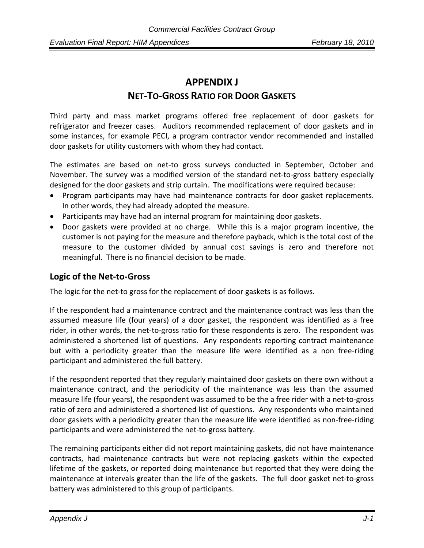# **APPENDIX J NET‐TO‐GROSS RATIO FOR DOOR GASKETS**

Third party and mass market programs offered free replacement of door gaskets for refrigerator and freezer cases. Auditors recommended replacement of door gaskets and in some instances, for example PECI, a program contractor vendor recommended and installed door gaskets for utility customers with whom they had contact.

The estimates are based on net‐to gross surveys conducted in September, October and November. The survey was a modified version of the standard net‐to‐gross battery especially designed for the door gaskets and strip curtain. The modifications were required because:

- Program participants may have had maintenance contracts for door gasket replacements. In other words, they had already adopted the measure.
- Participants may have had an internal program for maintaining door gaskets.
- Door gaskets were provided at no charge. While this is a major program incentive, the customer is not paying for the measure and therefore payback, which is the total cost of the measure to the customer divided by annual cost savings is zero and therefore not meaningful. There is no financial decision to be made.

## **Logic of the Net‐to‐Gross**

The logic for the net-to gross for the replacement of door gaskets is as follows.

If the respondent had a maintenance contract and the maintenance contract was less than the assumed measure life (four years) of a door gasket, the respondent was identified as a free rider, in other words, the net-to-gross ratio for these respondents is zero. The respondent was administered a shortened list of questions. Any respondents reporting contract maintenance but with a periodicity greater than the measure life were identified as a non free‐riding participant and administered the full battery.

If the respondent reported that they regularly maintained door gaskets on there own without a maintenance contract, and the periodicity of the maintenance was less than the assumed measure life (four years), the respondent was assumed to be the a free rider with a net‐to‐gross ratio of zero and administered a shortened list of questions. Any respondents who maintained door gaskets with a periodicity greater than the measure life were identified as non‐free‐riding participants and were administered the net‐to‐gross battery.

The remaining participants either did not report maintaining gaskets, did not have maintenance contracts, had maintenance contracts but were not replacing gaskets within the expected lifetime of the gaskets, or reported doing maintenance but reported that they were doing the maintenance at intervals greater than the life of the gaskets. The full door gasket net‐to‐gross battery was administered to this group of participants.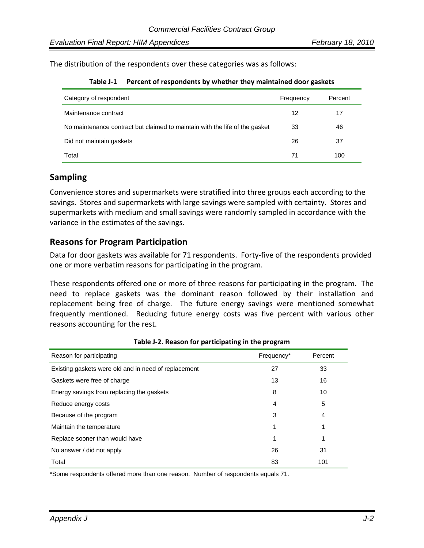The distribution of the respondents over these categories was as follows:

| Category of respondent                                                      | Frequency | Percent |
|-----------------------------------------------------------------------------|-----------|---------|
| Maintenance contract                                                        | 12        | 17      |
| No maintenance contract but claimed to maintain with the life of the gasket | 33        | 46      |
| Did not maintain gaskets                                                    | 26        | 37      |
| Total                                                                       | 71        | 100     |

**Table J‐1 Percent of respondents by whether they maintained door gaskets** 

## **Sampling**

Convenience stores and supermarkets were stratified into three groups each according to the savings. Stores and supermarkets with large savings were sampled with certainty. Stores and supermarkets with medium and small savings were randomly sampled in accordance with the variance in the estimates of the savings.

## **Reasons for Program Participation**

Data for door gaskets was available for 71 respondents. Forty-five of the respondents provided one or more verbatim reasons for participating in the program.

These respondents offered one or more of three reasons for participating in the program. The need to replace gaskets was the dominant reason followed by their installation and replacement being free of charge. The future energy savings were mentioned somewhat frequently mentioned. Reducing future energy costs was five percent with various other reasons accounting for the rest.

| Reason for participating                             | Frequency* | Percent |
|------------------------------------------------------|------------|---------|
| Existing gaskets were old and in need of replacement | 27         | 33      |
| Gaskets were free of charge                          | 13         | 16      |
| Energy savings from replacing the gaskets            | 8          | 10      |
| Reduce energy costs                                  | 4          | 5       |
| Because of the program                               | 3          | 4       |
| Maintain the temperature                             | 1          | 1       |
| Replace sooner than would have                       | 1          |         |
| No answer / did not apply                            | 26         | 31      |
| Total                                                | 83         | 101     |

**Table J‐2. Reason for participating in the program** 

\*Some respondents offered more than one reason. Number of respondents equals 71.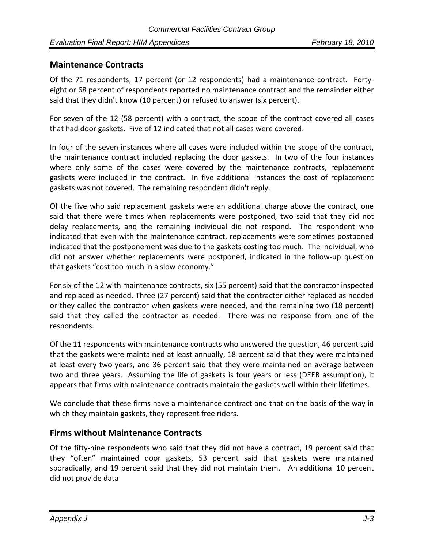## **Maintenance Contracts**

Of the 71 respondents, 17 percent (or 12 respondents) had a maintenance contract. Forty‐ eight or 68 percent of respondents reported no maintenance contract and the remainder either said that they didn't know (10 percent) or refused to answer (six percent).

For seven of the 12 (58 percent) with a contract, the scope of the contract covered all cases that had door gaskets. Five of 12 indicated that not all cases were covered.

In four of the seven instances where all cases were included within the scope of the contract, the maintenance contract included replacing the door gaskets. In two of the four instances where only some of the cases were covered by the maintenance contracts, replacement gaskets were included in the contract. In five additional instances the cost of replacement gaskets was not covered. The remaining respondent didn't reply.

Of the five who said replacement gaskets were an additional charge above the contract, one said that there were times when replacements were postponed, two said that they did not delay replacements, and the remaining individual did not respond. The respondent who indicated that even with the maintenance contract, replacements were sometimes postponed indicated that the postponement was due to the gaskets costing too much. The individual, who did not answer whether replacements were postponed, indicated in the follow‐up question that gaskets "cost too much in a slow economy."

For six of the 12 with maintenance contracts, six (55 percent) said that the contractor inspected and replaced as needed. Three (27 percent) said that the contractor either replaced as needed or they called the contractor when gaskets were needed, and the remaining two (18 percent) said that they called the contractor as needed. There was no response from one of the respondents.

Of the 11 respondents with maintenance contracts who answered the question, 46 percent said that the gaskets were maintained at least annually, 18 percent said that they were maintained at least every two years, and 36 percent said that they were maintained on average between two and three years. Assuming the life of gaskets is four years or less (DEER assumption), it appears that firms with maintenance contracts maintain the gaskets well within their lifetimes.

We conclude that these firms have a maintenance contract and that on the basis of the way in which they maintain gaskets, they represent free riders.

## **Firms without Maintenance Contracts**

Of the fifty‐nine respondents who said that they did not have a contract, 19 percent said that they "often" maintained door gaskets, 53 percent said that gaskets were maintained sporadically, and 19 percent said that they did not maintain them. An additional 10 percent did not provide data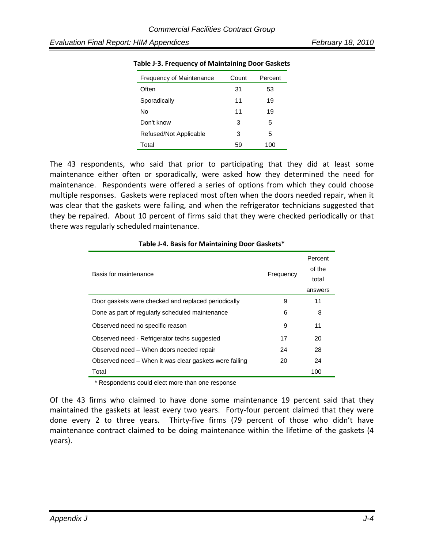| <b>Frequency of Maintenance</b> | Count | Percent |
|---------------------------------|-------|---------|
| Often                           | 31    | 53      |
| Sporadically                    | 11    | 19      |
| N٥                              | 11    | 19      |
| Don't know                      | 3     | 5       |
| Refused/Not Applicable          | 3     | 5       |
| Total                           | 59    | 100     |

#### **Table J‐3. Frequency of Maintaining Door Gaskets**

The 43 respondents, who said that prior to participating that they did at least some maintenance either often or sporadically, were asked how they determined the need for maintenance. Respondents were offered a series of options from which they could choose multiple responses. Gaskets were replaced most often when the doors needed repair, when it was clear that the gaskets were failing, and when the refrigerator technicians suggested that they be repaired. About 10 percent of firms said that they were checked periodically or that there was regularly scheduled maintenance.

| Basis for maintenance                                  | Frequency | Percent<br>of the<br>total<br>answers |
|--------------------------------------------------------|-----------|---------------------------------------|
| Door gaskets were checked and replaced periodically    | 9         | 11                                    |
| Done as part of regularly scheduled maintenance        | 6         | 8                                     |
| Observed need no specific reason                       | 9         | 11                                    |
| Observed need - Refrigerator techs suggested           | 17        | 20                                    |
| Observed need – When doors needed repair               | 24        | 28                                    |
| Observed need – When it was clear gaskets were failing | 20        | 24                                    |
| Total                                                  |           | 100                                   |

#### **Table J‐4. Basis for Maintaining Door Gaskets\***

\* Respondents could elect more than one response

Of the 43 firms who claimed to have done some maintenance 19 percent said that they maintained the gaskets at least every two years. Forty-four percent claimed that they were done every 2 to three years. Thirty-five firms (79 percent of those who didn't have maintenance contract claimed to be doing maintenance within the lifetime of the gaskets (4 years).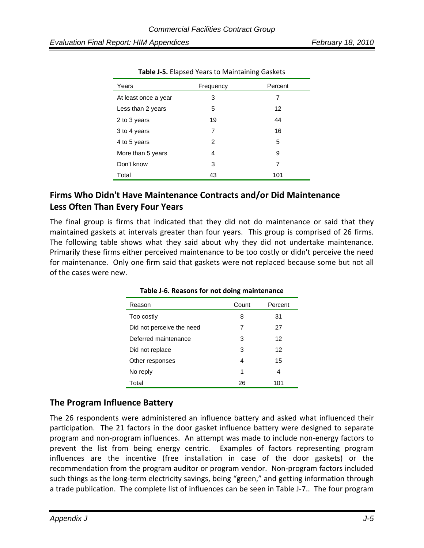| Years                | Frequency | Percent |
|----------------------|-----------|---------|
| At least once a year | 3         | 7       |
| Less than 2 years    | 5         | 12      |
| 2 to 3 years         | 19        | 44      |
| 3 to 4 years         | 7         | 16      |
| 4 to 5 years         | 2         | 5       |
| More than 5 years    | 4         | 9       |
| Don't know           | 3         | 7       |
| Total                | 43        | 101     |

**Table J‐5.** Elapsed Years to Maintaining Gaskets

## **Firms Who Didn't Have Maintenance Contracts and/or Did Maintenance Less Often Than Every Four Years**

The final group is firms that indicated that they did not do maintenance or said that they maintained gaskets at intervals greater than four years. This group is comprised of 26 firms. The following table shows what they said about why they did not undertake maintenance. Primarily these firms either perceived maintenance to be too costly or didn't perceive the need for maintenance. Only one firm said that gaskets were not replaced because some but not all of the cases were new.

| Reason                    | Count | Percent |
|---------------------------|-------|---------|
| Too costly                | 8     | 31      |
| Did not perceive the need | 7     | 27      |
| Deferred maintenance      | 3     | 12      |
| Did not replace           | 3     | 12      |
| Other responses           | 4     | 15      |
| No reply                  | 1     | 4       |
| Total                     | 26    | 101     |

**Table J‐6. Reasons for not doing maintenance**

## **The Program Influence Battery**

The 26 respondents were administered an influence battery and asked what influenced their participation. The 21 factors in the door gasket influence battery were designed to separate program and non‐program influences. An attempt was made to include non‐energy factors to prevent the list from being energy centric. Examples of factors representing program influences are the incentive (free installation in case of the door gaskets) or the recommendation from the program auditor or program vendor. Non‐program factors included such things as the long-term electricity savings, being "green," and getting information through a trade publication. The complete list of influences can be seen in Table J-7.. The four program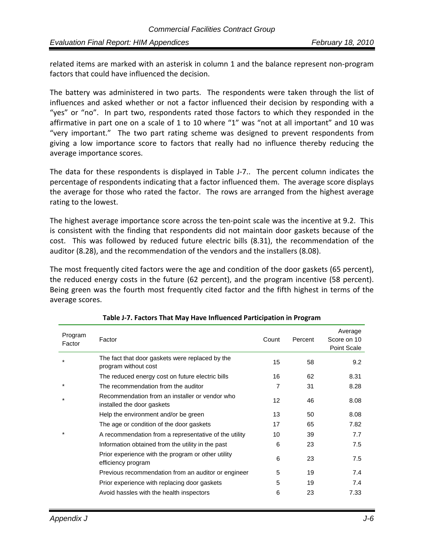related items are marked with an asterisk in column 1 and the balance represent non‐program factors that could have influenced the decision.

The battery was administered in two parts. The respondents were taken through the list of influences and asked whether or not a factor influenced their decision by responding with a "yes" or "no". In part two, respondents rated those factors to which they responded in the affirmative in part one on a scale of 1 to 10 where "1" was "not at all important" and 10 was "very important." The two part rating scheme was designed to prevent respondents from giving a low importance score to factors that really had no influence thereby reducing the average importance scores.

The data for these respondents is displayed in Table J-7.. The percent column indicates the percentage of respondents indicating that a factor influenced them. The average score displays the average for those who rated the factor. The rows are arranged from the highest average rating to the lowest.

The highest average importance score across the ten-point scale was the incentive at 9.2. This is consistent with the finding that respondents did not maintain door gaskets because of the cost. This was followed by reduced future electric bills (8.31), the recommendation of the auditor (8.28), and the recommendation of the vendors and the installers (8.08).

The most frequently cited factors were the age and condition of the door gaskets (65 percent), the reduced energy costs in the future (62 percent), and the program incentive (58 percent). Being green was the fourth most frequently cited factor and the fifth highest in terms of the average scores.

| Program<br>Factor | Factor                                                                       | Count             | Percent | Average<br>Score on 10<br>Point Scale |
|-------------------|------------------------------------------------------------------------------|-------------------|---------|---------------------------------------|
|                   | The fact that door gaskets were replaced by the<br>program without cost      | 15                | 58      | 9.2                                   |
|                   | The reduced energy cost on future electric bills                             | 16                | 62      | 8.31                                  |
| *                 | The recommendation from the auditor                                          | 7                 | 31      | 8.28                                  |
| $\star$           | Recommendation from an installer or vendor who<br>installed the door gaskets | $12 \overline{ }$ | 46      | 8.08                                  |
|                   | Help the environment and/or be green                                         | 13                | 50      | 8.08                                  |
|                   | The age or condition of the door gaskets                                     | 17                | 65      | 7.82                                  |
|                   | A recommendation from a representative of the utility                        | 10                | 39      | 7.7                                   |
|                   | Information obtained from the utility in the past                            | 6                 | 23      | 7.5                                   |
|                   | Prior experience with the program or other utility<br>efficiency program     | 6                 | 23      | 7.5                                   |
|                   | Previous recommendation from an auditor or engineer                          | 5                 | 19      | 7.4                                   |
|                   | Prior experience with replacing door gaskets                                 | 5                 | 19      | 7.4                                   |
|                   | Avoid hassles with the health inspectors                                     | 6                 | 23      | 7.33                                  |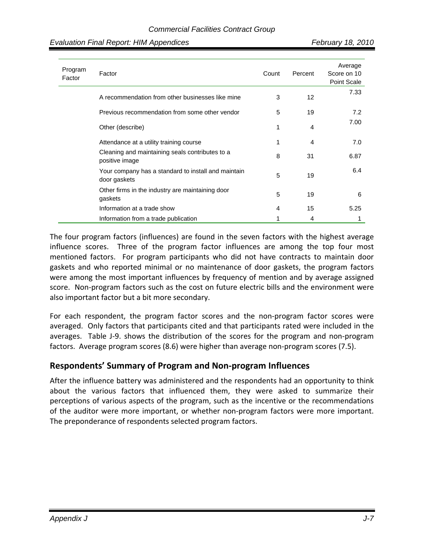| Evaluation Final Report: HIM Appendices |  |  |
|-----------------------------------------|--|--|
|-----------------------------------------|--|--|

| Program<br>Factor | Factor                                                              | Count | Percent | Average<br>Score on 10<br>Point Scale |
|-------------------|---------------------------------------------------------------------|-------|---------|---------------------------------------|
|                   | A recommendation from other businesses like mine                    | 3     | 12      | 7.33                                  |
|                   | Previous recommendation from some other vendor                      | 5     | 19      | 7.2                                   |
|                   | Other (describe)                                                    | 1     | 4       | 7.00                                  |
|                   | Attendance at a utility training course                             | 1     | 4       | 7.0                                   |
|                   | Cleaning and maintaining seals contributes to a<br>positive image   | 8     | 31      | 6.87                                  |
|                   | Your company has a standard to install and maintain<br>door gaskets | 5     | 19      | 6.4                                   |
|                   | Other firms in the industry are maintaining door<br>gaskets         | 5     | 19      | 6                                     |
|                   | Information at a trade show                                         | 4     | 15      | 5.25                                  |
|                   | Information from a trade publication                                |       | 4       |                                       |

The four program factors (influences) are found in the seven factors with the highest average influence scores. Three of the program factor influences are among the top four most mentioned factors. For program participants who did not have contracts to maintain door gaskets and who reported minimal or no maintenance of door gaskets, the program factors were among the most important influences by frequency of mention and by average assigned score. Non-program factors such as the cost on future electric bills and the environment were also important factor but a bit more secondary.

For each respondent, the program factor scores and the non‐program factor scores were averaged. Only factors that participants cited and that participants rated were included in the averages. Table J-9. shows the distribution of the scores for the program and non-program factors. Average program scores (8.6) were higher than average non‐program scores (7.5).

## **Respondents' Summary of Program and Non‐program Influences**

After the influence battery was administered and the respondents had an opportunity to think about the various factors that influenced them, they were asked to summarize their perceptions of various aspects of the program, such as the incentive or the recommendations of the auditor were more important, or whether non‐program factors were more important. The preponderance of respondents selected program factors.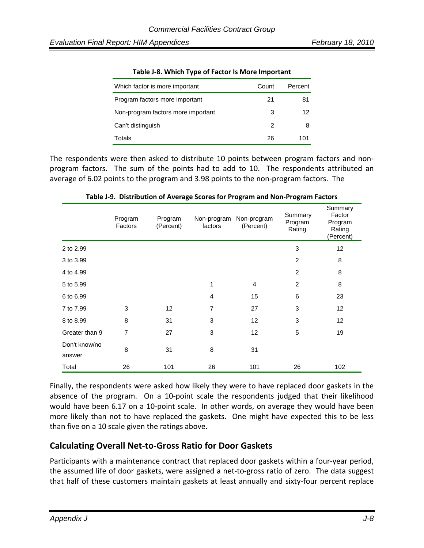| Which factor is more important     | Count | Percent |
|------------------------------------|-------|---------|
| Program factors more important     | 21    | 81      |
| Non-program factors more important | 3     | 12      |
| Can't distinguish                  | 2     | 8       |
| Totals                             | 26    | 101     |

|  | Table J-8. Which Type of Factor Is More Important |
|--|---------------------------------------------------|
|--|---------------------------------------------------|

The respondents were then asked to distribute 10 points between program factors and non‐ program factors. The sum of the points had to add to 10. The respondents attributed an average of 6.02 points to the program and 3.98 points to the non‐program factors. The

|                         | Program<br>Factors | Program<br>(Percent) | Non-program<br>factors | Non-program<br>(Percent) | Summary<br>Program<br>Rating | Summary<br>Factor<br>Program<br>Rating<br>(Percent) |
|-------------------------|--------------------|----------------------|------------------------|--------------------------|------------------------------|-----------------------------------------------------|
| 2 to 2.99               |                    |                      |                        |                          | 3                            | 12                                                  |
| 3 to 3.99               |                    |                      |                        |                          | 2                            | 8                                                   |
| 4 to 4.99               |                    |                      |                        |                          | $\overline{2}$               | 8                                                   |
| 5 to 5.99               |                    |                      | 1                      | $\overline{4}$           | $\overline{2}$               | 8                                                   |
| 6 to 6.99               |                    |                      | 4                      | 15                       | 6                            | 23                                                  |
| 7 to 7.99               | 3                  | 12                   | $\overline{7}$         | 27                       | 3                            | 12                                                  |
| 8 to 8.99               | 8                  | 31                   | 3                      | 12                       | 3                            | 12                                                  |
| Greater than 9          | $\overline{7}$     | 27                   | 3                      | 12                       | 5                            | 19                                                  |
| Don't know/no<br>answer | 8                  | 31                   | 8                      | 31                       |                              |                                                     |
| Total                   | 26                 | 101                  | 26                     | 101                      | 26                           | 102                                                 |

**Table J‐9. Distribution of Average Scores for Program and Non‐Program Factors**

Finally, the respondents were asked how likely they were to have replaced door gaskets in the absence of the program. On a 10-point scale the respondents judged that their likelihood would have been 6.17 on a 10‐point scale. In other words, on average they would have been more likely than not to have replaced the gaskets. One might have expected this to be less than five on a 10 scale given the ratings above.

## **Calculating Overall Net‐to‐Gross Ratio for Door Gaskets**

Participants with a maintenance contract that replaced door gaskets within a four‐year period, the assumed life of door gaskets, were assigned a net‐to‐gross ratio of zero. The data suggest that half of these customers maintain gaskets at least annually and sixty‐four percent replace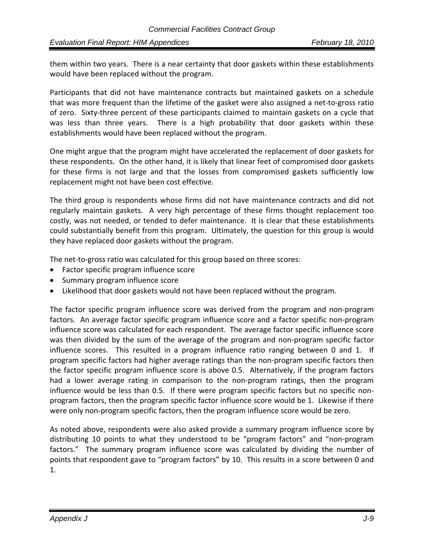them within two years. There is a near certainty that door gaskets within these establishments would have been replaced without the program.

Participants that did not have maintenance contracts but maintained gaskets on a schedule that was more frequent than the lifetime of the gasket were also assigned a net‐to‐gross ratio of zero. Sixty‐three percent of these participants claimed to maintain gaskets on a cycle that was less than three years. There is a high probability that door gaskets within these establishments would have been replaced without the program.

One might argue that the program might have accelerated the replacement of door gaskets for these respondents. On the other hand, it is likely that linear feet of compromised door gaskets for these firms is not large and that the losses from compromised gaskets sufficiently low replacement might not have been cost effective.

The third group is respondents whose firms did not have maintenance contracts and did not regularly maintain gaskets. A very high percentage of these firms thought replacement too costly, was not needed, or tended to defer maintenance. It is clear that these establishments could substantially benefit from this program. Ultimately, the question for this group is would they have replaced door gaskets without the program.

The net-to-gross ratio was calculated for this group based on three scores:

- Factor specific program influence score
- Summary program influence score
- Likelihood that door gaskets would not have been replaced without the program.

The factor specific program influence score was derived from the program and non‐program factors. An average factor specific program influence score and a factor specific non‐program influence score was calculated for each respondent. The average factor specific influence score was then divided by the sum of the average of the program and non‐program specific factor influence scores. This resulted in a program influence ratio ranging between 0 and 1. If program specific factors had higher average ratings than the non‐program specific factors then the factor specific program influence score is above 0.5. Alternatively, if the program factors had a lower average rating in comparison to the non-program ratings, then the program influence would be less than 0.5. If there were program specific factors but no specific non‐ program factors, then the program specific factor influence score would be 1. Likewise if there were only non-program specific factors, then the program influence score would be zero.

As noted above, respondents were also asked provide a summary program influence score by distributing 10 points to what they understood to be "program factors" and "non‐program factors." The summary program influence score was calculated by dividing the number of points that respondent gave to "program factors" by 10. This results in a score between 0 and 1.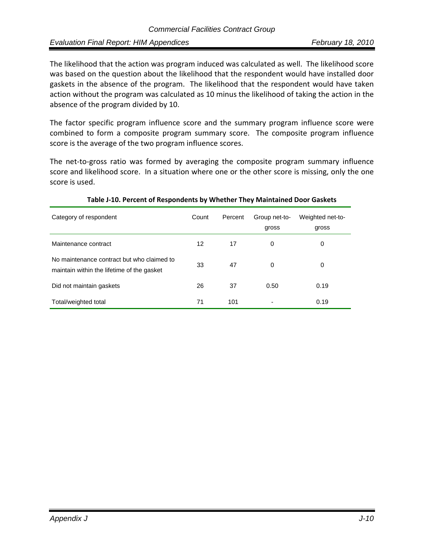The likelihood that the action was program induced was calculated as well. The likelihood score was based on the question about the likelihood that the respondent would have installed door gaskets in the absence of the program. The likelihood that the respondent would have taken action without the program was calculated as 10 minus the likelihood of taking the action in the absence of the program divided by 10.

The factor specific program influence score and the summary program influence score were combined to form a composite program summary score. The composite program influence score is the average of the two program influence scores.

The net-to-gross ratio was formed by averaging the composite program summary influence score and likelihood score. In a situation where one or the other score is missing, only the one score is used.

| Category of respondent                                                                   | Count | Percent | Group net-to-<br>gross | Weighted net-to-<br>gross |
|------------------------------------------------------------------------------------------|-------|---------|------------------------|---------------------------|
| Maintenance contract                                                                     | 12    | 17      | 0                      | 0                         |
| No maintenance contract but who claimed to<br>maintain within the lifetime of the gasket | 33    | 47      | $\Omega$               | 0                         |
| Did not maintain gaskets                                                                 | 26    | 37      | 0.50                   | 0.19                      |
| Total/weighted total                                                                     | 71    | 101     | -                      | 0.19                      |

#### **Table J‐10. Percent of Respondents by Whether They Maintained Door Gaskets**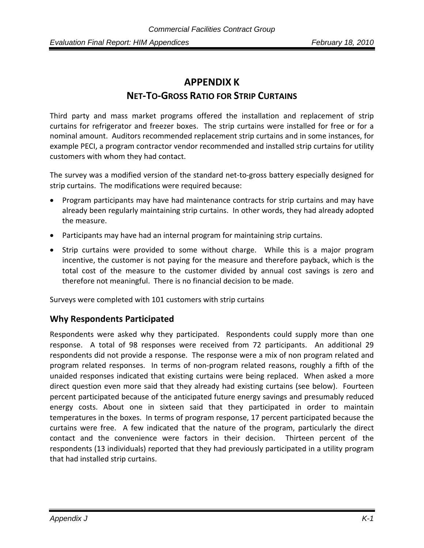# **APPENDIX K NET‐TO‐GROSS RATIO FOR STRIP CURTAINS**

Third party and mass market programs offered the installation and replacement of strip curtains for refrigerator and freezer boxes. The strip curtains were installed for free or for a nominal amount. Auditors recommended replacement strip curtains and in some instances, for example PECI, a program contractor vendor recommended and installed strip curtains for utility customers with whom they had contact.

The survey was a modified version of the standard net‐to‐gross battery especially designed for strip curtains. The modifications were required because:

- Program participants may have had maintenance contracts for strip curtains and may have already been regularly maintaining strip curtains. In other words, they had already adopted the measure.
- Participants may have had an internal program for maintaining strip curtains.
- Strip curtains were provided to some without charge. While this is a major program incentive, the customer is not paying for the measure and therefore payback, which is the total cost of the measure to the customer divided by annual cost savings is zero and therefore not meaningful. There is no financial decision to be made.

Surveys were completed with 101 customers with strip curtains

## **Why Respondents Participated**

Respondents were asked why they participated. Respondents could supply more than one response. A total of 98 responses were received from 72 participants. An additional 29 respondents did not provide a response. The response were a mix of non program related and program related responses. In terms of non‐program related reasons, roughly a fifth of the unaided responses indicated that existing curtains were being replaced. When asked a more direct question even more said that they already had existing curtains (see below). Fourteen percent participated because of the anticipated future energy savings and presumably reduced energy costs. About one in sixteen said that they participated in order to maintain temperatures in the boxes. In terms of program response, 17 percent participated because the curtains were free. A few indicated that the nature of the program, particularly the direct contact and the convenience were factors in their decision. Thirteen percent of the respondents (13 individuals) reported that they had previously participated in a utility program that had installed strip curtains.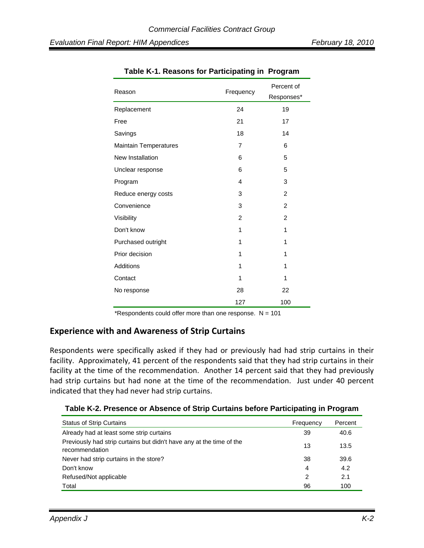| Reason                       | Frequency      | Percent of<br>Responses* |
|------------------------------|----------------|--------------------------|
| Replacement                  | 24             | 19                       |
| Free                         | 21             | 17                       |
| Savings                      | 18             | 14                       |
| <b>Maintain Temperatures</b> | $\overline{7}$ | 6                        |
| New Installation             | 6              | 5                        |
| Unclear response             | 6              | 5                        |
| Program                      | 4              | 3                        |
| Reduce energy costs          | 3              | $\overline{2}$           |
| Convenience                  | 3              | $\overline{2}$           |
| Visibility                   | $\overline{2}$ | $\overline{2}$           |
| Don't know                   | 1              | 1                        |
| Purchased outright           | 1              | 1                        |
| Prior decision               | 1              | 1                        |
| Additions                    | 1              | 1                        |
| Contact                      | 1              | 1                        |
| No response                  | 28             | 22                       |
|                              | 127            | 100                      |

**Table K-1. Reasons for Participating in Program** 

\*Respondents could offer more than one response.  $N = 101$ 

## **Experience with and Awareness of Strip Curtains**

Respondents were specifically asked if they had or previously had had strip curtains in their facility. Approximately, 41 percent of the respondents said that they had strip curtains in their facility at the time of the recommendation. Another 14 percent said that they had previously had strip curtains but had none at the time of the recommendation. Just under 40 percent indicated that they had never had strip curtains.

|  | Table K-2. Presence or Absence of Strip Curtains before Participating in Program |
|--|----------------------------------------------------------------------------------|
|  |                                                                                  |

| <b>Status of Strip Curtains</b>                                                        | Frequency | Percent |
|----------------------------------------------------------------------------------------|-----------|---------|
| Already had at least some strip curtains                                               | 39        | 40.6    |
| Previously had strip curtains but didn't have any at the time of the<br>recommendation | 13        | 13.5    |
| Never had strip curtains in the store?                                                 | 38        | 39.6    |
| Don't know                                                                             | 4         | 4.2     |
| Refused/Not applicable                                                                 | 2         | 2.1     |
| Total                                                                                  | 96        | 100     |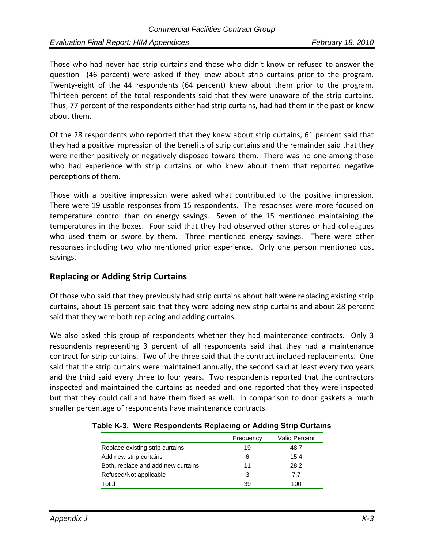Those who had never had strip curtains and those who didn't know or refused to answer the question (46 percent) were asked if they knew about strip curtains prior to the program. Twenty‐eight of the 44 respondents (64 percent) knew about them prior to the program. Thirteen percent of the total respondents said that they were unaware of the strip curtains. Thus, 77 percent of the respondents either had strip curtains, had had them in the past or knew about them.

Of the 28 respondents who reported that they knew about strip curtains, 61 percent said that they had a positive impression of the benefits of strip curtains and the remainder said that they were neither positively or negatively disposed toward them. There was no one among those who had experience with strip curtains or who knew about them that reported negative perceptions of them.

Those with a positive impression were asked what contributed to the positive impression. There were 19 usable responses from 15 respondents. The responses were more focused on temperature control than on energy savings. Seven of the 15 mentioned maintaining the temperatures in the boxes. Four said that they had observed other stores or had colleagues who used them or swore by them. Three mentioned energy savings. There were other responses including two who mentioned prior experience. Only one person mentioned cost savings.

## **Replacing or Adding Strip Curtains**

Of those who said that they previously had strip curtains about half were replacing existing strip curtains, about 15 percent said that they were adding new strip curtains and about 28 percent said that they were both replacing and adding curtains.

We also asked this group of respondents whether they had maintenance contracts. Only 3 respondents representing 3 percent of all respondents said that they had a maintenance contract for strip curtains. Two of the three said that the contract included replacements. One said that the strip curtains were maintained annually, the second said at least every two years and the third said every three to four years. Two respondents reported that the contractors inspected and maintained the curtains as needed and one reported that they were inspected but that they could call and have them fixed as well. In comparison to door gaskets a much smaller percentage of respondents have maintenance contracts.

|                                    | Frequency | <b>Valid Percent</b> |
|------------------------------------|-----------|----------------------|
| Replace existing strip curtains    | 19        | 48.7                 |
| Add new strip curtains             | 6         | 15.4                 |
| Both, replace and add new curtains | 11        | 28.2                 |
| Refused/Not applicable             | 3         | 77                   |
| Total                              | 39        | 100                  |

**Table K-3. Were Respondents Replacing or Adding Strip Curtains**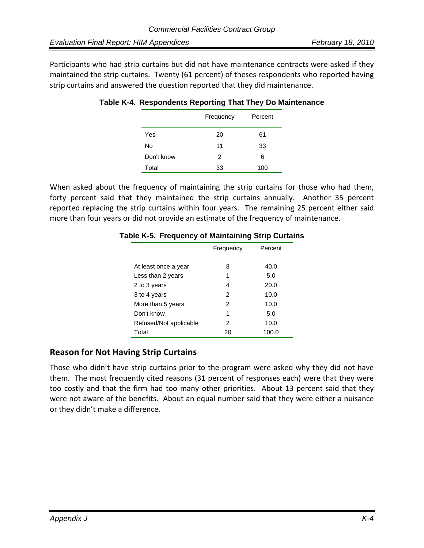Participants who had strip curtains but did not have maintenance contracts were asked if they maintained the strip curtains. Twenty (61 percent) of theses respondents who reported having strip curtains and answered the question reported that they did maintenance.

|            | Frequency | Percent |
|------------|-----------|---------|
| Yes        | 20        | 61      |
| No         | 11        | 33      |
| Don't know | 2         | 6       |
| Total      | 33        | 100     |

## **Table K-4. Respondents Reporting That They Do Maintenance**

When asked about the frequency of maintaining the strip curtains for those who had them, forty percent said that they maintained the strip curtains annually. Another 35 percent reported replacing the strip curtains within four years. The remaining 25 percent either said more than four years or did not provide an estimate of the frequency of maintenance.

| Table K-5. Frequency of Maintaining Strip Curtains |           |         |
|----------------------------------------------------|-----------|---------|
|                                                    | Frequency | Percent |

|                        | Frequency | Percent |
|------------------------|-----------|---------|
|                        |           |         |
| At least once a year   | 8         | 40.0    |
| Less than 2 years      | 1         | 5.0     |
| 2 to 3 years           | 4         | 20.0    |
| 3 to 4 years           | 2         | 10.0    |
| More than 5 years      | 2         | 10.0    |
| Don't know             | 1         | 5.0     |
| Refused/Not applicable | 2         | 10.0    |
| Total                  | 20        | 100.0   |

## **Reason for Not Having Strip Curtains**

Those who didn't have strip curtains prior to the program were asked why they did not have them. The most frequently cited reasons (31 percent of responses each) were that they were too costly and that the firm had too many other priorities. About 13 percent said that they were not aware of the benefits. About an equal number said that they were either a nuisance or they didn't make a difference.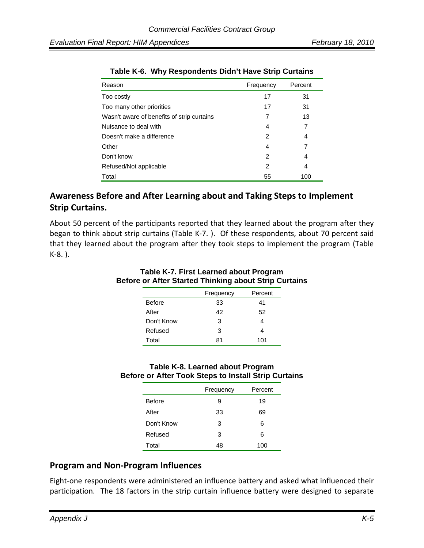| Reason                                     | Frequency | Percent |
|--------------------------------------------|-----------|---------|
| Too costly                                 | 17        | 31      |
| Too many other priorities                  | 17        | 31      |
| Wasn't aware of benefits of strip curtains | 7         | 13      |
| Nuisance to deal with                      | 4         | 7       |
| Doesn't make a difference                  | 2         | 4       |
| Other                                      | 4         | 7       |
| Don't know                                 | 2         | 4       |
| Refused/Not applicable                     | 2         | 4       |
| Total                                      | 55        | 100     |

|  | Table K-6. Why Respondents Didn't Have Strip Curtains |  |  |
|--|-------------------------------------------------------|--|--|
|--|-------------------------------------------------------|--|--|

## **Awareness Before and After Learning about and Taking Steps to Implement Strip Curtains.**

About 50 percent of the participants reported that they learned about the program after they began to think about strip curtains (Table K‐7. ). Of these respondents, about 70 percent said that they learned about the program after they took steps to implement the program (Table K‐8. ).

|               | Table RV. First Learned about Flogram<br>Before or After Started Thinking about Strip Curtains |         |  |
|---------------|------------------------------------------------------------------------------------------------|---------|--|
|               | Frequency                                                                                      | Percent |  |
| <b>Before</b> | 33                                                                                             | 41      |  |
| After         | 42                                                                                             | 52      |  |
| Don't Know    | 3                                                                                              |         |  |

## **Table K-7. First Learned about Program Before or After Started Thinking about Strip Curtains**

### **Table K-8. Learned about Program Before or After Took Steps to Install Strip Curtains**

Refused 3 4 Total 81 101

|               | Frequency | Percent |
|---------------|-----------|---------|
| <b>Before</b> | 9         | 19      |
| After         | 33        | 69      |
| Don't Know    | 3         | 6       |
| Refused       | 3         | 6       |
| Total         | 48        | 100     |

## **Program and Non‐Program Influences**

Eight-one respondents were administered an influence battery and asked what influenced their participation. The 18 factors in the strip curtain influence battery were designed to separate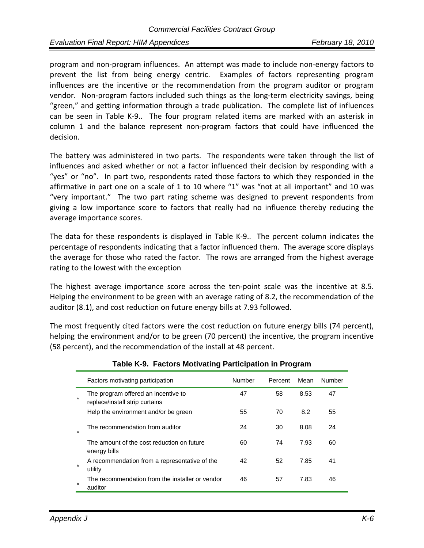program and non‐program influences. An attempt was made to include non‐energy factors to prevent the list from being energy centric. Examples of factors representing program influences are the incentive or the recommendation from the program auditor or program vendor. Non-program factors included such things as the long-term electricity savings, being "green," and getting information through a trade publication. The complete list of influences can be seen in Table K-9.. The four program related items are marked with an asterisk in column 1 and the balance represent non‐program factors that could have influenced the decision.

The battery was administered in two parts. The respondents were taken through the list of influences and asked whether or not a factor influenced their decision by responding with a "yes" or "no". In part two, respondents rated those factors to which they responded in the affirmative in part one on a scale of 1 to 10 where "1" was "not at all important" and 10 was "very important." The two part rating scheme was designed to prevent respondents from giving a low importance score to factors that really had no influence thereby reducing the average importance scores.

The data for these respondents is displayed in Table K‐9.. The percent column indicates the percentage of respondents indicating that a factor influenced them. The average score displays the average for those who rated the factor. The rows are arranged from the highest average rating to the lowest with the exception

The highest average importance score across the ten-point scale was the incentive at 8.5. Helping the environment to be green with an average rating of 8.2, the recommendation of the auditor (8.1), and cost reduction on future energy bills at 7.93 followed.

The most frequently cited factors were the cost reduction on future energy bills (74 percent), helping the environment and/or to be green (70 percent) the incentive, the program incentive (58 percent), and the recommendation of the install at 48 percent.

|         | Factors motivating participation                                      | Number | Percent | Mean | Number |
|---------|-----------------------------------------------------------------------|--------|---------|------|--------|
| $\star$ | The program offered an incentive to<br>replace/install strip curtains | 47     | 58      | 8.53 | 47     |
|         | Help the environment and/or be green                                  | 55     | 70      | 8.2  | 55     |
| $\star$ | The recommendation from auditor                                       | 24     | 30      | 8.08 | 24     |
|         | The amount of the cost reduction on future<br>energy bills            | 60     | 74      | 7.93 | 60     |
| $\star$ | A recommendation from a representative of the<br>utility              | 42     | 52      | 7.85 | 41     |
| $\star$ | The recommendation from the installer or vendor<br>auditor            | 46     | 57      | 7.83 | 46     |

#### **Table K-9. Factors Motivating Participation in Program**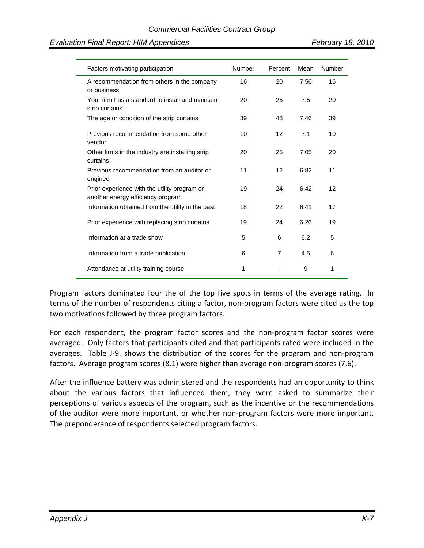| Factors motivating participation                                                  | Number | Percent | Mean | Number |
|-----------------------------------------------------------------------------------|--------|---------|------|--------|
| A recommendation from others in the company<br>or business                        | 16     | 20      | 7.56 | 16     |
| Your firm has a standard to install and maintain<br>strip curtains                | 20     | 25      | 7.5  | 20     |
| The age or condition of the strip curtains                                        | 39     | 48      | 7.46 | 39     |
| Previous recommendation from some other<br>vendor                                 | 10     | 12      | 7.1  | 10     |
| Other firms in the industry are installing strip<br>curtains                      | 20     | 25      | 7.05 | 20     |
| Previous recommendation from an auditor or<br>engineer                            | 11     | 12      | 6.82 | 11     |
| Prior experience with the utility program or<br>another energy efficiency program | 19     | 24      | 6.42 | 12     |
| Information obtained from the utility in the past                                 | 18     | 22      | 6.41 | 17     |
| Prior experience with replacing strip curtains                                    | 19     | 24      | 6.26 | 19     |
| Information at a trade show                                                       | 5      | 6       | 6.2  | 5      |
| Information from a trade publication                                              | 6      | 7       | 4.5  | 6      |
| Attendance at utility training course                                             | 1      |         | 9    | 1      |

Program factors dominated four the of the top five spots in terms of the average rating. In terms of the number of respondents citing a factor, non‐program factors were cited as the top two motivations followed by three program factors.

For each respondent, the program factor scores and the non-program factor scores were averaged. Only factors that participants cited and that participants rated were included in the averages. Table J-9. shows the distribution of the scores for the program and non-program factors. Average program scores (8.1) were higher than average non‐program scores (7.6).

After the influence battery was administered and the respondents had an opportunity to think about the various factors that influenced them, they were asked to summarize their perceptions of various aspects of the program, such as the incentive or the recommendations of the auditor were more important, or whether non‐program factors were more important. The preponderance of respondents selected program factors.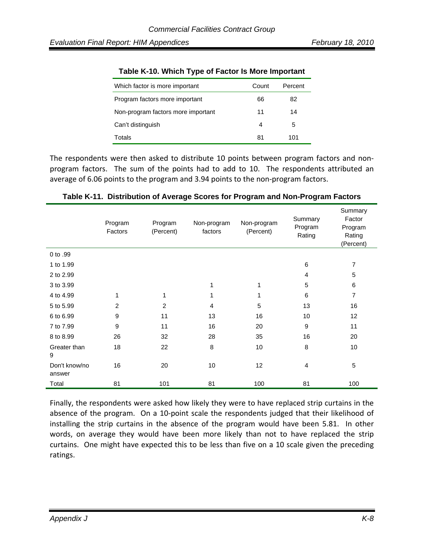| Which factor is more important     | Count | Percent |
|------------------------------------|-------|---------|
| Program factors more important     | 66    | 82      |
| Non-program factors more important | 11    | 14      |
| Can't distinguish                  | 4     | 5       |
| Totals                             | 81    | 101     |

#### **Table K-10. Which Type of Factor Is More Important**

The respondents were then asked to distribute 10 points between program factors and non‐ program factors. The sum of the points had to add to 10. The respondents attributed an average of 6.06 points to the program and 3.94 points to the non‐program factors.

|                         | Program<br>Factors | Program<br>(Percent) | Non-program<br>factors | Non-program<br>(Percent) | Summary<br>Program<br>Rating | Summary<br>Factor<br>Program<br>Rating<br>(Percent) |
|-------------------------|--------------------|----------------------|------------------------|--------------------------|------------------------------|-----------------------------------------------------|
| 0 to .99                |                    |                      |                        |                          |                              |                                                     |
| 1 to 1.99               |                    |                      |                        |                          | 6                            | $\overline{7}$                                      |
| 2 to 2.99               |                    |                      |                        |                          | $\overline{4}$               | 5                                                   |
| 3 to 3.99               |                    |                      | 1                      | 1                        | 5                            | $\,6$                                               |
| 4 to 4.99               | 1                  | 1                    | 1                      | 1                        | $\,6$                        | $\overline{7}$                                      |
| 5 to 5.99               | $\overline{2}$     | $\overline{c}$       | $\overline{4}$         | 5                        | 13                           | 16                                                  |
| 6 to 6.99               | $\boldsymbol{9}$   | 11                   | 13                     | 16                       | 10                           | 12                                                  |
| 7 to 7.99               | 9                  | 11                   | 16                     | 20                       | 9                            | 11                                                  |
| 8 to 8.99               | 26                 | 32                   | 28                     | 35                       | 16                           | 20                                                  |
| Greater than<br>9       | 18                 | 22                   | 8                      | 10                       | 8                            | 10                                                  |
| Don't know/no<br>answer | 16                 | 20                   | 10                     | 12                       | 4                            | $\mathbf 5$                                         |
| Total                   | 81                 | 101                  | 81                     | 100                      | 81                           | 100                                                 |

#### **Table K-11. Distribution of Average Scores for Program and Non-Program Factors**

Finally, the respondents were asked how likely they were to have replaced strip curtains in the absence of the program. On a 10‐point scale the respondents judged that their likelihood of installing the strip curtains in the absence of the program would have been 5.81. In other words, on average they would have been more likely than not to have replaced the strip curtains. One might have expected this to be less than five on a 10 scale given the preceding ratings.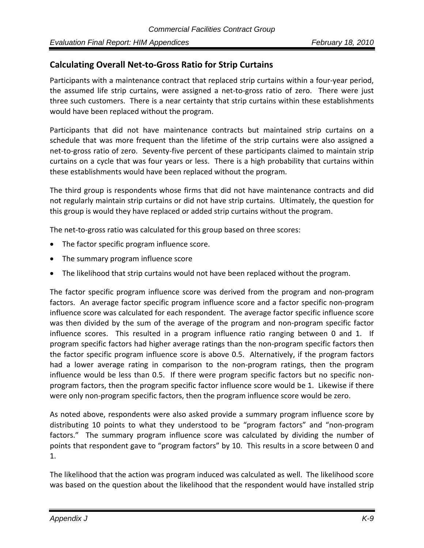## **Calculating Overall Net‐to‐Gross Ratio for Strip Curtains**

Participants with a maintenance contract that replaced strip curtains within a four‐year period, the assumed life strip curtains, were assigned a net-to-gross ratio of zero. There were just three such customers. There is a near certainty that strip curtains within these establishments would have been replaced without the program.

Participants that did not have maintenance contracts but maintained strip curtains on a schedule that was more frequent than the lifetime of the strip curtains were also assigned a net-to-gross ratio of zero. Seventy-five percent of these participants claimed to maintain strip curtains on a cycle that was four years or less. There is a high probability that curtains within these establishments would have been replaced without the program.

The third group is respondents whose firms that did not have maintenance contracts and did not regularly maintain strip curtains or did not have strip curtains. Ultimately, the question for this group is would they have replaced or added strip curtains without the program.

The net-to-gross ratio was calculated for this group based on three scores:

- The factor specific program influence score.
- The summary program influence score
- The likelihood that strip curtains would not have been replaced without the program.

The factor specific program influence score was derived from the program and non‐program factors. An average factor specific program influence score and a factor specific non‐program influence score was calculated for each respondent. The average factor specific influence score was then divided by the sum of the average of the program and non-program specific factor influence scores. This resulted in a program influence ratio ranging between 0 and 1. If program specific factors had higher average ratings than the non‐program specific factors then the factor specific program influence score is above 0.5. Alternatively, if the program factors had a lower average rating in comparison to the non-program ratings, then the program influence would be less than 0.5. If there were program specific factors but no specific nonprogram factors, then the program specific factor influence score would be 1. Likewise if there were only non-program specific factors, then the program influence score would be zero.

As noted above, respondents were also asked provide a summary program influence score by distributing 10 points to what they understood to be "program factors" and "non‐program factors." The summary program influence score was calculated by dividing the number of points that respondent gave to "program factors" by 10. This results in a score between 0 and 1.

The likelihood that the action was program induced was calculated as well. The likelihood score was based on the question about the likelihood that the respondent would have installed strip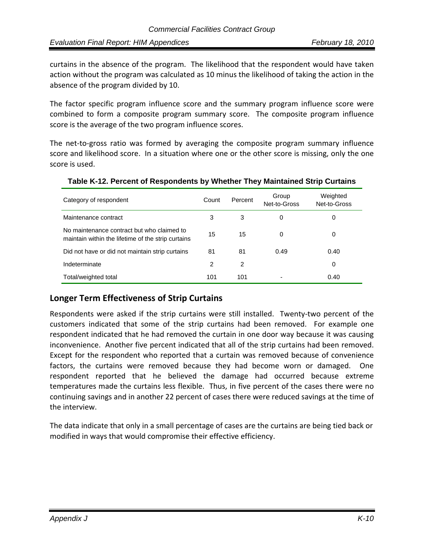curtains in the absence of the program. The likelihood that the respondent would have taken action without the program was calculated as 10 minus the likelihood of taking the action in the absence of the program divided by 10.

The factor specific program influence score and the summary program influence score were combined to form a composite program summary score. The composite program influence score is the average of the two program influence scores.

The net-to-gross ratio was formed by averaging the composite program summary influence score and likelihood score. In a situation where one or the other score is missing, only the one score is used.

| Category of respondent                                                                           | Count | Percent | Group<br>Net-to-Gross | Weighted<br>Net-to-Gross |
|--------------------------------------------------------------------------------------------------|-------|---------|-----------------------|--------------------------|
| Maintenance contract                                                                             | 3     | 3       | 0                     | 0                        |
| No maintenance contract but who claimed to<br>maintain within the lifetime of the strip curtains | 15    | 15      | 0                     | 0                        |
| Did not have or did not maintain strip curtains                                                  | 81    | 81      | 0.49                  | 0.40                     |
| Indeterminate                                                                                    | 2     | 2       |                       | 0                        |
| Total/weighted total                                                                             | 101   | 101     |                       | 0.40                     |

### **Table K-12. Percent of Respondents by Whether They Maintained Strip Curtains**

## **Longer Term Effectiveness of Strip Curtains**

Respondents were asked if the strip curtains were still installed. Twenty-two percent of the customers indicated that some of the strip curtains had been removed. For example one respondent indicated that he had removed the curtain in one door way because it was causing inconvenience. Another five percent indicated that all of the strip curtains had been removed. Except for the respondent who reported that a curtain was removed because of convenience factors, the curtains were removed because they had become worn or damaged. One respondent reported that he believed the damage had occurred because extreme temperatures made the curtains less flexible. Thus, in five percent of the cases there were no continuing savings and in another 22 percent of cases there were reduced savings at the time of the interview.

The data indicate that only in a small percentage of cases are the curtains are being tied back or modified in ways that would compromise their effective efficiency.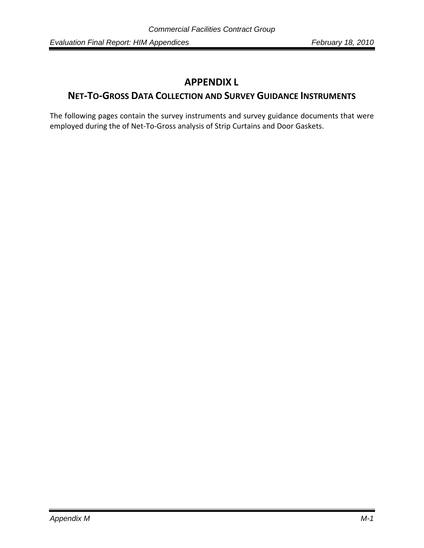# **APPENDIX L**

# **NET‐TO‐GROSS DATA COLLECTION AND SURVEY GUIDANCE INSTRUMENTS**

The following pages contain the survey instruments and survey guidance documents that were employed during the of Net‐To‐Gross analysis of Strip Curtains and Door Gaskets.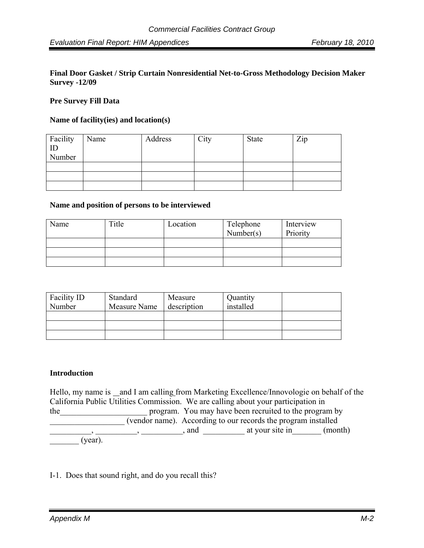#### **Final Door Gasket / Strip Curtain Nonresidential Net-to-Gross Methodology Decision Maker Survey -12/09**

### **Pre Survey Fill Data**

#### **Name of facility(ies) and location(s)**

| Facility | Name | Address | City | <b>State</b> | Zip |
|----------|------|---------|------|--------------|-----|
| ID       |      |         |      |              |     |
| Number   |      |         |      |              |     |
|          |      |         |      |              |     |
|          |      |         |      |              |     |
|          |      |         |      |              |     |

#### **Name and position of persons to be interviewed**

| Name | Title | Location | Telephone<br>Number(s) | Interview<br>Priority |
|------|-------|----------|------------------------|-----------------------|
|      |       |          |                        |                       |
|      |       |          |                        |                       |
|      |       |          |                        |                       |
|      |       |          |                        |                       |

| Facility ID<br>Number | Standard<br>Measure Name | Measure<br>description | Quantity<br>installed |  |
|-----------------------|--------------------------|------------------------|-----------------------|--|
|                       |                          |                        |                       |  |
|                       |                          |                        |                       |  |
|                       |                          |                        |                       |  |

#### **Introduction**

Hello, my name is and I am calling from Marketing Excellence/Innovologie on behalf of the California Public Utilities Commission. We are calling about your participation in the program. You may have been recruited to the program by \_\_\_\_\_\_\_\_\_\_\_\_\_\_\_\_\_\_ (vendor name). According to our records the program installed  $\frac{1}{2}$ , \_\_\_\_\_\_\_\_\_, \_\_\_\_\_\_\_\_, and \_\_\_\_\_\_\_\_\_\_\_ at your site in\_\_\_\_\_\_ (month)  $(year)$ .

### I-1. Does that sound right, and do you recall this?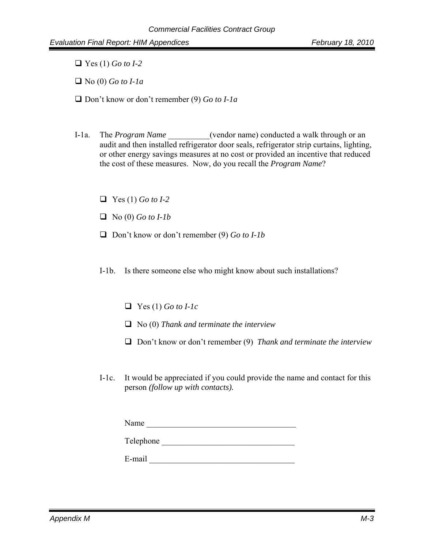Yes (1) *Go to I-2*

No (0) *Go to I-1a*

- Don't know or don't remember (9) *Go to I-1a*
- I-1a. The *Program Name* (vendor name) conducted a walk through or an audit and then installed refrigerator door seals, refrigerator strip curtains, lighting, or other energy savings measures at no cost or provided an incentive that reduced the cost of these measures. Now, do you recall the *Program Name*?
	- Yes (1) *Go to I-2*
	- No (0) *Go to I-1b*
	- Don't know or don't remember (9) *Go to I-1b*
	- I-1b. Is there someone else who might know about such installations?
		- Yes (1) *Go to I-1c*
		- No (0) *Thank and terminate the interview*
		- Don't know or don't remember (9) *Thank and terminate the interview*
	- I-1c. It would be appreciated if you could provide the name and contact for this person *(follow up with contacts).*

Telephone \_\_\_\_\_\_\_\_\_\_\_\_\_\_\_\_\_\_\_\_\_\_\_\_\_\_\_\_\_\_\_\_

 $E$ -mail  $\Box$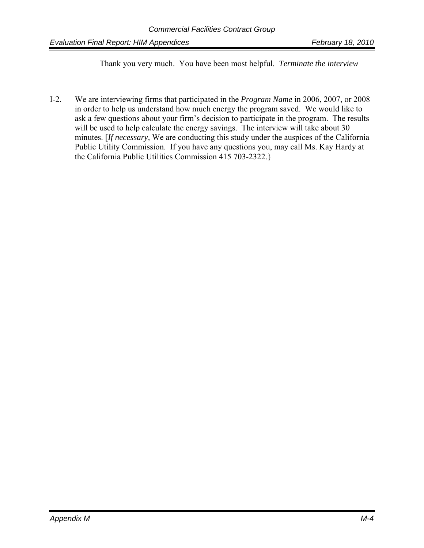Thank you very much. You have been most helpful. *Terminate the interview* 

I-2. We are interviewing firms that participated in the *Program Name* in 2006, 2007, or 2008 in order to help us understand how much energy the program saved. We would like to ask a few questions about your firm's decision to participate in the program. The results will be used to help calculate the energy savings. The interview will take about 30 minutes. [*If necessary,* We are conducting this study under the auspices of the California Public Utility Commission. If you have any questions you, may call Ms. Kay Hardy at the California Public Utilities Commission 415 703-2322.}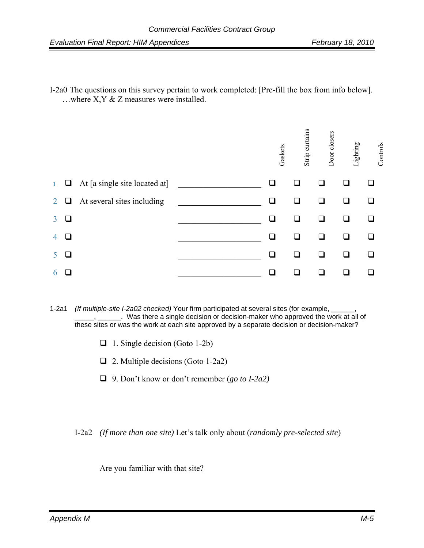I-2a0 The questions on this survey pertain to work completed: [Pre-fill the box from info below]. …where X,Y & Z measures were installed.



- 1-2a1 *(If multiple-site I-2a02 checked)* Your firm participated at several sites (for example, \_\_\_\_\_\_, \_\_\_\_\_, \_\_\_\_\_\_. Was there a single decision or decision-maker who approved the work at all of these sites or was the work at each site approved by a separate decision or decision-maker?
	- $\Box$  1. Single decision (Goto 1-2b)
	- $\Box$  2. Multiple decisions (Goto 1-2a2)
	- 9. Don't know or don't remember (*go to I-2a2)*
	- I-2a2 *(If more than one site)* Let's talk only about (*randomly pre-selected site*)

Are you familiar with that site?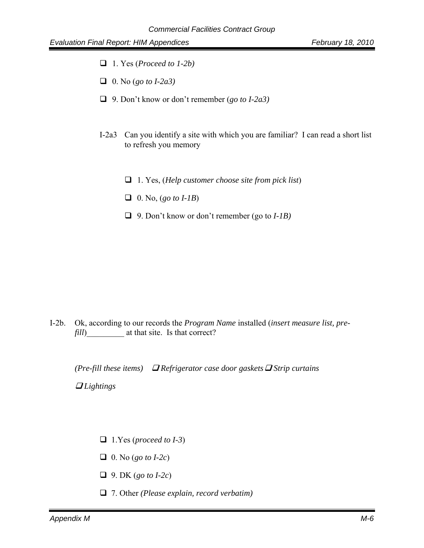- 1. Yes (*Proceed to 1-2b)*
- 0. No (*go to I-2a3)*
- 9. Don't know or don't remember (*go to I-2a3)*
- I-2a3 Can you identify a site with which you are familiar? I can read a short list to refresh you memory
	- 1. Yes, (*Help customer choose site from pick list*)
	- $\Box$  0. No, (*go to I-1B*)
	- 9. Don't know or don't remember (go to *I-1B)*

I-2b. Ok, according to our records the *Program Name* installed (*insert measure list, prefill*) at that site. Is that correct?

*(Pre-fill these items)*  $\Box$  *Refrigerator case door gaskets*  $\Box$  *Strip curtains* 

 *Lightings* 

- 1.Yes (*proceed to I-3*)
- 0. No (*go to I-2c*)
- 9. DK (*go to I-2c*)
- 7. Other *(Please explain, record verbatim)*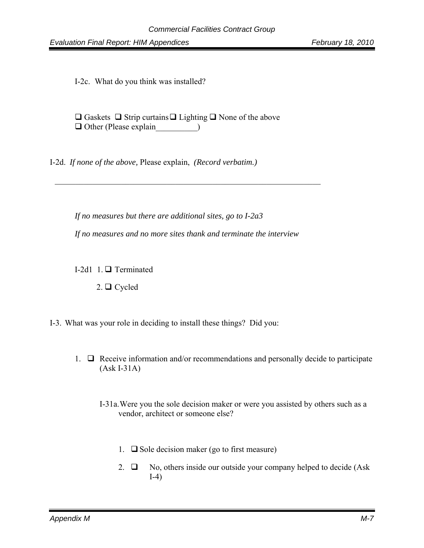I-2c. What do you think was installed?

|                              | $\Box$ Gaskets $\Box$ Strip curtains $\Box$ Lighting $\Box$ None of the above |  |
|------------------------------|-------------------------------------------------------------------------------|--|
| $\Box$ Other (Please explain |                                                                               |  |

I-2d. *If none of the above,* Please explain, *(Record verbatim.)*

*If no measures but there are additional sites, go to I-2a3* 

*If no measures and no more sites thank and terminate the interview* 

 $\mathcal{L}_\text{max}$  and  $\mathcal{L}_\text{max}$  and  $\mathcal{L}_\text{max}$  and  $\mathcal{L}_\text{max}$  and  $\mathcal{L}_\text{max}$  and  $\mathcal{L}_\text{max}$ 

I-2d1 1.  $\Box$  Terminated

 $2. \Box$  Cycled

- I-3. What was your role in deciding to install these things? Did you:
	- 1.  $\Box$  Receive information and/or recommendations and personally decide to participate (Ask I-31A)
		- I-31a. Were you the sole decision maker or were you assisted by others such as a vendor, architect or someone else?
			- 1.  $\Box$  Sole decision maker (go to first measure)
			- 2.  $\Box$  No, others inside our outside your company helped to decide (Ask I-4)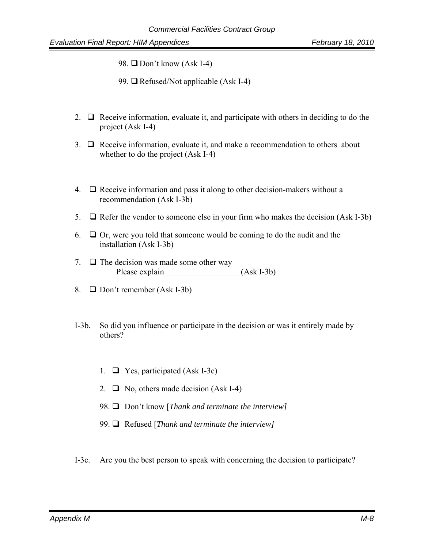98. **□** Don't know (Ask I-4)

- 99.  $\Box$  Refused/Not applicable (Ask I-4)
- 2.  $\Box$  Receive information, evaluate it, and participate with others in deciding to do the project (Ask I-4)
- $3. \Box$  Receive information, evaluate it, and make a recommendation to others about whether to do the project (Ask I-4)
- 4.  $\Box$  Receive information and pass it along to other decision-makers without a recommendation (Ask I-3b)
- 5.  $\Box$  Refer the vendor to someone else in your firm who makes the decision (Ask I-3b)
- 6.  $\Box$  Or, were you told that someone would be coming to do the audit and the installation (Ask I-3b)
- 7.  $\Box$  The decision was made some other way Please explain (Ask I-3b)
- 8.  $\Box$  Don't remember (Ask I-3b)
- I-3b. So did you influence or participate in the decision or was it entirely made by others?
	- 1.  $\Box$  Yes, participated (Ask I-3c)
	- 2.  $\Box$  No, others made decision (Ask I-4)
	- 98.  $\Box$  Don't know [*Thank and terminate the interview*]
	- 99. Refused [*Thank and terminate the interview]*
- I-3c. Are you the best person to speak with concerning the decision to participate?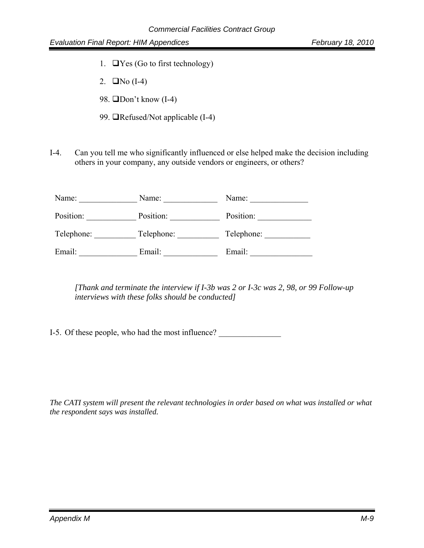- 1.  $\Box$  Yes (Go to first technology)
- 2.  $\Box$ No (I-4)
- 98.  $\Box$ Don't know (I-4)
- 99.  $\Box$ Refused/Not applicable (I-4)
- I-4. Can you tell me who significantly influenced or else helped make the decision including others in your company, any outside vendors or engineers, or others?

| Name:      | Name:      | Name:      |
|------------|------------|------------|
| Position:  | Position:  | Position:  |
| Telephone: | Telephone: | Telephone: |
| Email:     | Email:     | Email:     |

*[Thank and terminate the interview if I-3b was 2 or I-3c was 2, 98, or 99 Follow-up interviews with these folks should be conducted]* 

I-5. Of these people, who had the most influence?

*The CATI system will present the relevant technologies in order based on what was installed or what the respondent says was installed.*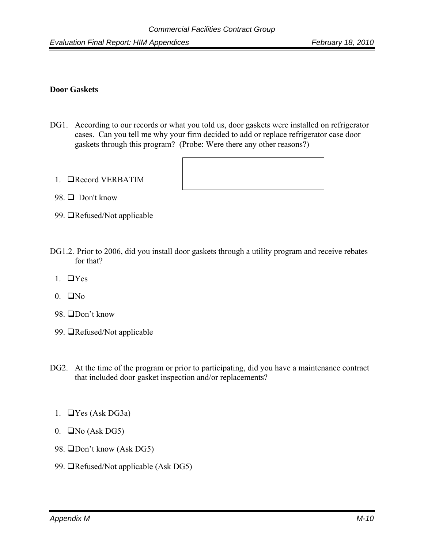### **Door Gaskets**

- DG1. According to our records or what you told us, door gaskets were installed on refrigerator cases. Can you tell me why your firm decided to add or replace refrigerator case door gaskets through this program? (Probe: Were there any other reasons?)
	- 1. Record VERBATIM



- 98.  $\Box$  Don't know
- 99. **Refused/Not applicable**
- DG1.2. Prior to 2006, did you install door gaskets through a utility program and receive rebates for that?
	- 1.  $\Box$ Yes
	- $0.$   $\Box$ No
	- 98. □Don't know
	- 99. **I**Refused/Not applicable
- DG2. At the time of the program or prior to participating, did you have a maintenance contract that included door gasket inspection and/or replacements?
	- 1.  $\Box$  Yes (Ask DG3a)
	- 0.  $\Box$  No (Ask DG5)
	- 98. **ODon't know (Ask DG5)**
	- 99. **The Sandal** Not applicable (Ask DG5)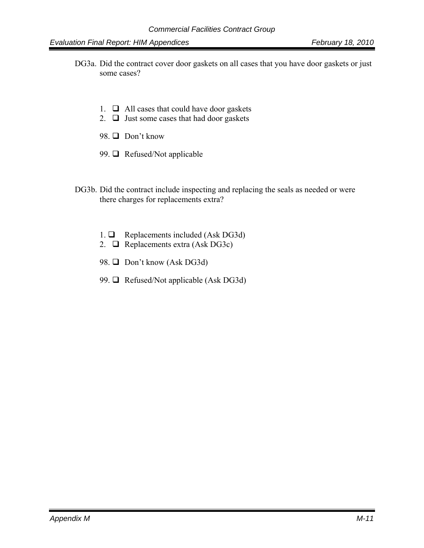- DG3a. Did the contract cover door gaskets on all cases that you have door gaskets or just some cases?
	- 1.  $\Box$  All cases that could have door gaskets
	- 2.  $\Box$  Just some cases that had door gaskets
	- 98.  $\Box$  Don't know
	- 99.  $\Box$  Refused/Not applicable
- DG3b. Did the contract include inspecting and replacing the seals as needed or were there charges for replacements extra?
	- 1.  $\Box$  Replacements included (Ask DG3d)
	- 2.  $\Box$  Replacements extra (Ask DG3c)
	- 98.  $\Box$  Don't know (Ask DG3d)
	- 99.  $\Box$  Refused/Not applicable (Ask DG3d)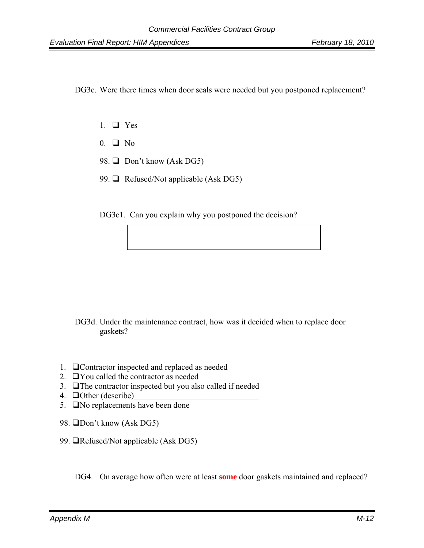DG3c. Were there times when door seals were needed but you postponed replacement?

- 1.  $\Box$  Yes
- $0. \Box$  No
- 98.  $\Box$  Don't know (Ask DG5)
- 99.  $\Box$  Refused/Not applicable (Ask DG5)

DG3c1. Can you explain why you postponed the decision?

DG3d. Under the maintenance contract, how was it decided when to replace door gaskets?

- 1. Contractor inspected and replaced as needed
- 2.  $\Box$  You called the contractor as needed
- 3.  $\Box$  The contractor inspected but you also called if needed
- 4.  $\Box$  Other (describe)
- 5. **No replacements have been done**
- 98. **ODon't know (Ask DG5)**
- 99. **The Strate applicable (Ask DG5)**

DG4. On average how often were at least **some** door gaskets maintained and replaced?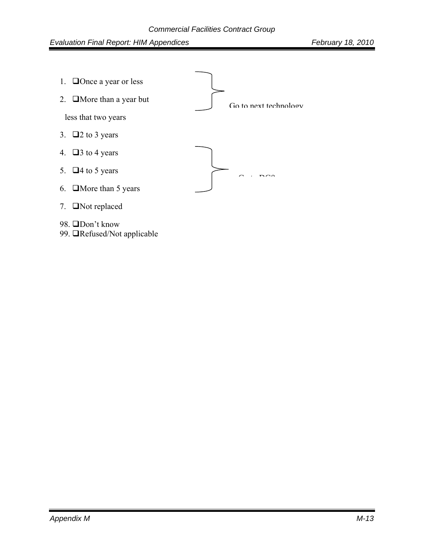

99. *Refused/Not applicable*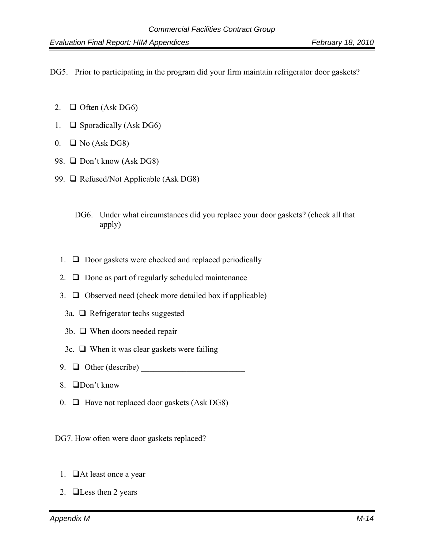DG5. Prior to participating in the program did your firm maintain refrigerator door gaskets?

- 2.  $\Box$  Often (Ask DG6)
- 1.  $\Box$  Sporadically (Ask DG6)
- $0. \Box$  No (Ask DG8)
- 98.  $\Box$  Don't know (Ask DG8)
- 99.  $\Box$  Refused/Not Applicable (Ask DG8)
	- DG6. Under what circumstances did you replace your door gaskets? (check all that apply)
	- 1.  $\Box$  Door gaskets were checked and replaced periodically
	- 2.  $\Box$  Done as part of regularly scheduled maintenance
	- 3.  $\Box$  Observed need (check more detailed box if applicable)
	- 3a.  $\Box$  Refrigerator techs suggested
	- 3b.  $\Box$  When doors needed repair
	- 3c.  $\Box$  When it was clear gaskets were failing
	- 9.  $\Box$  Other (describe)
	- 8. □Don't know
	- 0.  $\Box$  Have not replaced door gaskets (Ask DG8)
- DG7. How often were door gaskets replaced?
	- 1.  $\Box$  At least once a year
	- 2.  $\Box$ Less then 2 years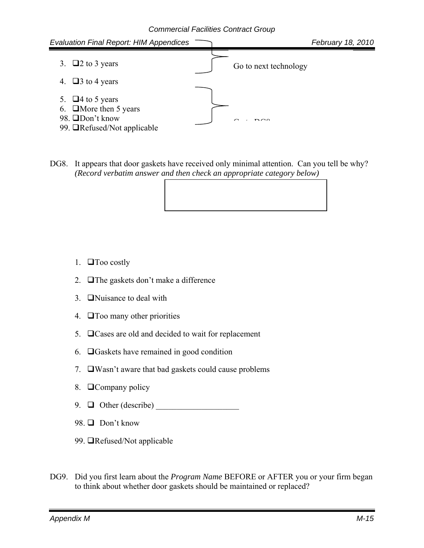

DG8. It appears that door gaskets have received only minimal attention. Can you tell be why? *(Record verbatim answer and then check an appropriate category below)*

- 1.  $\Box$  Too costly
- 2.  $\Box$  The gaskets don't make a difference
- 3. **O**Nuisance to deal with
- 4.  $\Box$  Too many other priorities
- 5.  $\Box$  Cases are old and decided to wait for replacement
- 6.  $\Box$  Gaskets have remained in good condition
- 7.  $\Box$ Wasn't aware that bad gaskets could cause problems
- 8. Company policy
- 9.  $\Box$  Other (describe)
- 98.  $\Box$  Don't know
- 99. **Refused/Not applicable**
- DG9. Did you first learn about the *Program Name* BEFORE or AFTER you or your firm began to think about whether door gaskets should be maintained or replaced?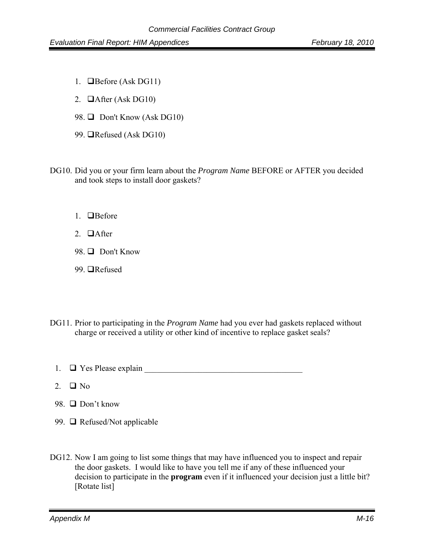- 1. **Before** (Ask DG11)
- 2.  $\Box$  After (Ask DG10)
- 98.  $\Box$  Don't Know (Ask DG10)
- 99. **QRefused** (Ask DG10)
- DG10. Did you or your firm learn about the *Program Name* BEFORE or AFTER you decided and took steps to install door gaskets?
	- 1.  $\Box$  Before
	- 2  $\Box$  After
	- 98. **Don't Know**
	- 99. **■**Refused
- DG11. Prior to participating in the *Program Name* had you ever had gaskets replaced without charge or received a utility or other kind of incentive to replace gasket seals?
	- 1.  $\Box$  Yes Please explain  $\Box$
	- 2.  $\Box$  No.
	- 98.  $\Box$  Don't know
	- 99.  $\Box$  Refused/Not applicable
- DG12. Now I am going to list some things that may have influenced you to inspect and repair the door gaskets. I would like to have you tell me if any of these influenced your decision to participate in the **program** even if it influenced your decision just a little bit? [Rotate list]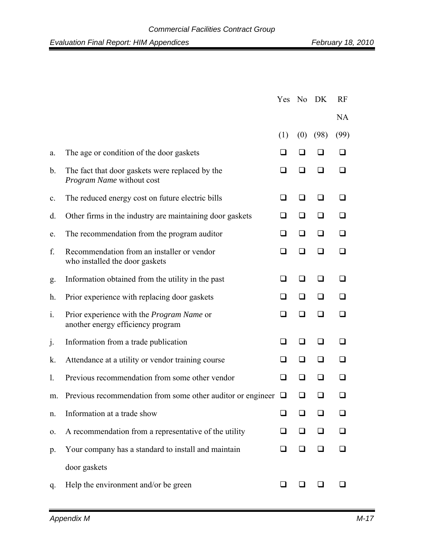|                |                                                                                       | Yes No DK |     |      | RF        |  |
|----------------|---------------------------------------------------------------------------------------|-----------|-----|------|-----------|--|
|                |                                                                                       |           |     |      | <b>NA</b> |  |
|                |                                                                                       | (1)       | (0) | (98) | (99)      |  |
| a.             | The age or condition of the door gaskets                                              |           |     |      |           |  |
| $\mathbf{b}$ . | The fact that door gaskets were replaced by the<br><i>Program Name</i> without cost   | ப         | l 1 |      |           |  |
| $\mathbf{c}$ . | The reduced energy cost on future electric bills                                      | ◻         | ப   |      |           |  |
| d.             | Other firms in the industry are maintaining door gaskets                              | ப         | □   | ப    |           |  |
| e.             | The recommendation from the program auditor                                           | ப         | ◻   | ◻    |           |  |
| f.             | Recommendation from an installer or vendor<br>who installed the door gaskets          | □         | l 1 |      |           |  |
| g.             | Information obtained from the utility in the past                                     | ❏         | ப   | ப    |           |  |
| h.             | Prior experience with replacing door gaskets                                          | ப         | ❏   | ப    |           |  |
| 1.             | Prior experience with the <i>Program Name</i> or<br>another energy efficiency program | l 1       | l 1 |      |           |  |
| j.             | Information from a trade publication                                                  | ◻         | ப   | ◻    |           |  |
| k.             | Attendance at a utility or vendor training course                                     | ப         | ப   |      |           |  |
| 1.             | Previous recommendation from some other vendor                                        | ப         | ப   | ப    |           |  |
| m.             | Previous recommendation from some other auditor or engineer                           | ⊔         | ப   |      |           |  |
| n.             | Information at a trade show                                                           |           |     |      |           |  |
| 0.             | A recommendation from a representative of the utility                                 | ப         | ப   |      |           |  |
| $p_{\cdot}$    | Your company has a standard to install and maintain                                   | ப         | ப   |      |           |  |
|                | door gaskets                                                                          |           |     |      |           |  |
| q.             | Help the environment and/or be green                                                  |           |     |      |           |  |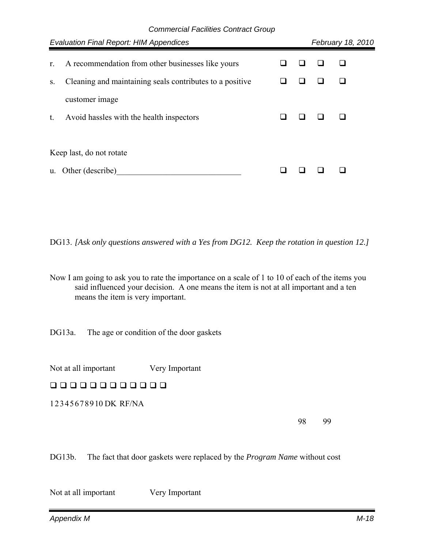| <b>Evaluation Final Report: HIM Appendices</b> |                                                          |  |  |  | February 18, 2010 |  |  |
|------------------------------------------------|----------------------------------------------------------|--|--|--|-------------------|--|--|
| r.                                             | A recommendation from other businesses like yours        |  |  |  |                   |  |  |
| S.                                             | Cleaning and maintaining seals contributes to a positive |  |  |  |                   |  |  |
|                                                | customer image                                           |  |  |  |                   |  |  |
| t.                                             | Avoid has les with the health inspectors                 |  |  |  |                   |  |  |
|                                                |                                                          |  |  |  |                   |  |  |
|                                                | Keep last, do not rotate                                 |  |  |  |                   |  |  |
| $\mathbf{u}$ .                                 | Other (describe)                                         |  |  |  |                   |  |  |
|                                                |                                                          |  |  |  |                   |  |  |

DG13. *[Ask only questions answered with a Yes from DG12. Keep the rotation in question 12.]* 

Now I am going to ask you to rate the importance on a scale of 1 to 10 of each of the items you said influenced your decision. A one means the item is not at all important and a ten means the item is very important.

DG13a. The age or condition of the door gaskets

Not at all important Very Important

00000000000

1 2 3 4 5 6 7 8 9 10 DK RF/NA

98 99

DG13b. The fact that door gaskets were replaced by the *Program Name* without cost

Not at all important Very Important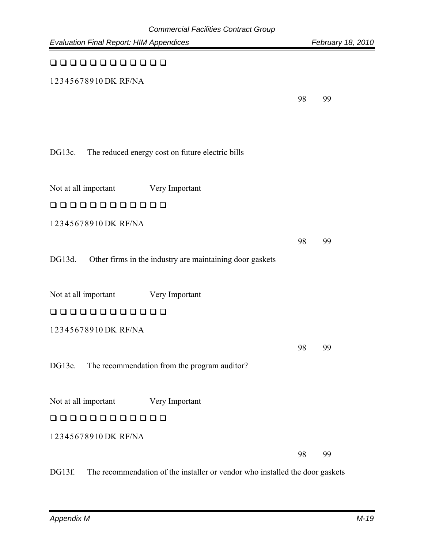| <b>Evaluation Final Report: HIM Appendices</b> |                                                          |    | February 18, 2010 |
|------------------------------------------------|----------------------------------------------------------|----|-------------------|
| 0000000000                                     |                                                          |    |                   |
| 12345678910DK RF/NA                            |                                                          |    |                   |
|                                                |                                                          | 98 | 99                |
|                                                |                                                          |    |                   |
|                                                |                                                          |    |                   |
| DG13c.                                         | The reduced energy cost on future electric bills         |    |                   |
|                                                |                                                          |    |                   |
| Not at all important                           | Very Important                                           |    |                   |
| 000000000000                                   |                                                          |    |                   |
| 12345678910DK RF/NA                            |                                                          |    |                   |
|                                                |                                                          | 98 | 99                |
| DG13d.                                         | Other firms in the industry are maintaining door gaskets |    |                   |
|                                                |                                                          |    |                   |
| Not at all important                           | Very Important                                           |    |                   |
| 00000000000                                    |                                                          |    |                   |
| 12345678910 DK RF/NA                           |                                                          |    |                   |
|                                                |                                                          | 98 | 99                |
| DG13e.                                         | The recommendation from the program auditor?             |    |                   |
|                                                |                                                          |    |                   |
| Not at all important                           | Very Important                                           |    |                   |
| 00000000000                                    |                                                          |    |                   |
| 12345678910DK RF/NA                            |                                                          |    |                   |
|                                                |                                                          | 98 | 99                |
|                                                |                                                          |    |                   |

DG13f. The recommendation of the installer or vendor who installed the door gaskets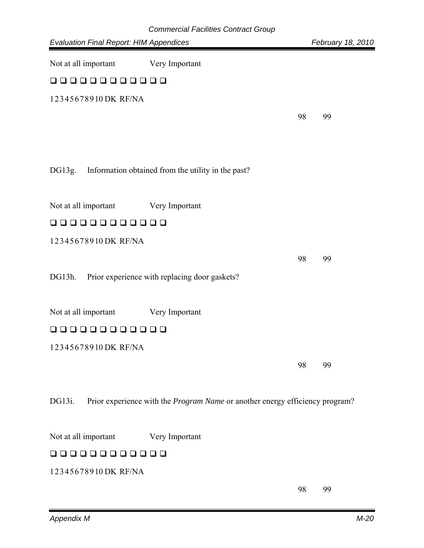| <b>Evaluation Final Report: HIM Appendices</b> | <b>Commercial Facilities Contract Group</b>                                  |    | February 18, 2010 |
|------------------------------------------------|------------------------------------------------------------------------------|----|-------------------|
|                                                |                                                                              |    |                   |
| Not at all important                           | Very Important                                                               |    |                   |
| 00000000000                                    |                                                                              |    |                   |
| 12345678910DK RF/NA                            |                                                                              |    |                   |
|                                                |                                                                              | 98 | 99                |
|                                                |                                                                              |    |                   |
|                                                |                                                                              |    |                   |
| DG13g.                                         | Information obtained from the utility in the past?                           |    |                   |
|                                                |                                                                              |    |                   |
| Not at all important                           | Very Important                                                               |    |                   |
| 00000000000                                    |                                                                              |    |                   |
| 12345678910DK RF/NA                            |                                                                              |    |                   |
|                                                |                                                                              | 98 | 99                |
| DG13h.                                         | Prior experience with replacing door gaskets?                                |    |                   |
|                                                |                                                                              |    |                   |
| Not at all important                           | Very Important                                                               |    |                   |
| $\mathbf{L}$                                   | பப                                                                           |    |                   |
| 12345678910DK RF/NA                            |                                                                              |    |                   |
|                                                |                                                                              | 98 | 99                |
|                                                |                                                                              |    |                   |
| DG13i.                                         | Prior experience with the Program Name or another energy efficiency program? |    |                   |
|                                                |                                                                              |    |                   |
| Not at all important                           | Very Important                                                               |    |                   |
| 0000000000                                     |                                                                              |    |                   |
| 12345678910DK RF/NA                            |                                                                              |    |                   |
|                                                |                                                                              | 98 | 99                |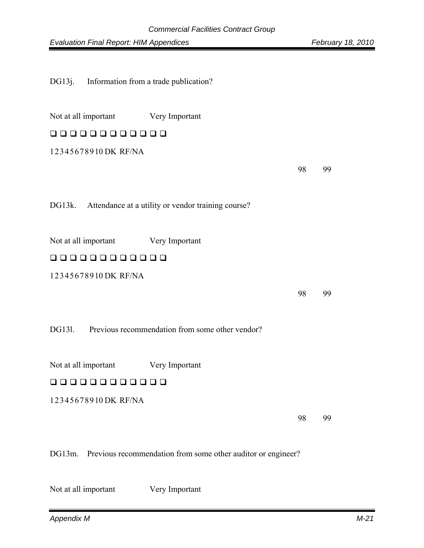DG13j. Information from a trade publication?

| Not at all important Very Important |                                                           |    |    |
|-------------------------------------|-----------------------------------------------------------|----|----|
| 000000000000                        |                                                           |    |    |
| 12345678910DK RF/NA                 |                                                           |    |    |
|                                     |                                                           | 98 | 99 |
|                                     |                                                           |    |    |
|                                     | DG13k. Attendance at a utility or vendor training course? |    |    |
|                                     |                                                           |    |    |
| Not at all important Very Important |                                                           |    |    |
| 000000000000                        |                                                           |    |    |
| 12345678910 DK RF/NA                |                                                           |    |    |
|                                     |                                                           | 98 | 99 |
|                                     |                                                           |    |    |
|                                     | DG131. Previous recommendation from some other vendor?    |    |    |
|                                     |                                                           |    |    |
| Not at all important                | Very Important                                            |    |    |
| 000000000000                        |                                                           |    |    |
| 12345678910DK RF/NA                 |                                                           |    |    |
|                                     |                                                           |    |    |

98 99

DG13m. Previous recommendation from some other auditor or engineer?

Not at all important Very Important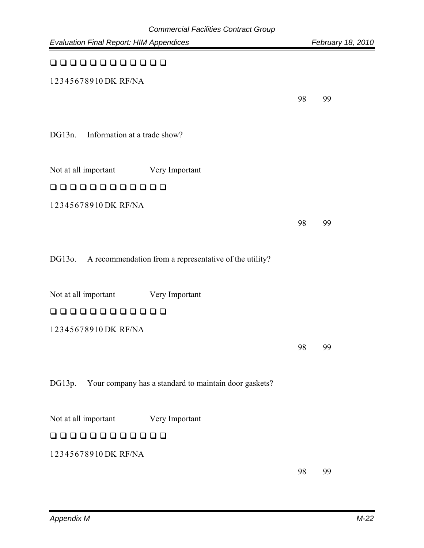| <b>Evaluation Final Report: HIM Appendices</b>                   |    | February 18, 2010 |
|------------------------------------------------------------------|----|-------------------|
| 000000000000                                                     |    |                   |
| 12345678910DK RF/NA                                              |    |                   |
|                                                                  | 98 | 99                |
|                                                                  |    |                   |
| Information at a trade show?<br>DG13n.                           |    |                   |
| Not at all important<br>Very Important                           |    |                   |
| 00000000000                                                      |    |                   |
| 12345678910DK RF/NA                                              |    |                   |
|                                                                  | 98 | 99                |
|                                                                  |    |                   |
| DG130.<br>A recommendation from a representative of the utility? |    |                   |
|                                                                  |    |                   |
| Not at all important<br>Very Important                           |    |                   |
| 000000000000                                                     |    |                   |
| 12345678910DK RF/NA                                              |    |                   |
|                                                                  | 98 | 99                |
|                                                                  |    |                   |
| DG13p.<br>Your company has a standard to maintain door gaskets?  |    |                   |
| Not at all important<br>Very Important                           |    |                   |
| 0000000<br>$\mathbf{L}$                                          |    |                   |
| 12345678910DK RF/NA                                              |    |                   |
|                                                                  | 98 | 99                |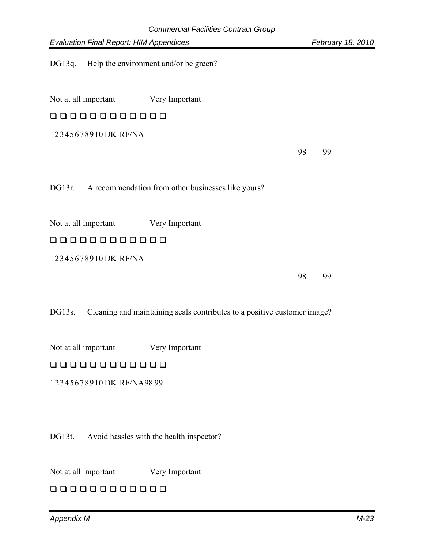DG13q. Help the environment and/or be green?

Not at all important Very Important

# 000000000000

1 2 3 4 5 6 7 8 9 10 DK RF/NA

98 99

DG13r. A recommendation from other businesses like yours?

Not at all important Very Important

# 000000000000

1 2 3 4 5 6 7 8 9 10 DK RF/NA

98 99

DG13s. Cleaning and maintaining seals contributes to a positive customer image?

Not at all important Very Important

# 00000000000

1 2 3 4 5 6 7 8 9 10 DK RF/NA 98 99

DG13t. Avoid hassles with the health inspector?

Not at all important Very Important

000000000000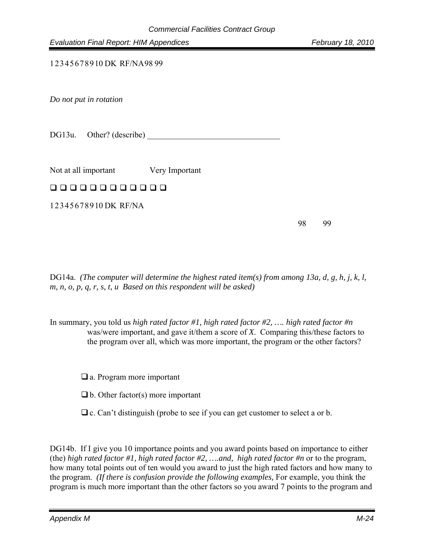1 2 3 4 5 6 7 8 9 10 DK RF/NA 98 99

*Do not put in rotation* 

DG13u. Other? (describe)

Not at all important Very Important

### 000000000000

1 2 3 4 5 6 7 8 9 10 DK RF/NA

98 99

DG14a. *(The computer will determine the highest rated item(s) from among 13a, d, g, h, j, k, l, m, n, o, p, q, r, s, t, u Based on this respondent will be asked)*

In summary, you told us *high rated factor #1, high rated factor #2, …. high rated factor #n* was/were important, and gave it/them a score of *X*. Comparing this/these factors to the program over all, which was more important, the program or the other factors?

□ a. Program more important

- $\Box$  b. Other factor(s) more important
- $\Box$  c. Can't distinguish (probe to see if you can get customer to select a or b.

DG14b. If I give you 10 importance points and you award points based on importance to either (the) *high rated factor #1, high rated factor #2, ….and, high rated factor #n* or to the program, how many total points out of ten would you award to just the high rated factors and how many to the program. *(If there is confusion provide the following examples,* For example, you think the program is much more important than the other factors so you award 7 points to the program and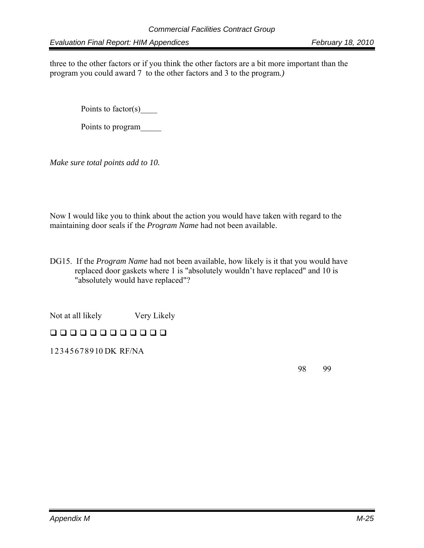three to the other factors or if you think the other factors are a bit more important than the program you could award 7 to the other factors and 3 to the program*.)*

Points to factor(s)

Points to program\_\_\_\_\_

*Make sure total points add to 10.* 

Now I would like you to think about the action you would have taken with regard to the maintaining door seals if the *Program Name* had not been available.

DG15. If the *Program Name* had not been available, how likely is it that you would have replaced door gaskets where 1 is "absolutely wouldn't have replaced" and 10 is "absolutely would have replaced"?

Not at all likely Very Likely

# 00000000000

1 2 3 4 5 6 7 8 9 10 DK RF/NA

98 99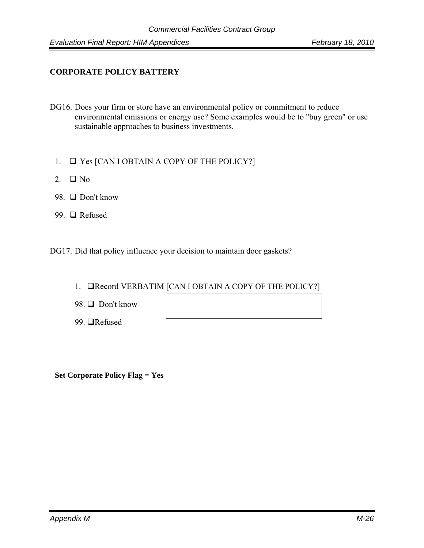### **CORPORATE POLICY BATTERY**

- DG16. Does your firm or store have an environmental policy or commitment to reduce environmental emissions or energy use? Some examples would be to "buy green" or use sustainable approaches to business investments.
	- 1.  $\Box$  Yes [CAN I OBTAIN A COPY OF THE POLICY?]
	- 2.  $\Box$  No
	- 98.  $\Box$  Don't know
	- 99. □ Refused

DG17. Did that policy influence your decision to maintain door gaskets?

- 1. **QRecord VERBATIM [CAN I OBTAIN A COPY OF THE POLICY?]**
- 98.  $\Box$  Don't know
- 99. **■**Refused

 **Set Corporate Policy Flag = Yes**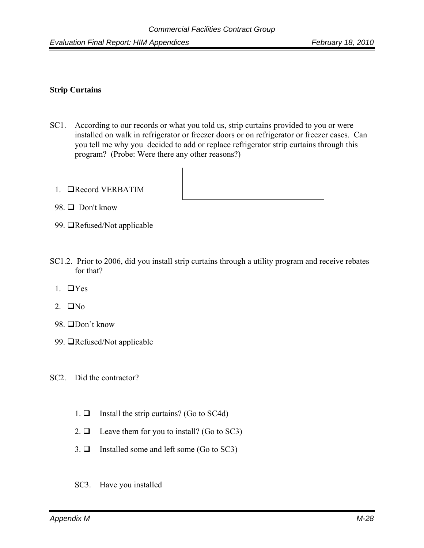### **Strip Curtains**

- SC1. According to our records or what you told us, strip curtains provided to you or were installed on walk in refrigerator or freezer doors or on refrigerator or freezer cases. Can you tell me why you decided to add or replace refrigerator strip curtains through this program? (Probe: Were there any other reasons?)
	- 1. Record VERBATIM



- 98.  $\Box$  Don't know
- 99. **I**Refused/Not applicable
- SC1.2. Prior to 2006, did you install strip curtains through a utility program and receive rebates for that?
	- 1.  $\Box$  Yes
	- 2.  $\Box$ No
	- 98. □Don't know
	- 99. **I**Refused/Not applicable
- SC2. Did the contractor?
	- 1.  $\Box$  Install the strip curtains? (Go to SC4d)
	- 2.  $\Box$  Leave them for you to install? (Go to SC3)
	- 3.  $\Box$  Installed some and left some (Go to SC3)
	- SC3. Have you installed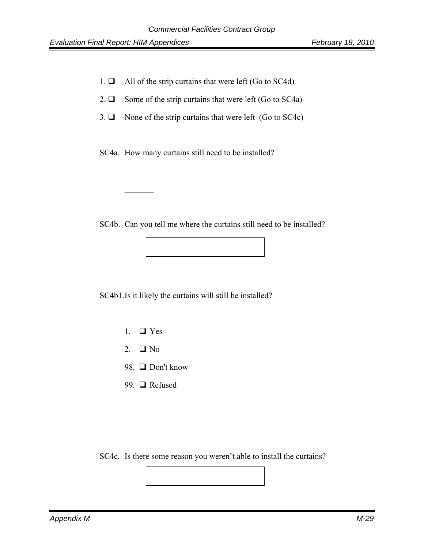$\mathcal{L}=\mathcal{L}=\mathcal{L}=\mathcal{L}$ 

- 1.  $\Box$  All of the strip curtains that were left (Go to SC4d)
- 2.  $\Box$  Some of the strip curtains that were left (Go to SC4a)
- 3.  $\Box$  None of the strip curtains that were left (Go to SC4c)

SC4a. How many curtains still need to be installed?

SC4b. Can you tell me where the curtains still need to be installed?

SC4b1. Is it likely the curtains will still be installed?

- 1.  $\Box$  Yes
- 2.  $\Box$  No
- 98.  $\Box$  Don't know
- 99. □ Refused

SC4c. Is there some reason you weren't able to install the curtains?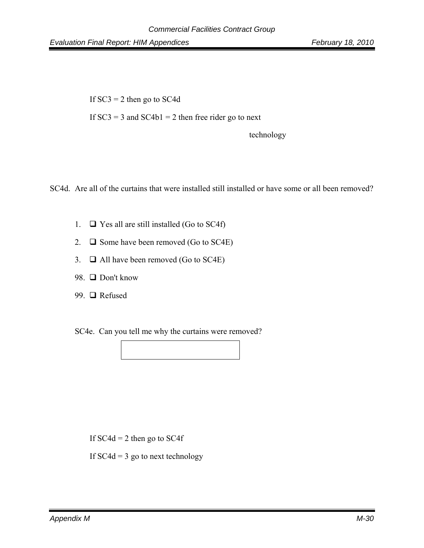If  $SC3 = 2$  then go to  $SC4d$ If  $SC3 = 3$  and  $SC4b1 = 2$  then free rider go to next technology

SC4d. Are all of the curtains that were installed still installed or have some or all been removed?

- 1.  $\Box$  Yes all are still installed (Go to SC4f)
- 2.  $\Box$  Some have been removed (Go to SC4E)
- 3.  $\Box$  All have been removed (Go to SC4E)
- 98. □ Don't know
- 99. □ Refused

SC4e. Can you tell me why the curtains were removed?

If  $SC4d = 2$  then go to  $SC4f$ If  $SC4d = 3$  go to next technology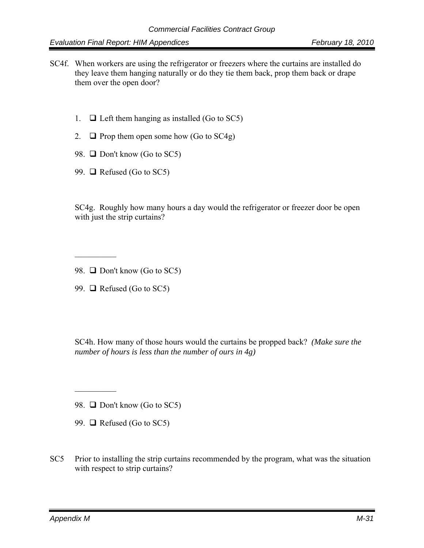- SC4f. When workers are using the refrigerator or freezers where the curtains are installed do they leave them hanging naturally or do they tie them back, prop them back or drape them over the open door?
	- 1.  $\Box$  Left them hanging as installed (Go to SC5)
	- 2.  $\Box$  Prop them open some how (Go to SC4g)
	- 98.  $\Box$  Don't know (Go to SC5)
	- 99.  $\Box$  Refused (Go to SC5)

SC4g. Roughly how many hours a day would the refrigerator or freezer door be open with just the strip curtains?

99.  $\Box$  Refused (Go to SC5)

 $\frac{1}{2}$ 

 $\mathcal{L}_\text{max}$ 

SC4h. How many of those hours would the curtains be propped back? *(Make sure the number of hours is less than the number of ours in 4g)*

98.  $\Box$  Don't know (Go to SC5)

- 99.  $\Box$  Refused (Go to SC5)
- SC5 Prior to installing the strip curtains recommended by the program, what was the situation with respect to strip curtains?

<sup>98.</sup>  $\Box$  Don't know (Go to SC5)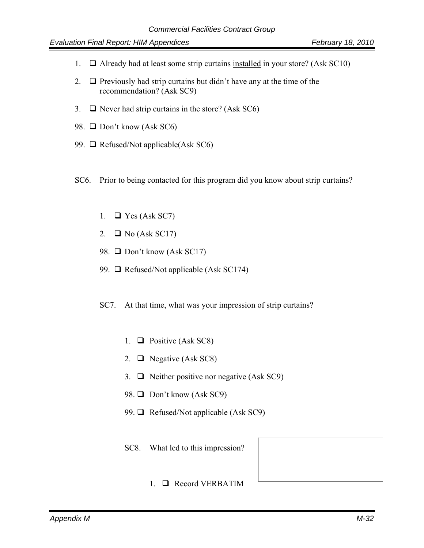- 1.  $\Box$  Already had at least some strip curtains installed in your store? (Ask SC10)
- 2.  $\Box$  Previously had strip curtains but didn't have any at the time of the recommendation? (Ask SC9)
- 3.  $\Box$  Never had strip curtains in the store? (Ask SC6)
- 98.  $\Box$  Don't know (Ask SC6)
- 99.  $\Box$  Refused/Not applicable(Ask SC6)
- SC6. Prior to being contacted for this program did you know about strip curtains?
	- 1.  $\Box$  Yes (Ask SC7)
	- 2.  $\Box$  No (Ask SC17)
	- 98.  $\Box$  Don't know (Ask SC17)
	- 99.  $\Box$  Refused/Not applicable (Ask SC174)
	- SC7. At that time, what was your impression of strip curtains?
		- 1.  $\Box$  Positive (Ask SC8)
		- 2.  $\Box$  Negative (Ask SC8)
		- 3.  $\Box$  Neither positive nor negative (Ask SC9)
		- 98.  $\Box$  Don't know (Ask SC9)
		- 99.  $\Box$  Refused/Not applicable (Ask SC9)
		- SC8. What led to this impression?
			- 1. Record VERBATIM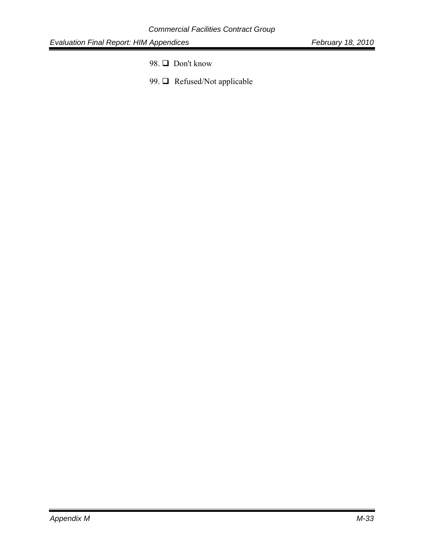- 98. □ Don't know
- 99.  $\Box$  Refused/Not applicable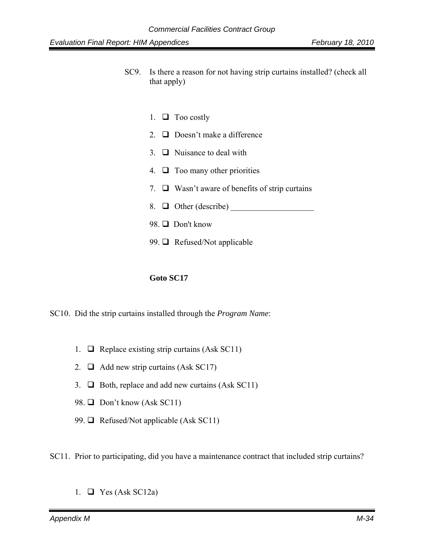- SC9. Is there a reason for not having strip curtains installed? (check all that apply)
	- 1.  $\Box$  Too costly
	- 2.  $\Box$  Doesn't make a difference
	- 3.  $\Box$  Nuisance to deal with
	- 4.  $\Box$  Too many other priorities
	- 7.  $\Box$  Wasn't aware of benefits of strip curtains
	- 8. Other (describe) \_\_\_\_\_\_\_\_\_\_\_\_\_\_\_\_\_\_\_\_
	- 98. □ Don't know
	- 99.  $\Box$  Refused/Not applicable

#### **Goto SC17**

SC10. Did the strip curtains installed through the *Program Name*:

- 1.  $\Box$  Replace existing strip curtains (Ask SC11)
- 2.  $\Box$  Add new strip curtains (Ask SC17)
- 3.  $\Box$  Both, replace and add new curtains (Ask SC11)
- 98.  $\Box$  Don't know (Ask SC11)
- 99.  $\Box$  Refused/Not applicable (Ask SC11)

SC11. Prior to participating, did you have a maintenance contract that included strip curtains?

1.  $\Box$  Yes (Ask SC12a)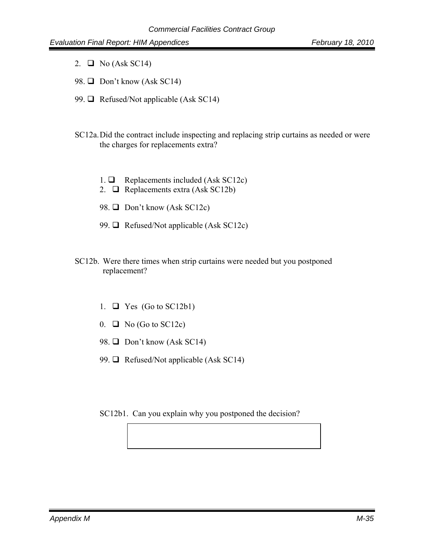- 2.  $\Box$  No (Ask SC14)
- 98.  $\Box$  Don't know (Ask SC14)
- 99.  $\Box$  Refused/Not applicable (Ask SC14)
- SC12a. Did the contract include inspecting and replacing strip curtains as needed or were the charges for replacements extra?
	- 1.  $\Box$  Replacements included (Ask SC12c)
	- 2.  $\Box$  Replacements extra (Ask SC12b)
	- 98.  $\Box$  Don't know (Ask SC12c)
	- 99.  $\Box$  Refused/Not applicable (Ask SC12c)
- SC12b. Were there times when strip curtains were needed but you postponed replacement?
	- 1.  $\Box$  Yes (Go to SC12b1)
	- $0. \Box$  No (Go to SC12c)
	- 98.  $\Box$  Don't know (Ask SC14)
	- 99.  $\Box$  Refused/Not applicable (Ask SC14)
	- SC12b1. Can you explain why you postponed the decision?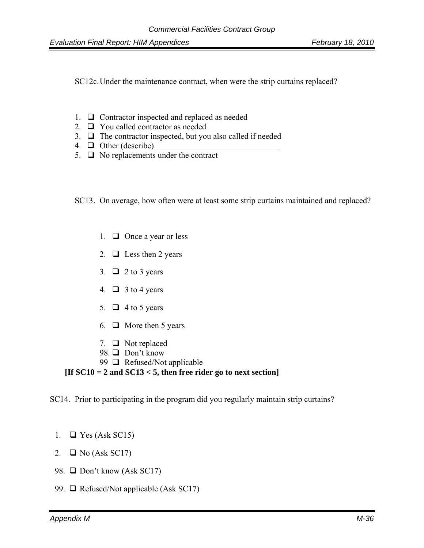SC12c. Under the maintenance contract, when were the strip curtains replaced?

- 1.  $\Box$  Contractor inspected and replaced as needed
- 2.  $\Box$  You called contractor as needed
- 3.  $\Box$  The contractor inspected, but you also called if needed
- 4.  $\Box$  Other (describe)
- 5.  $\Box$  No replacements under the contract

SC13. On average, how often were at least some strip curtains maintained and replaced?

- 1.  $\Box$  Once a year or less
- 2.  $\Box$  Less then 2 years
- 3.  $\Box$  2 to 3 years
- 4.  $\Box$  3 to 4 years
- 5.  $\Box$  4 to 5 years
- 6.  $\Box$  More then 5 years
- 7.  $\Box$  Not replaced
- 98. □ Don't know
- 99  $\Box$  Refused/Not applicable

### **[If SC10 = 2 and SC13 < 5, then free rider go to next section]**

SC14. Prior to participating in the program did you regularly maintain strip curtains?

- 1.  $\Box$  Yes (Ask SC15)
- 2.  $\Box$  No (Ask SC17)
- 98.  $\Box$  Don't know (Ask SC17)
- 99.  $\Box$  Refused/Not applicable (Ask SC17)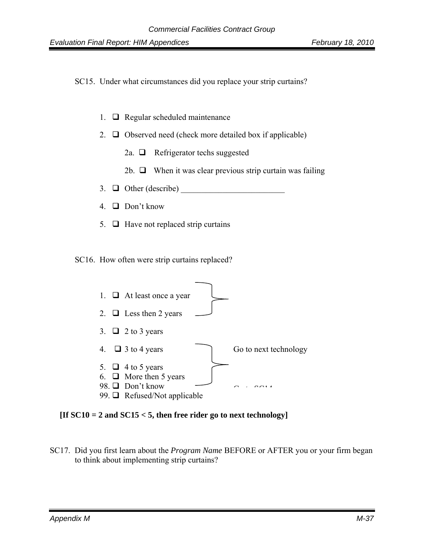SC15. Under what circumstances did you replace your strip curtains?

- 1.  $\Box$  Regular scheduled maintenance
- 2.  $\Box$  Observed need (check more detailed box if applicable)
	- 2a.  $\Box$  Refrigerator techs suggested
	- 2b.  $\Box$  When it was clear previous strip curtain was failing
- 3.  $\Box$  Other (describe)
- 4.  $\Box$  Don't know
- 5.  $\Box$  Have not replaced strip curtains

SC16. How often were strip curtains replaced?



**[If SC10 = 2 and SC15 < 5, then free rider go to next technology]** 

SC17. Did you first learn about the *Program Name* BEFORE or AFTER you or your firm began to think about implementing strip curtains?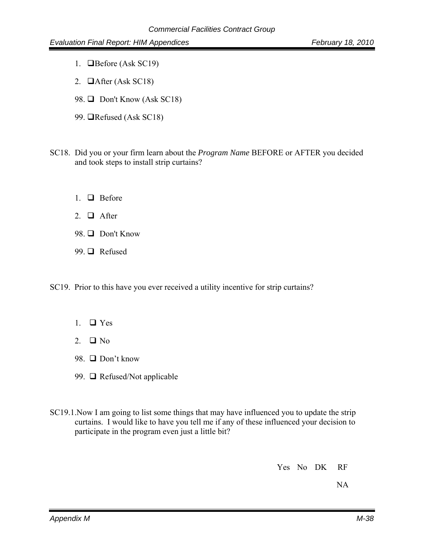- 1. **O**Before (Ask SC19)
- 2.  $\Box$ After (Ask SC18)
- 98.  $\Box$  Don't Know (Ask SC18)
- 99.  $\Box$ Refused (Ask SC18)
- SC18. Did you or your firm learn about the *Program Name* BEFORE or AFTER you decided and took steps to install strip curtains?
	- 1.  $\Box$  Before
	- 2.  $\Box$  After
	- 98.  $\Box$  Don't Know
	- 99. □ Refused
- SC19. Prior to this have you ever received a utility incentive for strip curtains?
	- 1.  $\Box$  Yes
	- 2.  $\Box$  No
	- 98.  $\Box$  Don't know
	- 99. **□** Refused/Not applicable
- SC19.1.Now I am going to list some things that may have influenced you to update the strip curtains. I would like to have you tell me if any of these influenced your decision to participate in the program even just a little bit?

Yes No DK RF

NA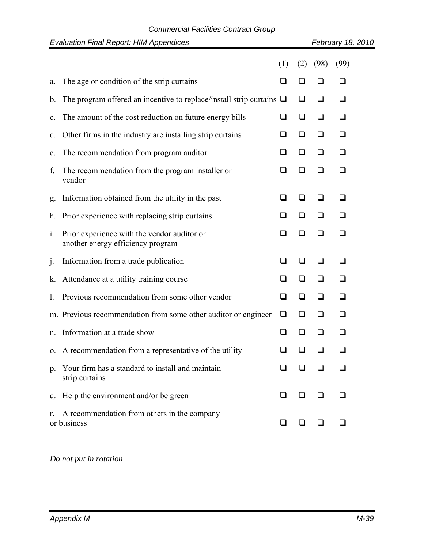### *Commercial Facilities Contract Group*

|                | <b>Evaluation Final Report: HIM Appendices</b>                                   |          |        |        | February 18, 2010 |
|----------------|----------------------------------------------------------------------------------|----------|--------|--------|-------------------|
|                |                                                                                  | (1)      | (2)    | (98)   | (99)              |
| a.             | The age or condition of the strip curtains                                       | $\sqcup$ |        |        | ◻                 |
| $\mathbf{b}$ . | The program offered an incentive to replace/install strip curtains $\Box$        |          | ❏      | ❏      | ❏                 |
| c.             | The amount of the cost reduction on future energy bills                          | ❏        | $\Box$ | ❏      | $\Box$            |
| d.             | Other firms in the industry are installing strip curtains                        | ப        | $\Box$ | ❏      | ❏                 |
| e.             | The recommendation from program auditor                                          | ❏        | ❏      | □      | $\Box$            |
| f.             | The recommendation from the program installer or<br>vendor                       | ❏        | ப      | ப      | $\Box$            |
| g.             | Information obtained from the utility in the past                                | $\sqcup$ |        | ப      | ◻                 |
| h.             | Prior experience with replacing strip curtains                                   | ❏        | ❏      | ❏      | ◻                 |
| 1.             | Prior experience with the vendor auditor or<br>another energy efficiency program | ❏        | ❏      | ❏      | ❏                 |
| $\cdot$        | Information from a trade publication                                             | ❏        | ❏      | ❏      | ❏                 |
| k.             | Attendance at a utility training course                                          | ❏        | ❏      | ❏      | ❏                 |
| 1.             | Previous recommendation from some other vendor                                   | ப        | ப      | ப      | ❏                 |
|                | m. Previous recommendation from some other auditor or engineer                   | ❏        | ❏      | ❏      | ❏                 |
| n.             | Information at a trade show                                                      | ◻        | ப      | ❏      | ◻                 |
|                | o. A recommendation from a representative of the utility                         | $\Box$   | $\Box$ | $\Box$ | ❏                 |
| $p_{\cdot}$    | Your firm has a standard to install and maintain<br>strip curtains               |          |        |        |                   |
| q.             | Help the environment and/or be green                                             | ப        |        |        | ப                 |
| r.             | A recommendation from others in the company<br>or business                       | ⊔        | ப      | ⊔      | □                 |

# *Do not put in rotation*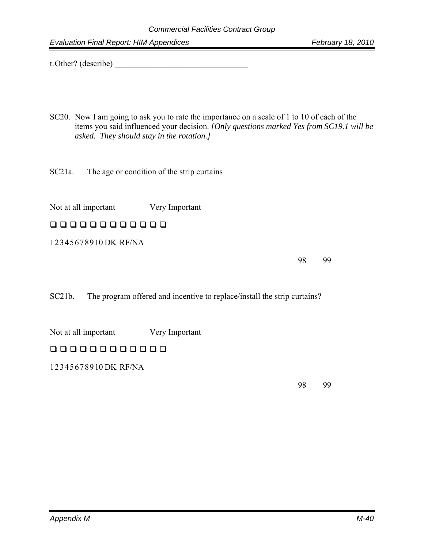t. Other? (describe) \_\_\_\_\_\_\_\_\_\_\_\_\_\_\_\_\_\_\_\_\_\_\_\_\_\_\_\_\_\_\_\_

- SC20. Now I am going to ask you to rate the importance on a scale of 1 to 10 of each of the items you said influenced your decision. *[Only questions marked Yes from SC19.1 will be asked. They should stay in the rotation.]*
- SC21a. The age or condition of the strip curtains

Not at all important Very Important

### 00000000000

1 2 3 4 5 6 7 8 9 10 DK RF/NA

98 99

SC21b. The program offered and incentive to replace/install the strip curtains?

Not at all important Very Important

# 00000000000

1 2 3 4 5 6 7 8 9 10 DK RF/NA

98 99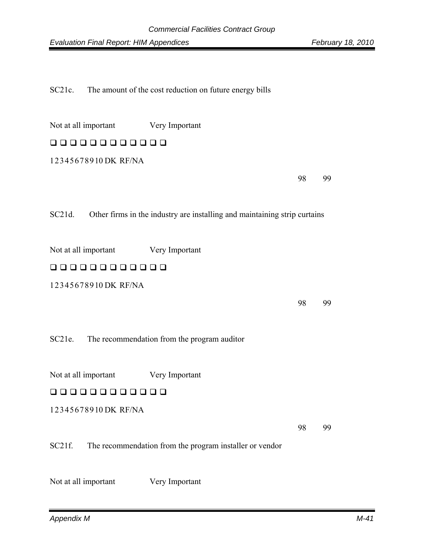SC21c. The amount of the cost reduction on future energy bills

Not at all important Very Important

# 000000000000

1 2 3 4 5 6 7 8 9 10 DK RF/NA

98 99

SC21d. Other firms in the industry are installing and maintaining strip curtains

Not at all important Very Important

# 00000000000

1 2 3 4 5 6 7 8 9 10 DK RF/NA

98 99

SC21e. The recommendation from the program auditor

Not at all important Very Important

### 00000000000

1 2 3 4 5 6 7 8 9 10 DK RF/NA

98 99

#### SC21f. The recommendation from the program installer or vendor

Not at all important Very Important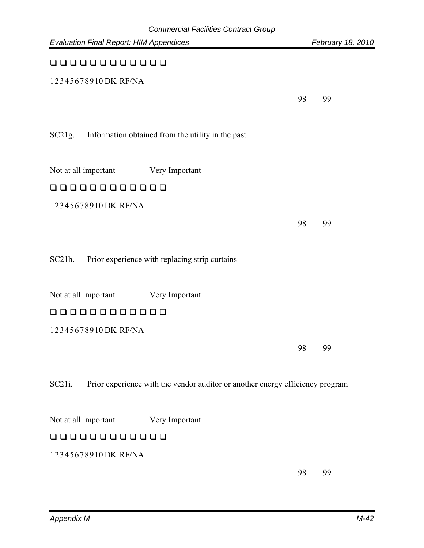| Commercian r acimies Commact Oroup<br><b>Evaluation Final Report: HIM Appendices</b>    |    | February 18, 2010 |
|-----------------------------------------------------------------------------------------|----|-------------------|
| 00000000000                                                                             |    |                   |
| 12345678910DK RF/NA                                                                     |    |                   |
|                                                                                         | 98 | 99                |
| SC21g.<br>Information obtained from the utility in the past                             |    |                   |
| Not at all important<br>Very Important                                                  |    |                   |
| 00000000000                                                                             |    |                   |
| 12345678910DK RF/NA                                                                     |    |                   |
|                                                                                         | 98 | 99                |
| Prior experience with replacing strip curtains<br>SC21h.                                |    |                   |
| Not at all important<br>Very Important                                                  |    |                   |
| 0000000<br>$\Box$                                                                       |    |                   |
| 12345678910DK RF/NA                                                                     |    |                   |
|                                                                                         | 98 | 99                |
| SC21i.<br>Prior experience with the vendor auditor or another energy efficiency program |    |                   |
| Not at all important<br>Very Important                                                  |    |                   |
| 0000000000                                                                              |    |                   |
| 12345678910DK RF/NA                                                                     |    |                   |
|                                                                                         |    |                   |

98 99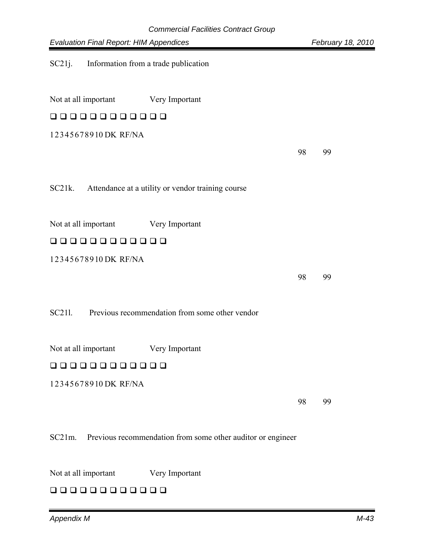| Commercial Facilities Contract Group<br><b>Evaluation Final Report: HIM Appendices</b> |    | February 18, 2010 |
|----------------------------------------------------------------------------------------|----|-------------------|
| SC21j.<br>Information from a trade publication                                         |    |                   |
| Not at all important<br>Very Important                                                 |    |                   |
| 00000000000                                                                            |    |                   |
| 12345678910 DK RF/NA                                                                   |    |                   |
|                                                                                        | 98 | 99                |
| $SC21k$ .<br>Attendance at a utility or vendor training course                         |    |                   |
| Not at all important<br>Very Important                                                 |    |                   |
| םםםםםםםםםם                                                                             |    |                   |
| 12345678910DK RF/NA                                                                    |    |                   |
|                                                                                        | 98 | 99                |
| Previous recommendation from some other vendor<br>SC211.                               |    |                   |
| Not at all important<br>Very Important                                                 |    |                   |
| 000000000000                                                                           |    |                   |
| 12345678910DK RF/NA                                                                    |    |                   |
|                                                                                        | 98 | 99                |
| Previous recommendation from some other auditor or engineer<br>$SC21m$ .               |    |                   |

Not at all important Very Important

# 00000000000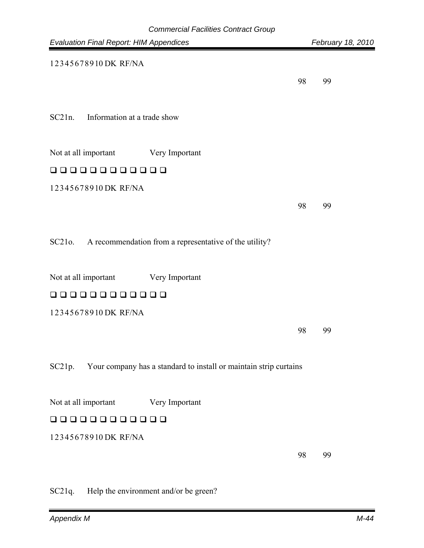|                                                | Gommercial Facilities Gommact Group                               |                   |
|------------------------------------------------|-------------------------------------------------------------------|-------------------|
| <b>Evaluation Final Report: HIM Appendices</b> |                                                                   | February 18, 2010 |
| 12345678910DK RF/NA                            |                                                                   |                   |
|                                                |                                                                   |                   |
|                                                | 98                                                                | 99                |
|                                                |                                                                   |                   |
| $SC21n$ .<br>Information at a trade show       |                                                                   |                   |
|                                                |                                                                   |                   |
| Not at all important                           | Very Important                                                    |                   |
| 000000000000                                   |                                                                   |                   |
| 12345678910DK RF/NA                            |                                                                   |                   |
|                                                |                                                                   |                   |
|                                                | 98                                                                | 99                |
|                                                |                                                                   |                   |
| SC210.                                         | A recommendation from a representative of the utility?            |                   |
|                                                |                                                                   |                   |
| Not at all important                           | Very Important                                                    |                   |
| $\Box$ $\Box$<br>$\Box$<br>$\Box$<br>88 88 88  | $\Box$                                                            |                   |
| 12345678910DK RF/NA                            |                                                                   |                   |
|                                                | 98                                                                | 99                |
|                                                |                                                                   |                   |
|                                                |                                                                   |                   |
| SC21p.                                         | Your company has a standard to install or maintain strip curtains |                   |
|                                                |                                                                   |                   |
| Not at all important                           | Very Important                                                    |                   |
| 00000000000                                    |                                                                   |                   |
| 12345678910DK RF/NA                            |                                                                   |                   |
|                                                | 98                                                                | 99                |
|                                                |                                                                   |                   |

SC21q. Help the environment and/or be green?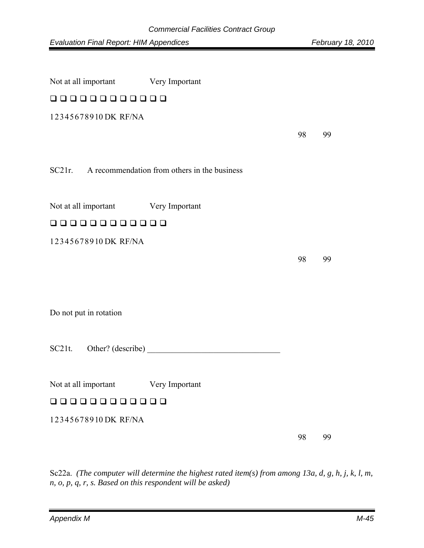| Not at all important Very Important |                                              |    |    |  |  |  |
|-------------------------------------|----------------------------------------------|----|----|--|--|--|
|                                     | 00000000000                                  |    |    |  |  |  |
| 12345678910DK RF/NA                 |                                              |    |    |  |  |  |
|                                     |                                              | 98 | 99 |  |  |  |
|                                     |                                              |    |    |  |  |  |
| $SC21r$ .                           | A recommendation from others in the business |    |    |  |  |  |
|                                     |                                              |    |    |  |  |  |
| Not at all important Very Important |                                              |    |    |  |  |  |
| 000000000000                        |                                              |    |    |  |  |  |
| 12345678910DK RF/NA                 |                                              |    |    |  |  |  |
|                                     |                                              | 98 | 99 |  |  |  |
|                                     |                                              |    |    |  |  |  |
|                                     |                                              |    |    |  |  |  |
| Do not put in rotation              |                                              |    |    |  |  |  |
|                                     |                                              |    |    |  |  |  |
| $SC21t$ .                           | Other? (describe)                            |    |    |  |  |  |
|                                     |                                              |    |    |  |  |  |
| Not at all important                | Very Important                               |    |    |  |  |  |
| 00000000000                         |                                              |    |    |  |  |  |
| 12345678910DK RF/NA                 |                                              |    |    |  |  |  |
|                                     |                                              | 98 | 99 |  |  |  |

Sc22a. *(The computer will determine the highest rated item(s) from among 13a, d, g, h, j, k, l, m, n, o, p, q, r, s. Based on this respondent will be asked)*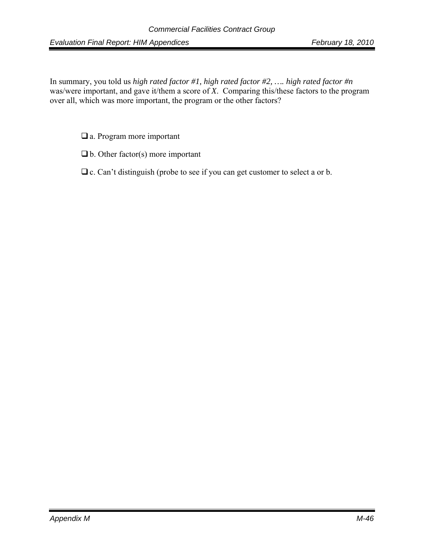In summary, you told us *high rated factor #1, high rated factor #2, …. high rated factor #n* was/were important, and gave it/them a score of *X*. Comparing this/these factors to the program over all, which was more important, the program or the other factors?

□ a. Program more important

- $\Box$  b. Other factor(s) more important
- $\Box$  c. Can't distinguish (probe to see if you can get customer to select a or b.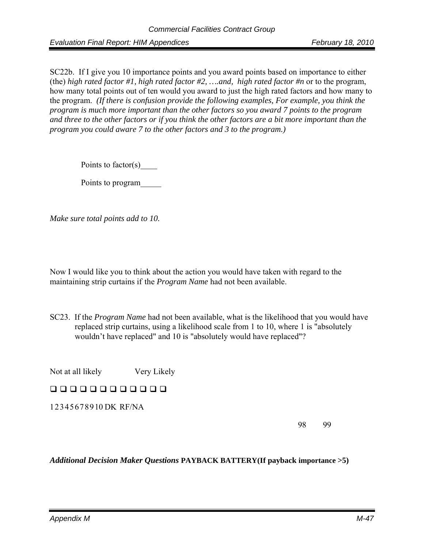SC22b. If I give you 10 importance points and you award points based on importance to either (the) *high rated factor #1, high rated factor #2, ….and, high rated factor #n* or to the program, how many total points out of ten would you award to just the high rated factors and how many to the program. *(If there is confusion provide the following examples, For example, you think the program is much more important than the other factors so you award 7 points to the program and three to the other factors or if you think the other factors are a bit more important than the program you could aware 7 to the other factors and 3 to the program.)*

Points to factor(s)

Points to program\_\_\_\_\_

*Make sure total points add to 10.* 

Now I would like you to think about the action you would have taken with regard to the maintaining strip curtains if the *Program Name* had not been available.

SC23. If the *Program Name* had not been available, what is the likelihood that you would have replaced strip curtains, using a likelihood scale from 1 to 10, where 1 is "absolutely wouldn't have replaced" and 10 is "absolutely would have replaced"?

Not at all likely Very Likely

000000000000

1 2 3 4 5 6 7 8 9 10 DK RF/NA

98 99

*Additional Decision Maker Questions* **PAYBACK BATTERY(If payback importance >5)**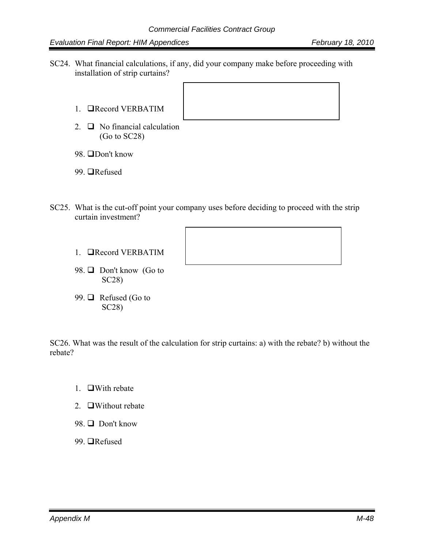- SC24. What financial calculations, if any, did your company make before proceeding with installation of strip curtains?
	- 1. Record VERBATIM
	- 2.  $\Box$  No financial calculation (Go to SC28)
	- 98. **ODon't know**
	- 99. **■**Refused
- SC25. What is the cut-off point your company uses before deciding to proceed with the strip curtain investment?
	- 1. **QRecord VERBATIM**
	- 98. □ Don't know (Go to SC28)
	- 99.  $\Box$  Refused (Go to SC28)

SC26. What was the result of the calculation for strip curtains: a) with the rebate? b) without the rebate?

- 1.  $\Box$ With rebate
- 2.  $\Box$  Without rebate
- 98  $\Box$  Don't know
- 99. **■**Refused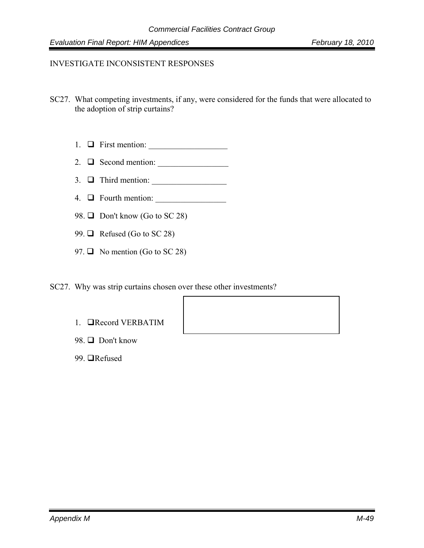#### INVESTIGATE INCONSISTENT RESPONSES

- SC27. What competing investments, if any, were considered for the funds that were allocated to the adoption of strip curtains?
	- 1. First mention: \_\_\_\_\_\_\_\_\_\_\_\_\_\_\_\_\_\_\_
	- 2. Second mention: \_\_\_\_\_\_\_\_\_\_\_\_\_\_\_\_\_
	- 3. Third mention: \_\_\_\_\_\_\_\_\_\_\_\_\_\_\_\_\_\_
	- 4.  $\Box$  Fourth mention:  $\Box$
	- 98.  $\Box$  Don't know (Go to SC 28)
	- 99.  $\Box$  Refused (Go to SC 28)
	- 97.  $\Box$  No mention (Go to SC 28)
- SC27. Why was strip curtains chosen over these other investments?
	- 1. Record VERBATIM
	- 98. □ Don't know
	- 99. **■**Refused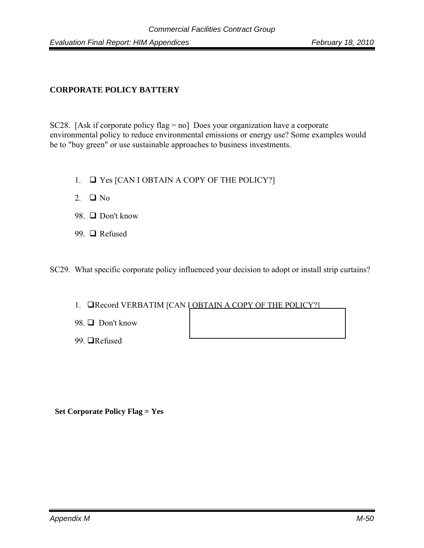### **CORPORATE POLICY BATTERY**

SC28. [Ask if corporate policy flag = no] Does your organization have a corporate environmental policy to reduce environmental emissions or energy use? Some examples would be to "buy green" or use sustainable approaches to business investments.

- 1.  $\Box$  Yes [CAN I OBTAIN A COPY OF THE POLICY?]
- 2.  $\Box$  No
- 98.  $\Box$  Don't know
- 99. □ Refused

SC29. What specific corporate policy influenced your decision to adopt or install strip curtains?

- 1. **QRecord VERBATIM [CAN LOBTAIN A COPY OF THE POLICY?]**
- 98.  $\Box$  Don't know
- 99. **■**Refused

 **Set Corporate Policy Flag = Yes**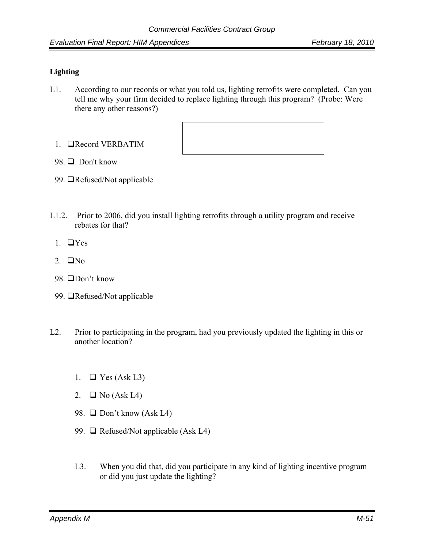#### **Lighting**

L1. According to our records or what you told us, lighting retrofits were completed. Can you tell me why your firm decided to replace lighting through this program? (Probe: Were there any other reasons?)





- 99. **The Sandal** Not applicable
- L1.2. Prior to 2006, did you install lighting retrofits through a utility program and receive rebates for that?
	- 1.  $\Box$  Yes
	- 2.  $\Box$ No
	- 98. □Don't know
	- 99. **The Sandal** Not applicable
- L2. Prior to participating in the program, had you previously updated the lighting in this or another location?
	- 1.  $\Box$  Yes (Ask L3)
	- 2.  $\Box$  No (Ask L4)
	- 98.  $\Box$  Don't know (Ask L4)
	- 99.  $\Box$  Refused/Not applicable (Ask L4)
	- L3. When you did that, did you participate in any kind of lighting incentive program or did you just update the lighting?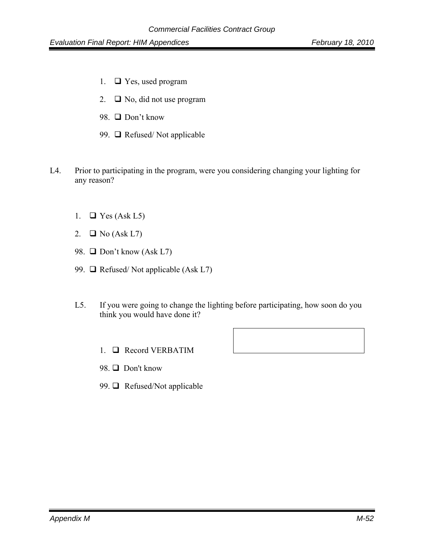- 1.  $\Box$  Yes, used program
- 2.  $\Box$  No, did not use program
- 98. □ Don't know
- 99.  $\Box$  Refused/Not applicable
- L4. Prior to participating in the program, were you considering changing your lighting for any reason?
	- 1.  $\Box$  Yes (Ask L5)
	- 2.  $\Box$  No (Ask L7)
	- 98.  $\Box$  Don't know (Ask L7)
	- 99.  $\Box$  Refused/Not applicable (Ask L7)
	- L5. If you were going to change the lighting before participating, how soon do you think you would have done it?
		- 1. **Q** Record VERBATIM
		- 98. □ Don't know
		- 99.  $\Box$  Refused/Not applicable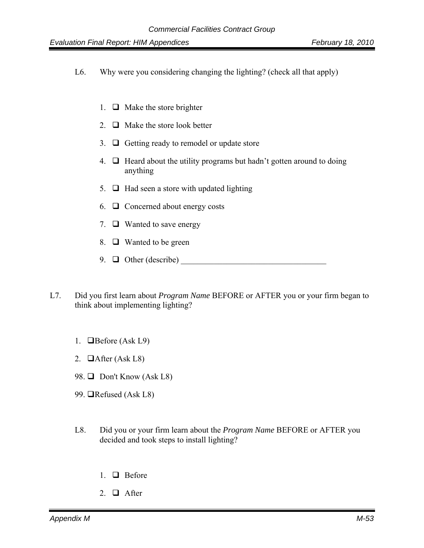- L6. Why were you considering changing the lighting? (check all that apply)
	- 1.  $\Box$  Make the store brighter
	- 2.  $\Box$  Make the store look better
	- 3.  $\Box$  Getting ready to remodel or update store
	- 4.  $\Box$  Heard about the utility programs but hadn't gotten around to doing anything
	- 5.  $\Box$  Had seen a store with updated lighting
	- 6.  $\Box$  Concerned about energy costs
	- 7.  $\Box$  Wanted to save energy
	- 8.  $\Box$  Wanted to be green
	- 9.  $\Box$  Other (describe)
- L7. Did you first learn about *Program Name* BEFORE or AFTER you or your firm began to think about implementing lighting?
	- 1. **O**Before (Ask L9)
	- 2.  $\Box$  After (Ask L8)
	- 98.  $\Box$  Don't Know (Ask L8)
	- 99.  $\Box$ Refused (Ask L8)
	- L8. Did you or your firm learn about the *Program Name* BEFORE or AFTER you decided and took steps to install lighting?
		- 1.  $\Box$  Before
		- 2.  $\Box$  After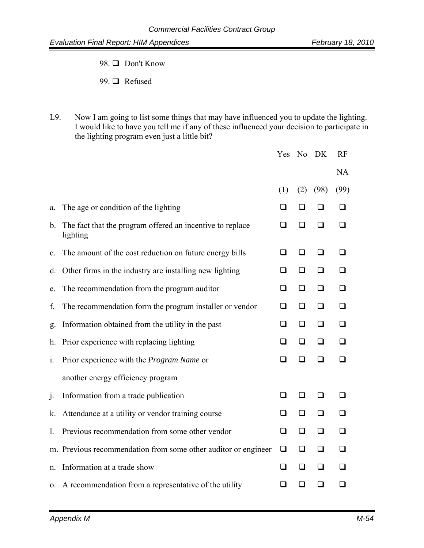98. □ Don't Know

99. **□** Refused

L9. Now I am going to list some things that may have influenced you to update the lighting. I would like to have you tell me if any of these influenced your decision to participate in the lighting program even just a little bit?

|                |                                                                       | Yes    |        | No DK  | <b>RF</b> |
|----------------|-----------------------------------------------------------------------|--------|--------|--------|-----------|
|                |                                                                       |        |        |        | <b>NA</b> |
|                |                                                                       | (1)    | (2)    | (98)   | (99)      |
| a.             | The age or condition of the lighting                                  | ❏      | $\Box$ | ❏      | ◻         |
| $b_{\cdot}$    | The fact that the program offered an incentive to replace<br>lighting | $\Box$ | ❏      | ❏      | ◻         |
| $\mathbf{c}$ . | The amount of the cost reduction on future energy bills               | $\Box$ | $\Box$ | $\Box$ | ◻         |
| d.             | Other firms in the industry are installing new lighting               | ❏      | ❏      | $\Box$ | ப         |
| e.             | The recommendation from the program auditor                           | ❏      | ❏      | ❏      | □         |
| f.             | The recommendation form the program installer or vendor               | ❏      | ❏      | ❏      |           |
| g.             | Information obtained from the utility in the past                     | ❏      | ❏      | □      | П         |
| h.             | Prior experience with replacing lighting                              | □      | □      | □      | П         |
| $\mathbf{i}$ . | Prior experience with the <i>Program Name</i> or                      |        | □      | □      | n         |
|                | another energy efficiency program                                     |        |        |        |           |
| j.             | Information from a trade publication                                  | ❏      | ❏      | ❏      | ⊓         |
| k.             | Attendance at a utility or vendor training course                     | ❏      | ❏      | $\Box$ | ◻         |
| 1.             | Previous recommendation from some other vendor                        | $\Box$ | $\Box$ | $\Box$ | ❏         |
|                | m. Previous recommendation from some other auditor or engineer        | $\Box$ | $\Box$ | $\Box$ | ◻         |
| n.             | Information at a trade show                                           | ❏      | $\Box$ | $\Box$ | □         |
|                | o. A recommendation from a representative of the utility              | ❏      | ❏      | ◻      | ❏         |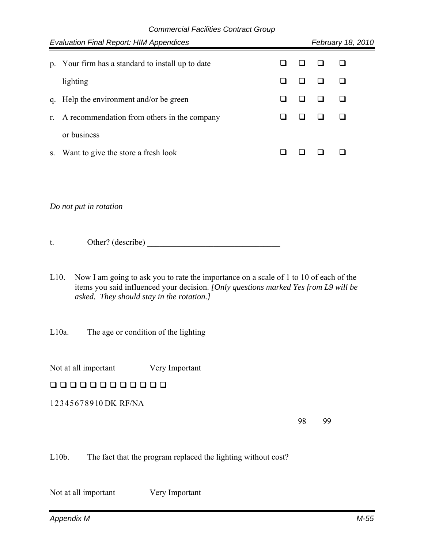|                        | <b>Evaluation Final Report: HIM Appendices</b>    |  |  | February 18, 2010 |  |
|------------------------|---------------------------------------------------|--|--|-------------------|--|
|                        | p. Your firm has a standard to install up to date |  |  |                   |  |
|                        | lighting                                          |  |  |                   |  |
| q.                     | Help the environment and/or be green              |  |  |                   |  |
| r.                     | A recommendation from others in the company       |  |  |                   |  |
|                        | or business                                       |  |  |                   |  |
| S.                     | Want to give the store a fresh look               |  |  |                   |  |
|                        |                                                   |  |  |                   |  |
|                        |                                                   |  |  |                   |  |
| Do not put in rotation |                                                   |  |  |                   |  |
|                        |                                                   |  |  |                   |  |

t. Other? (describe)

L10. Now I am going to ask you to rate the importance on a scale of 1 to 10 of each of the items you said influenced your decision. *[Only questions marked Yes from L9 will be asked. They should stay in the rotation.]*

L10a. The age or condition of the lighting

Not at all important Very Important

000000000000

1 2 3 4 5 6 7 8 9 10 DK RF/NA

98 99

L10b. The fact that the program replaced the lighting without cost?

Not at all important Very Important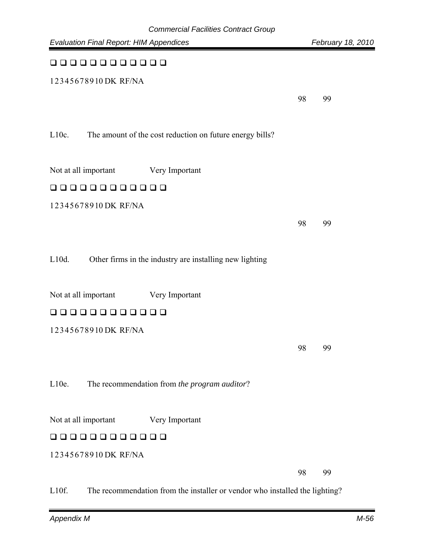| <b>Evaluation Final Report: HIM Appendices</b>                       |    | February 18, 2010 |
|----------------------------------------------------------------------|----|-------------------|
| 0000000000                                                           |    |                   |
| 12345678910DK RF/NA                                                  |    |                   |
|                                                                      | 98 | 99                |
|                                                                      |    |                   |
| $L10c$ .<br>The amount of the cost reduction on future energy bills? |    |                   |
|                                                                      |    |                   |
| Not at all important<br>Very Important                               |    |                   |
| 00000000000                                                          |    |                   |
| 12345678910DK RF/NA                                                  |    |                   |
|                                                                      | 98 | 99                |
|                                                                      |    |                   |
| $L10d$ .<br>Other firms in the industry are installing new lighting  |    |                   |
| Not at all important<br>Very Important                               |    |                   |
| 000000000000                                                         |    |                   |
| 12345678910DK RF/NA                                                  |    |                   |
|                                                                      |    |                   |
|                                                                      | 98 | 99                |
| L10e.<br>The recommendation from the program auditor?                |    |                   |
|                                                                      |    |                   |
| Not at all important<br>Very Important                               |    |                   |
| 000<br>0000000                                                       |    |                   |
| 12345678910DK RF/NA                                                  |    |                   |
|                                                                      | 98 | 99                |

L10f. The recommendation from the installer or vendor who installed the lighting?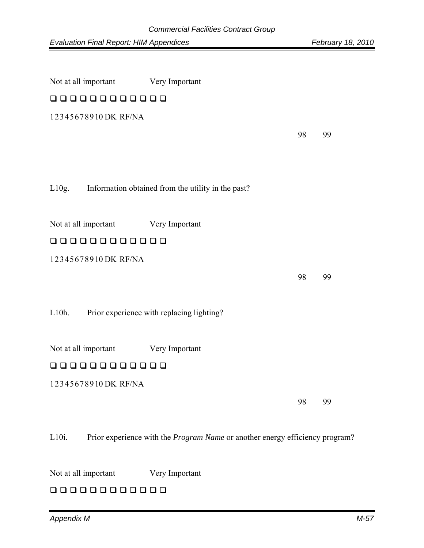| Not at all important                | Very Important                                           |    |    |
|-------------------------------------|----------------------------------------------------------|----|----|
| 00000000000                         |                                                          |    |    |
| 12345678910DK RF/NA                 |                                                          |    |    |
|                                     |                                                          | 98 | 99 |
|                                     |                                                          |    |    |
|                                     |                                                          |    |    |
|                                     | L10g. Information obtained from the utility in the past? |    |    |
|                                     |                                                          |    |    |
| Not at all important Very Important |                                                          |    |    |
| 000000000000                        |                                                          |    |    |
| 12345678910DK RF/NA                 |                                                          |    |    |
|                                     |                                                          | 98 | 99 |
|                                     |                                                          |    |    |
| L10h.                               | Prior experience with replacing lighting?                |    |    |
|                                     |                                                          |    |    |
| Not at all important                | Very Important                                           |    |    |
| 00000000000                         |                                                          |    |    |
| 12345678910DK RF/NA                 |                                                          |    |    |
|                                     |                                                          | 98 | 99 |
|                                     |                                                          |    |    |

L10i. Prior experience with the *Program Name* or another energy efficiency program?

Not at all important Very Important

### 00000000000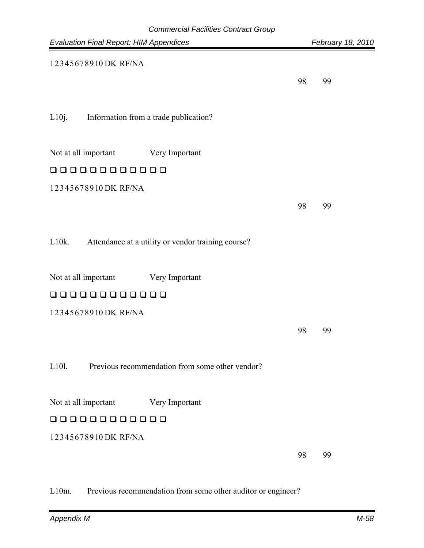| Commercial Facilities Contract Group<br><b>Evaluation Final Report: HIM Appendices</b> |    | February 18, 2010 |
|----------------------------------------------------------------------------------------|----|-------------------|
| 12345678910DK RF/NA                                                                    |    |                   |
|                                                                                        | 98 | 99                |
|                                                                                        |    |                   |
| L10j.<br>Information from a trade publication?                                         |    |                   |
|                                                                                        |    |                   |
| Not at all important<br>Very Important                                                 |    |                   |
| 000000000000                                                                           |    |                   |
| 12345678910DK RF/NA                                                                    |    |                   |
|                                                                                        | 98 | 99                |
|                                                                                        |    |                   |
| $L10k$ .<br>Attendance at a utility or vendor training course?                         |    |                   |
|                                                                                        |    |                   |
| Not at all important<br>Very Important                                                 |    |                   |
| 0000000<br>$\Box$<br>$\Box$                                                            |    |                   |
| 12345678910DK RF/NA                                                                    |    |                   |
|                                                                                        | 98 | 99                |
|                                                                                        |    |                   |
| L101.<br>Previous recommendation from some other vendor?                               |    |                   |
|                                                                                        |    |                   |
| Not at all important<br>Very Important                                                 |    |                   |
| $\Box$<br><b>u u</b><br>,,,,,,,,                                                       |    |                   |
| 12345678910DK RF/NA                                                                    |    |                   |
|                                                                                        | 98 | 99                |

L10m. Previous recommendation from some other auditor or engineer?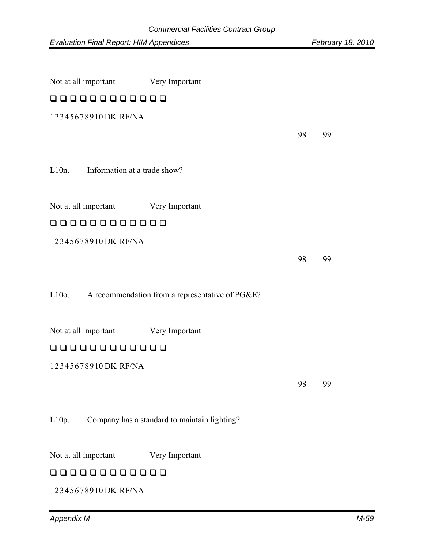| Not at all important                     | Very Important                                  |    |    |  |  |  |  |
|------------------------------------------|-------------------------------------------------|----|----|--|--|--|--|
| 00000000000                              |                                                 |    |    |  |  |  |  |
| 12345678910DK RF/NA                      |                                                 |    |    |  |  |  |  |
|                                          |                                                 | 98 | 99 |  |  |  |  |
|                                          |                                                 |    |    |  |  |  |  |
| $L10n$ .<br>Information at a trade show? |                                                 |    |    |  |  |  |  |
|                                          |                                                 |    |    |  |  |  |  |
| Not at all important                     | Very Important                                  |    |    |  |  |  |  |
| 000000000000                             |                                                 |    |    |  |  |  |  |
| 12345678910DK RF/NA                      |                                                 |    |    |  |  |  |  |
|                                          |                                                 | 98 | 99 |  |  |  |  |
|                                          |                                                 |    |    |  |  |  |  |
| $L10o$ .                                 | A recommendation from a representative of PG&E? |    |    |  |  |  |  |
|                                          |                                                 |    |    |  |  |  |  |
| Not at all important                     | Very Important                                  |    |    |  |  |  |  |
| 00000000000                              |                                                 |    |    |  |  |  |  |
| 12345678910DK RF/NA                      |                                                 |    |    |  |  |  |  |
|                                          |                                                 | 98 | 99 |  |  |  |  |
|                                          |                                                 |    |    |  |  |  |  |
| L10p.                                    | Company has a standard to maintain lighting?    |    |    |  |  |  |  |
|                                          |                                                 |    |    |  |  |  |  |
| Not at all important                     | Very Important                                  |    |    |  |  |  |  |

### 00000000000

1 2 3 4 5 6 7 8 9 10 DK RF/NA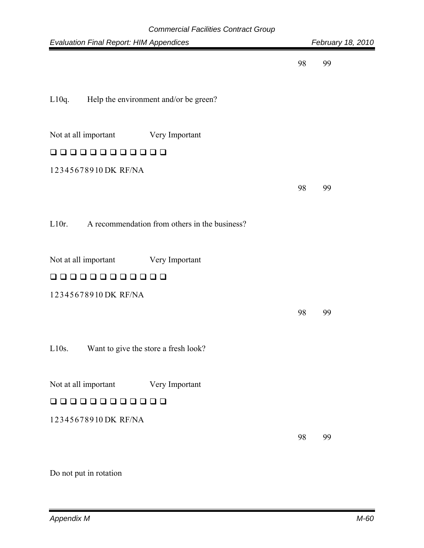| <b>Commercial Facilities Contract Group</b>               |    |                   |
|-----------------------------------------------------------|----|-------------------|
| <b>Evaluation Final Report: HIM Appendices</b>            |    | February 18, 2010 |
|                                                           | 98 | 99                |
| L10q.<br>Help the environment and/or be green?            |    |                   |
| Not at all important<br>Very Important                    |    |                   |
| □<br>.<br><b>LI LI</b><br>ப                               |    |                   |
| 12345678910DK RF/NA                                       |    |                   |
|                                                           | 98 | 99                |
| $L10r$ .<br>A recommendation from others in the business? |    |                   |
| Not at all important<br>Very Important                    |    |                   |
| 000000<br>$\Box$<br>$\Box$<br>பப                          |    |                   |
| 12345678910DK RF/NA                                       |    |                   |
|                                                           | 98 | 99                |
| L10s.<br>Want to give the store a fresh look?             |    |                   |
| Not at all important<br>Very Important                    |    |                   |
| $\Box$<br>888888<br>$\Box$<br>$\perp$                     |    |                   |
| 12345678910DK RF/NA                                       |    |                   |
|                                                           | 98 | 99                |

Do not put in rotation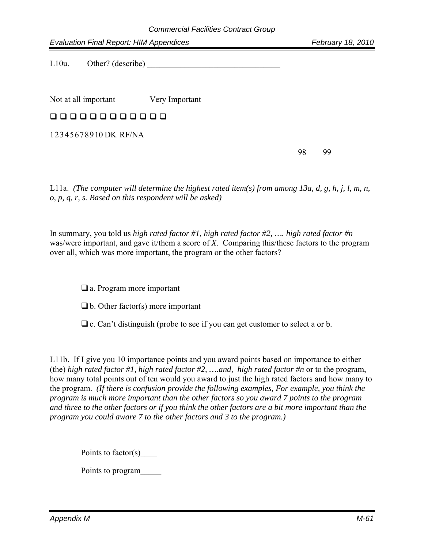L10u. Other? (describe)

Not at all important Very Important

### 00000000000

1 2 3 4 5 6 7 8 9 10 DK RF/NA

98 99

L11a. *(The computer will determine the highest rated item(s) from among 13a, d, g, h, j, l, m, n, o, p, q, r, s. Based on this respondent will be asked)* 

In summary, you told us *high rated factor #1, high rated factor #2, …. high rated factor #n* was/were important, and gave it/them a score of *X*. Comparing this/these factors to the program over all, which was more important, the program or the other factors?

□ a. Program more important

- $\Box$  b. Other factor(s) more important
- $\Box$  c. Can't distinguish (probe to see if you can get customer to select a or b.

L11b. If I give you 10 importance points and you award points based on importance to either (the) *high rated factor #1, high rated factor #2, ….and, high rated factor #n* or to the program, how many total points out of ten would you award to just the high rated factors and how many to the program. *(If there is confusion provide the following examples, For example, you think the program is much more important than the other factors so you award 7 points to the program and three to the other factors or if you think the other factors are a bit more important than the program you could aware 7 to the other factors and 3 to the program.)*

Points to factor(s)

Points to program\_\_\_\_\_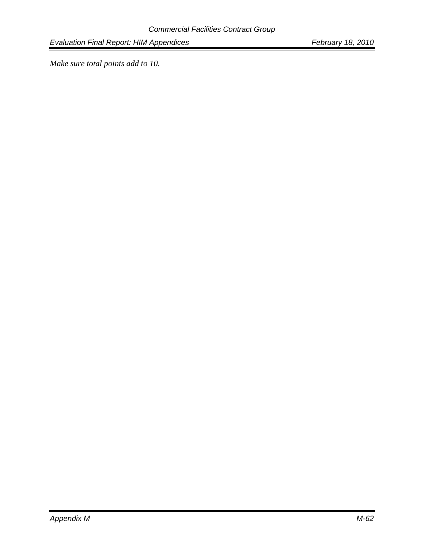*Make sure total points add to 10.*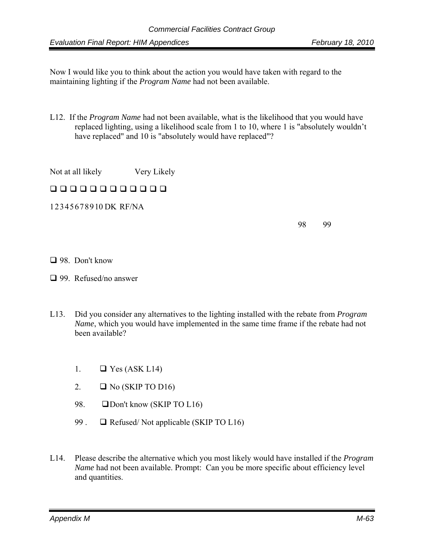Now I would like you to think about the action you would have taken with regard to the maintaining lighting if the *Program Name* had not been available.

L12. If the *Program Name* had not been available, what is the likelihood that you would have replaced lighting, using a likelihood scale from 1 to 10, where 1 is "absolutely wouldn't have replaced" and 10 is "absolutely would have replaced"?

Not at all likely Very Likely

## 00000000000

1 2 3 4 5 6 7 8 9 10 DK RF/NA

98 99

#### □ 98. Don't know

- □ 99. Refused/no answer
- L13. Did you consider any alternatives to the lighting installed with the rebate from *Program Name*, which you would have implemented in the same time frame if the rebate had not been available?
	- 1.  $\Box$  Yes (ASK L14)
	- 2.  $\Box$  No (SKIP TO D16)
	- 98. **ODon't know (SKIP TO L16)**
	- 99 .  $\Box$  Refused/Not applicable (SKIP TO L16)
- L14. Please describe the alternative which you most likely would have installed if the *Program Name* had not been available. Prompt: Can you be more specific about efficiency level and quantities.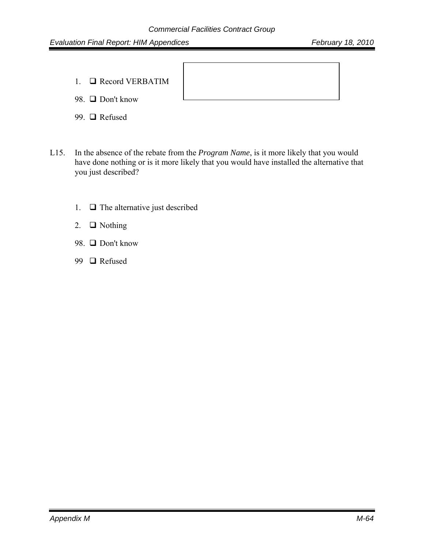1. Record VERBATIM

98. □ Don't know

- 99. □ Refused
- L15. In the absence of the rebate from the *Program Name*, is it more likely that you would have done nothing or is it more likely that you would have installed the alternative that you just described?
	- 1.  $\Box$  The alternative just described
	- 2.  $\Box$  Nothing
	- 98. □ Don't know
	- 99 **□** Refused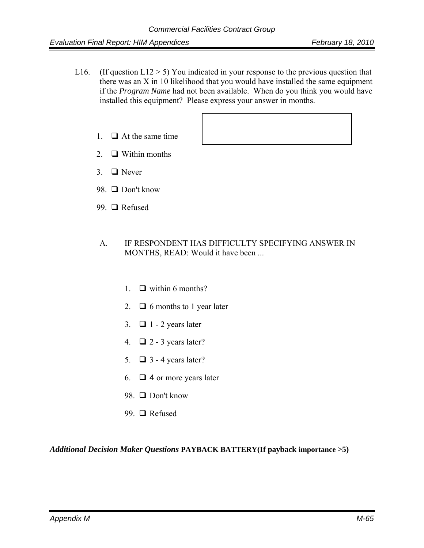- L16. (If question L12  $>$  5) You indicated in your response to the previous question that there was an X in 10 likelihood that you would have installed the same equipment if the *Program Name* had not been available. When do you think you would have installed this equipment? Please express your answer in months.
	- 1.  $\Box$  At the same time
	- 2.  $\Box$  Within months
	- 3.  $\Box$  Never
	- 98.  $\Box$  Don't know
	- 99. □ Refused
	- A. IF RESPONDENT HAS DIFFICULTY SPECIFYING ANSWER IN MONTHS, READ: Would it have been ...
		- 1.  $\Box$  within 6 months?
		- 2.  $\Box$  6 months to 1 year later
		- 3.  $\Box$  1 2 years later
		- 4.  $\Box$  2 3 years later?
		- 5.  $\Box$  3 4 years later?
		- 6.  $\Box$  4 or more years later
		- 98. □ Don't know
		- 99. □ Refused

*Additional Decision Maker Questions* **PAYBACK BATTERY(If payback importance >5)**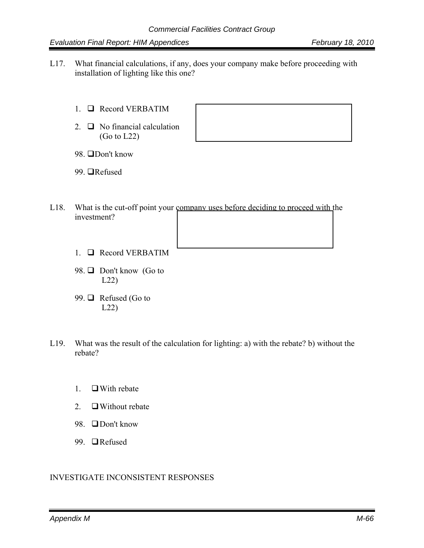- L17. What financial calculations, if any, does your company make before proceeding with installation of lighting like this one?
	- 1. Record VERBATIM
	- 2.  $\Box$  No financial calculation  $(Go to L22)$



98. □Don't know

99. **■**Refused

- L18. What is the cut-off point your company uses before deciding to proceed with the investment?
	- 1. Record VERBATIM
	- 98. □ Don't know (Go to L22)
	- 99.  $\Box$  Refused (Go to L22)
- L19. What was the result of the calculation for lighting: a) with the rebate? b) without the rebate?
	- 1.  $\Box$  With rebate
	- 2.  $\Box$  Without rebate
	- 98. □Don't know
	- 99. □Refused

#### INVESTIGATE INCONSISTENT RESPONSES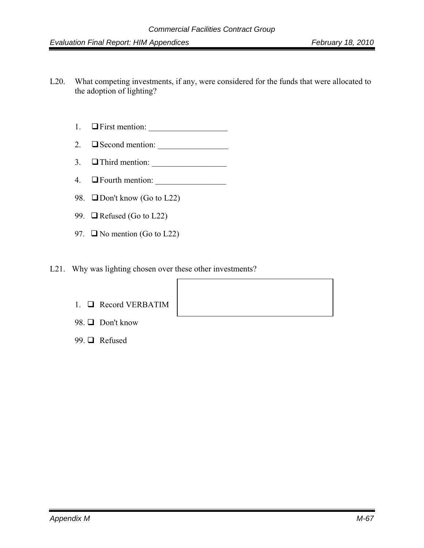- L20. What competing investments, if any, were considered for the funds that were allocated to the adoption of lighting?
	- 1.  $\Box$  First mention:
	- 2.  $\Box$  Second mention:
	- 3.  $\Box$  Third mention:  $\Box$
	- 4. **Example 1** Fourth mention:
	- 98.  $\Box$  Don't know (Go to L22)
	- 99.  $\Box$  Refused (Go to L22)
	- 97.  $\Box$  No mention (Go to L22)
- L21. Why was lighting chosen over these other investments?
	- 1. Record VERBATIM
	- 98. □ Don't know
	- 99. □ Refused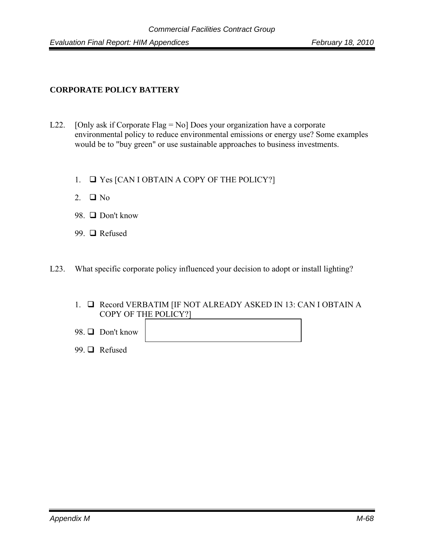### **CORPORATE POLICY BATTERY**

- L22. [Only ask if Corporate Flag = No] Does your organization have a corporate environmental policy to reduce environmental emissions or energy use? Some examples would be to "buy green" or use sustainable approaches to business investments.
	- 1.  $\Box$  Yes [CAN I OBTAIN A COPY OF THE POLICY?]
	- 2.  $\Box$  No
	- 98. □ Don't know
	- 99. □ Refused

L23. What specific corporate policy influenced your decision to adopt or install lighting?

- 1. **Q** Record VERBATIM [IF NOT ALREADY ASKED IN 13: CAN I OBTAIN A COPY OF THE POLICY?]
- 98.  $\Box$  Don't know
- 99. □ Refused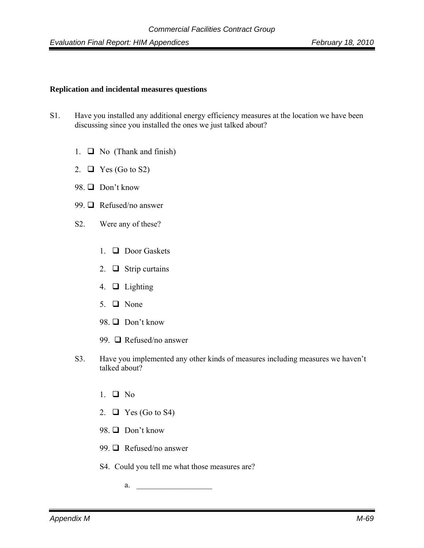#### **Replication and incidental measures questions**

- S1. Have you installed any additional energy efficiency measures at the location we have been discussing since you installed the ones we just talked about?
	- 1.  $\Box$  No (Thank and finish)
	- 2.  $\Box$  Yes (Go to S2)
	- 98.  $\Box$  Don't know
	- 99. **□** Refused/no answer
	- S2. Were any of these?
		- 1.  $\Box$  Door Gaskets
		- 2.  $\Box$  Strip curtains
		- 4.  $\Box$  Lighting
		- 5.  $\Box$  None
		- 98.  $\Box$  Don't know
		- 99.  $\Box$  Refused/no answer
	- S3. Have you implemented any other kinds of measures including measures we haven't talked about?
		- 1.  $\Box$  No
		- 2.  $\Box$  Yes (Go to S4)
		- 98. □ Don't know
		- 99.  $\Box$  Refused/no answer
		- S4. Could you tell me what those measures are?
			- a. <u>\_\_\_\_\_\_\_\_\_\_\_\_\_\_\_\_\_\_\_\_\_\_\_\_\_\_\_\_\_\_\_\_\_\_\_</u>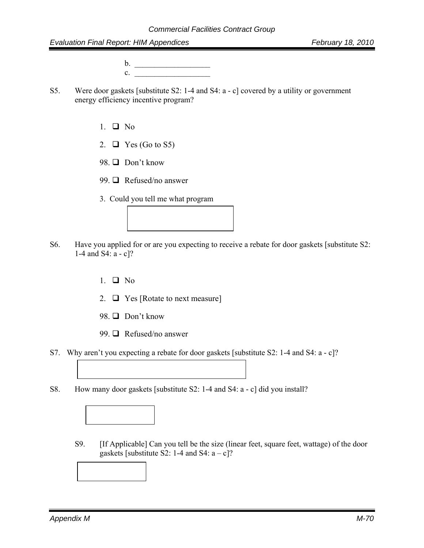b. \_\_\_\_\_\_\_\_\_\_\_\_\_\_\_\_\_\_\_  $c.$ 

- S5. Were door gaskets [substitute S2: 1-4 and S4: a c] covered by a utility or government energy efficiency incentive program?
	- 1.  $\Box$  No
	- 2.  $\Box$  Yes (Go to S5)
	- 98.  $\Box$  Don't know
	- 99.  $\Box$  Refused/no answer
	- 3. Could you tell me what program



- 1.  $\Box$  No
- 2.  $\Box$  Yes [Rotate to next measure]
- 98. □ Don't know
- 99.  $\Box$  Refused/no answer
- S7. Why aren't you expecting a rebate for door gaskets [substitute S2: 1-4 and S4: a c]?
- S8. How many door gaskets [substitute S2: 1-4 and S4: a c] did you install?
	- S9. [If Applicable] Can you tell be the size (linear feet, square feet, wattage) of the door gaskets [substitute S2: 1-4 and S4:  $a - c$ ]?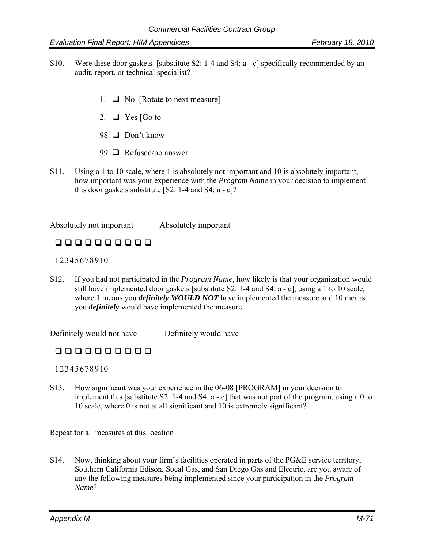- S10. Were these door gaskets [substitute S2: 1-4 and S4: a c] specifically recommended by an audit, report, or technical specialist?
	- 1.  $\Box$  No [Rotate to next measure]
	- 2.  $\Box$  Yes [Go to
	- 98  $\Box$  Don't know
	- 99.  $\Box$  Refused/no answer
- S11. Using a 1 to 10 scale, where 1 is absolutely not important and 10 is absolutely important, how important was your experience with the *Program Name* in your decision to implement this door gaskets substitute  $[S2: 1-4 \text{ and } S4: a-c]$ ?

Absolutely not important Absolutely important

### 0000000000

1 2 3 4 5 6 7 8 9 10

S12. If you had not participated in the *Program Name*, how likely is that your organization would still have implemented door gaskets [substitute S2: 1-4 and S4: a - c], using a 1 to 10 scale, where 1 means you *definitely WOULD NOT* have implemented the measure and 10 means you *definitely* would have implemented the measure.

Definitely would not have Definitely would have

### 0000000000

1 2 3 4 5 6 7 8 9 10

S13. How significant was your experience in the 06-08 [PROGRAM] in your decision to implement this [substitute S2: 1-4 and S4: a - c] that was not part of the program, using a 0 to 10 scale, where 0 is not at all significant and 10 is extremely significant?

Repeat for all measures at this location

S14. Now, thinking about your firm's facilities operated in parts of the PG&E service territory, Southern California Edison, Socal Gas, and San Diego Gas and Electric, are you aware of any the following measures being implemented since your participation in the *Program Name*?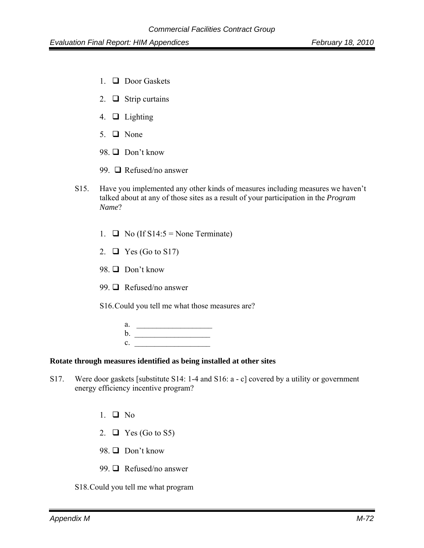- 1.  $\Box$  Door Gaskets
- 2.  $\Box$  Strip curtains
- 4.  $\Box$  Lighting
- 5.  $\Box$  None
- 98.  $\Box$  Don't know
- 99. **□** Refused/no answer
- S15. Have you implemented any other kinds of measures including measures we haven't talked about at any of those sites as a result of your participation in the *Program Name*?
	- 1.  $\Box$  No (If S14:5 = None Terminate)
	- 2.  $\Box$  Yes (Go to S17)
	- 98.  $\Box$  Don't know
	- 99.  $\Box$  Refused/no answer

S16. Could you tell me what those measures are?

| a.             |  |  |
|----------------|--|--|
| b.             |  |  |
| $\mathbf{c}$ . |  |  |

#### **Rotate through measures identified as being installed at other sites**

- S17. Were door gaskets [substitute S14: 1-4 and S16: a c] covered by a utility or government energy efficiency incentive program?
	- 1.  $\Box$  No
	- 2.  $\Box$  Yes (Go to S5)
	- 98.  $\Box$  Don't know
	- 99.  $\Box$  Refused/no answer
	- S18. Could you tell me what program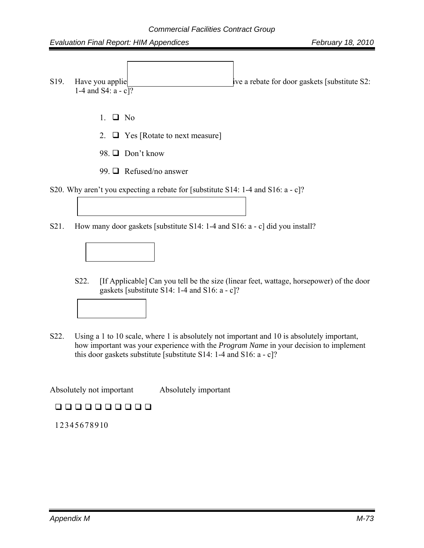- S19. Have you applied for  $\frac{1}{2}$  five a rebate for door gaskets [substitute S2: 1-4 and S4:  $a - c$ <sup>7</sup>
	- 1.  $\Box$  No
	- 2.  $\Box$  Yes [Rotate to next measure]
	- 98.  $\Box$  Don't know
	- 99.  $\Box$  Refused/no answer
- S20. Why aren't you expecting a rebate for [substitute S14: 1-4 and S16: a c]?
- S21. How many door gaskets [substitute S14: 1-4 and S16: a c] did you install?



- S22. [If Applicable] Can you tell be the size (linear feet, wattage, horsepower) of the door gaskets [substitute S14: 1-4 and S16: a - c]?
- 
- S22. Using a 1 to 10 scale, where 1 is absolutely not important and 10 is absolutely important, how important was your experience with the *Program Name* in your decision to implement this door gaskets substitute [substitute S14: 1-4 and S16:  $a - c$ ]?

Absolutely not important Absolutely important

### 0000000000

1 2 3 4 5 6 7 8 9 10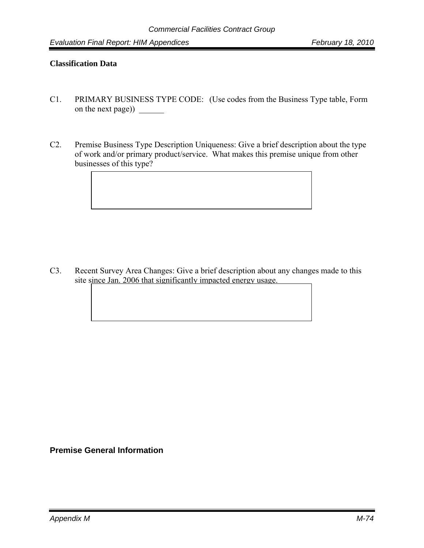#### **Classification Data**

- C1. PRIMARY BUSINESS TYPE CODE: (Use codes from the Business Type table, Form on the next page)) \_\_\_\_\_\_
- C2. Premise Business Type Description Uniqueness: Give a brief description about the type of work and/or primary product/service. What makes this premise unique from other businesses of this type?

C3. Recent Survey Area Changes: Give a brief description about any changes made to this site since Jan. 2006 that significantly impacted energy usage.

**Premise General Information**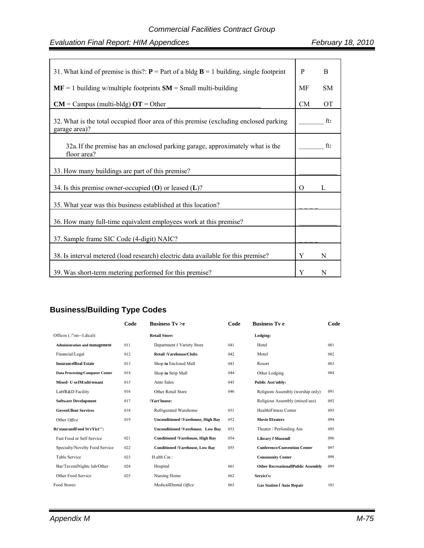| 31. What kind of premise is this?: $P = Part$ of a bldg $B = 1$ building, single footprint             | P        | B               |
|--------------------------------------------------------------------------------------------------------|----------|-----------------|
| $MF = 1$ building w/multiple footprints $SM = Small$ multi-building                                    | MF       | <b>SM</b>       |
| $CM =$ Campus (multi-bldg) $OT =$ Other                                                                | CM       | <b>OT</b>       |
| 32. What is the total occupied floor area of this premise (excluding enclosed parking<br>garage area)? |          | ft2             |
| 32a. If the premise has an enclosed parking garage, approximately what is the<br>floor area?           |          | ft <sub>2</sub> |
| 33. How many buildings are part of this premise?                                                       |          |                 |
| 34. Is this premise owner-occupied $(O)$ or leased $(L)$ ?                                             | $\Omega$ | L               |
| 35. What year was this business established at this location?                                          |          |                 |
| 36. How many full-time equivalent employees work at this premise?                                      |          |                 |
| 37. Sample frame SIC Code (4-digit) NAIC?                                                              |          |                 |
| 38. Is interval metered (load research) electric data available for this premise?                      | Y        | N               |
| 39. Was short-term metering performed for this premise?                                                | Y        | N               |

# **Business/Building Type Codes**

|                                        | Code | Business $Tv > e$                         | Code | <b>Business Tv e</b>                      | Code |
|----------------------------------------|------|-------------------------------------------|------|-------------------------------------------|------|
| Officos (.\"on-~I.dical):              |      | <b>Retail Store:</b>                      |      | Lodging:                                  |      |
| <b>Administration and management</b>   | 011  | Department / Variety Store                | 041  | Hotel                                     | 081  |
| Financial/Legal                        | 012  | <b>Retail \Varehouse/Clubs</b>            | 042  | Motel                                     | 082  |
| <b>InsurancelReal Estate</b>           | 013  | Shop in Enclosed Mall                     | 043  | Resort                                    | 083  |
| <b>Data Processing/Computer Center</b> | 014  | Shop in Strip Mall                        | 044  | Other Lodging                             | 084  |
| Mixed- U seJM:ulti-tenant              | 015  | Anto Sales                                | 045  | <b>Public Asst'mbly:</b>                  |      |
| LabfR&D Facility                       | 016  | Other Retail Store                        | 046  | Religiom Assembly (worship only)          | 091  |
| <b>Software Development</b>            | 017  | \Yart'house:                              |      | Religious Assembly (mixed use)            | 092  |
| <b>GovenUllent Services</b>            | 018  | Refrigerated Warehome                     | 051  | HealthiFitness Center                     | 093  |
| Other Office                           | 019  | <b>Unconditioned \Varehouse, High Bay</b> | 052  | <b>Movie Illeaters</b>                    | 094  |
| Rt'staurantlFood St'rYict''':          |      | <b>Unconditioned  Varehouse. Low Bay</b>  | 053  | Theater / Perfomling Am                   | 095  |
| Fast Food or Self Service              | 021  | <b>Conditioned \Varehouse, High Bay</b>   | 054  | Library / Musemll                         | 096  |
| Specialty/Novelty Food Service         | 022  | <b>Conditioned \Varehouse, Low Bay</b>    | 055  | <b>Conference/Convention Center</b>       | 097  |
| <b>Table Service</b>                   | 023  | H alth Car:                               |      | <b>Conununity Center</b>                  | 098  |
| Bar/TavemlNightc lub/Other             | 024  | Hospital                                  | 061  | <b>Other RecreationallPublic Assembly</b> | 099  |
| Other Food Service                     | 025  | Nursing Home                              | 062  | Servict's:                                |      |
| Food Stores:                           |      | MedicallDental Office                     | 063  | <b>Gas Station / Auto Repair</b>          | 101  |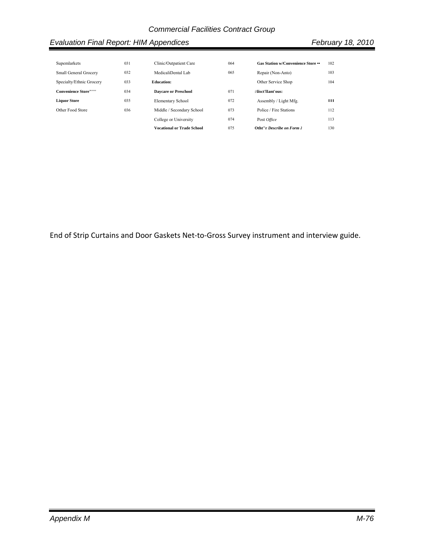| Supemlarkets                | 031 | Clinic/Outpatient Care            | 064 | Gas Station w/Convenience Store •• | 102 |
|-----------------------------|-----|-----------------------------------|-----|------------------------------------|-----|
| Small General Grocery       | 032 | MedicaliDental Lab                | 065 | Repair (Non-Anto)                  | 103 |
| Specialty/Ethnic Grocery    | 033 | <b>Education:</b>                 |     | Other Service Shop                 | 104 |
| <b>Convenience Store"""</b> | 034 | <b>Davcare or Preschool</b>       | 071 | :\lisct'lIant'ous:                 |     |
| <b>Liquor Store</b>         | 035 | <b>Elementary School</b>          | 072 | Assembly / Light Mfg.              | ш   |
| Other Food Store            | 036 | Middle / Secondary School         | 073 | Police / Fire Stations             | 112 |
|                             |     | College or University             | 074 | Post Office                        | 113 |
|                             |     | <b>Vocational or Trade School</b> | 075 | Otht"r Describe on Form J          | 130 |

End of Strip Curtains and Door Gaskets Net‐to‐Gross Survey instrument and interview guide.